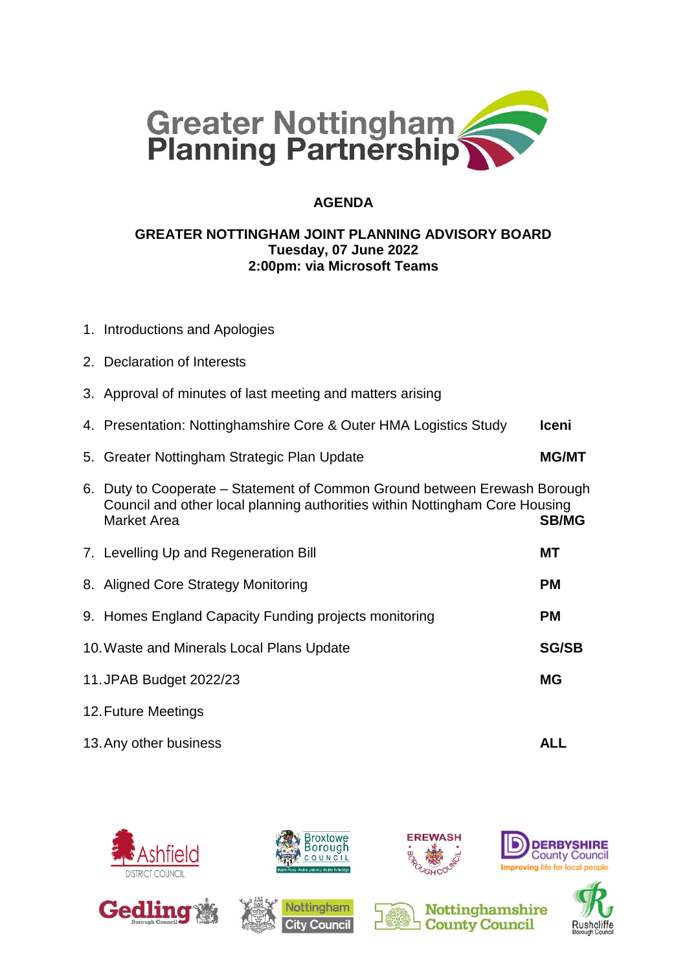

## **AGENDA**

#### **GREATER NOTTINGHAM JOINT PLANNING ADVISORY BOARD Tuesday, 07 June 2022 2:00pm: via Microsoft Teams**

- 1. Introductions and Apologies
- 2. Declaration of Interests
- 3. Approval of minutes of last meeting and matters arising
- 4. Presentation: Nottinghamshire Core & Outer HMA Logistics Study **Iceni**
- 5. Greater Nottingham Strategic Plan Update **MG/MT**

# 6. Duty to Cooperate – Statement of Common Ground between Erewash Borough Council and other local planning authorities within Nottingham Core Housing Market Area **SB/MG**

- 7. Levelling Up and Regeneration Bill **MT** 8. Aligned Core Strategy Monitoring **PM** 9. Homes England Capacity Funding projects monitoring **PM** 10.Waste and Minerals Local Plans Update **SG/SB** 11.JPAB Budget 2022/23 **MG**
- 12.Future Meetings
- 13.Any other business **ALL**

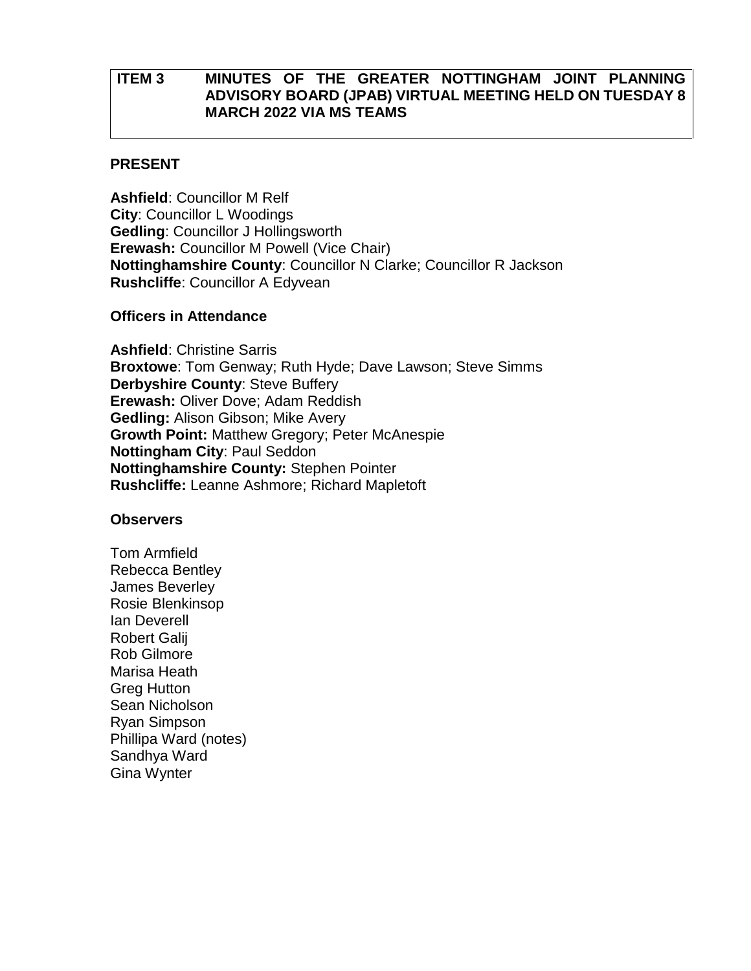## **ITEM 3 MINUTES OF THE GREATER NOTTINGHAM JOINT PLANNING ADVISORY BOARD (JPAB) VIRTUAL MEETING HELD ON TUESDAY 8 MARCH 2022 VIA MS TEAMS**

#### **PRESENT**

**Ashfield**: Councillor M Relf **City**: Councillor L Woodings **Gedling**: Councillor J Hollingsworth **Erewash:** Councillor M Powell (Vice Chair) **Nottinghamshire County**: Councillor N Clarke; Councillor R Jackson **Rushcliffe**: Councillor A Edyvean

#### **Officers in Attendance**

**Ashfield**: Christine Sarris **Broxtowe**: Tom Genway; Ruth Hyde; Dave Lawson; Steve Simms **Derbyshire County**: Steve Buffery **Erewash:** Oliver Dove; Adam Reddish **Gedling:** Alison Gibson; Mike Avery **Growth Point:** Matthew Gregory; Peter McAnespie **Nottingham City**: Paul Seddon **Nottinghamshire County:** Stephen Pointer **Rushcliffe:** Leanne Ashmore; Richard Mapletoft

#### **Observers**

Tom Armfield Rebecca Bentley James Beverley Rosie Blenkinsop Ian Deverell Robert Galij Rob Gilmore Marisa Heath Greg Hutton Sean Nicholson Ryan Simpson Phillipa Ward (notes) Sandhya Ward Gina Wynter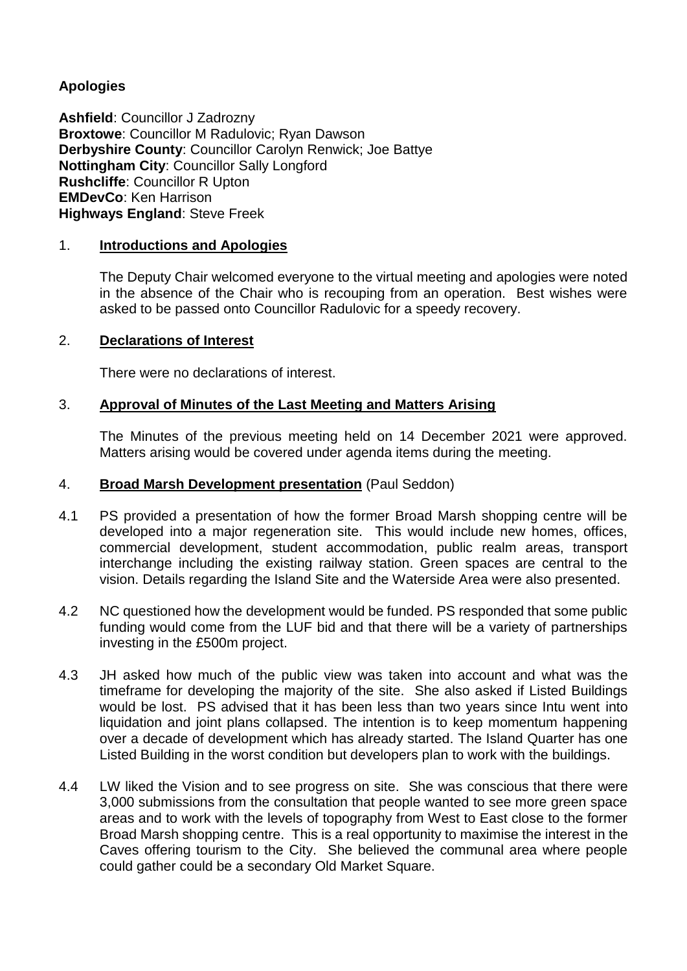## **Apologies**

**Ashfield**: Councillor J Zadrozny **Broxtowe**: Councillor M Radulovic; Ryan Dawson **Derbyshire County**: Councillor Carolyn Renwick; Joe Battye **Nottingham City**: Councillor Sally Longford **Rushcliffe**: Councillor R Upton **EMDevCo**: Ken Harrison **Highways England**: Steve Freek

## 1. **Introductions and Apologies**

The Deputy Chair welcomed everyone to the virtual meeting and apologies were noted in the absence of the Chair who is recouping from an operation. Best wishes were asked to be passed onto Councillor Radulovic for a speedy recovery.

## 2. **Declarations of Interest**

There were no declarations of interest.

## 3. **Approval of Minutes of the Last Meeting and Matters Arising**

The Minutes of the previous meeting held on 14 December 2021 were approved. Matters arising would be covered under agenda items during the meeting.

#### 4. **Broad Marsh Development presentation** (Paul Seddon)

- 4.1 PS provided a presentation of how the former Broad Marsh shopping centre will be developed into a major regeneration site. This would include new homes, offices, commercial development, student accommodation, public realm areas, transport interchange including the existing railway station. Green spaces are central to the vision. Details regarding the Island Site and the Waterside Area were also presented.
- 4.2 NC questioned how the development would be funded. PS responded that some public funding would come from the LUF bid and that there will be a variety of partnerships investing in the £500m project.
- 4.3 JH asked how much of the public view was taken into account and what was the timeframe for developing the majority of the site. She also asked if Listed Buildings would be lost. PS advised that it has been less than two years since Intu went into liquidation and joint plans collapsed. The intention is to keep momentum happening over a decade of development which has already started. The Island Quarter has one Listed Building in the worst condition but developers plan to work with the buildings.
- 4.4 LW liked the Vision and to see progress on site. She was conscious that there were 3,000 submissions from the consultation that people wanted to see more green space areas and to work with the levels of topography from West to East close to the former Broad Marsh shopping centre. This is a real opportunity to maximise the interest in the Caves offering tourism to the City. She believed the communal area where people could gather could be a secondary Old Market Square.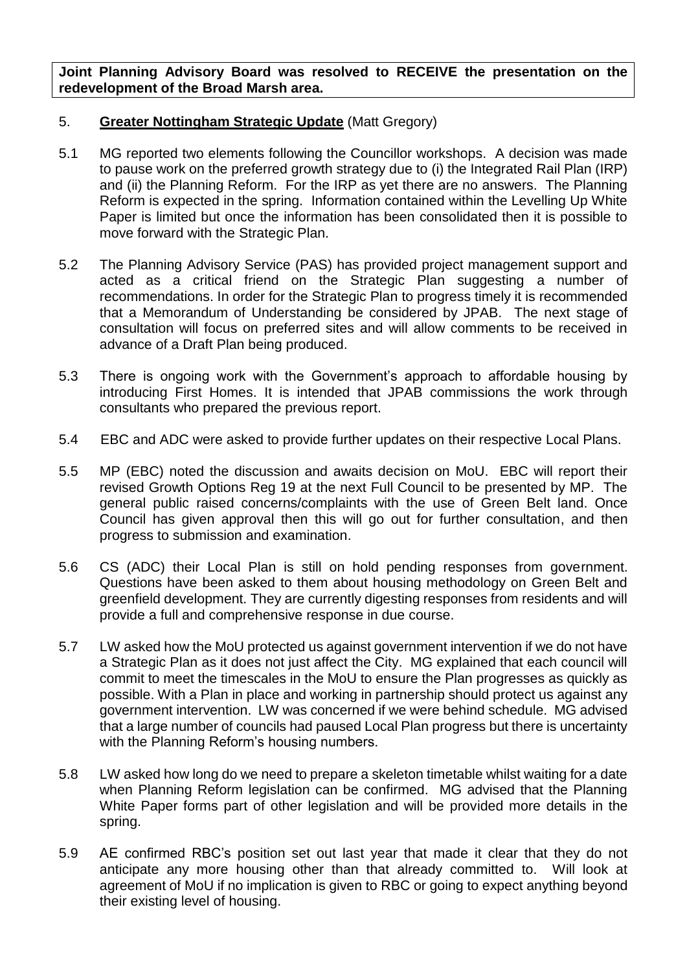**Joint Planning Advisory Board was resolved to RECEIVE the presentation on the redevelopment of the Broad Marsh area.**

## 5. **Greater Nottingham Strategic Update** (Matt Gregory)

- 5.1 MG reported two elements following the Councillor workshops. A decision was made to pause work on the preferred growth strategy due to (i) the Integrated Rail Plan (IRP) and (ii) the Planning Reform. For the IRP as yet there are no answers. The Planning Reform is expected in the spring. Information contained within the Levelling Up White Paper is limited but once the information has been consolidated then it is possible to move forward with the Strategic Plan.
- 5.2 The Planning Advisory Service (PAS) has provided project management support and acted as a critical friend on the Strategic Plan suggesting a number of recommendations. In order for the Strategic Plan to progress timely it is recommended that a Memorandum of Understanding be considered by JPAB. The next stage of consultation will focus on preferred sites and will allow comments to be received in advance of a Draft Plan being produced.
- 5.3 There is ongoing work with the Government's approach to affordable housing by introducing First Homes. It is intended that JPAB commissions the work through consultants who prepared the previous report.
- 5.4 EBC and ADC were asked to provide further updates on their respective Local Plans.
- 5.5 MP (EBC) noted the discussion and awaits decision on MoU. EBC will report their revised Growth Options Reg 19 at the next Full Council to be presented by MP. The general public raised concerns/complaints with the use of Green Belt land. Once Council has given approval then this will go out for further consultation, and then progress to submission and examination.
- 5.6 CS (ADC) their Local Plan is still on hold pending responses from government. Questions have been asked to them about housing methodology on Green Belt and greenfield development. They are currently digesting responses from residents and will provide a full and comprehensive response in due course.
- 5.7 LW asked how the MoU protected us against government intervention if we do not have a Strategic Plan as it does not just affect the City. MG explained that each council will commit to meet the timescales in the MoU to ensure the Plan progresses as quickly as possible. With a Plan in place and working in partnership should protect us against any government intervention. LW was concerned if we were behind schedule. MG advised that a large number of councils had paused Local Plan progress but there is uncertainty with the Planning Reform's housing numbers.
- 5.8 LW asked how long do we need to prepare a skeleton timetable whilst waiting for a date when Planning Reform legislation can be confirmed. MG advised that the Planning White Paper forms part of other legislation and will be provided more details in the spring.
- 5.9 AE confirmed RBC's position set out last year that made it clear that they do not anticipate any more housing other than that already committed to. Will look at agreement of MoU if no implication is given to RBC or going to expect anything beyond their existing level of housing.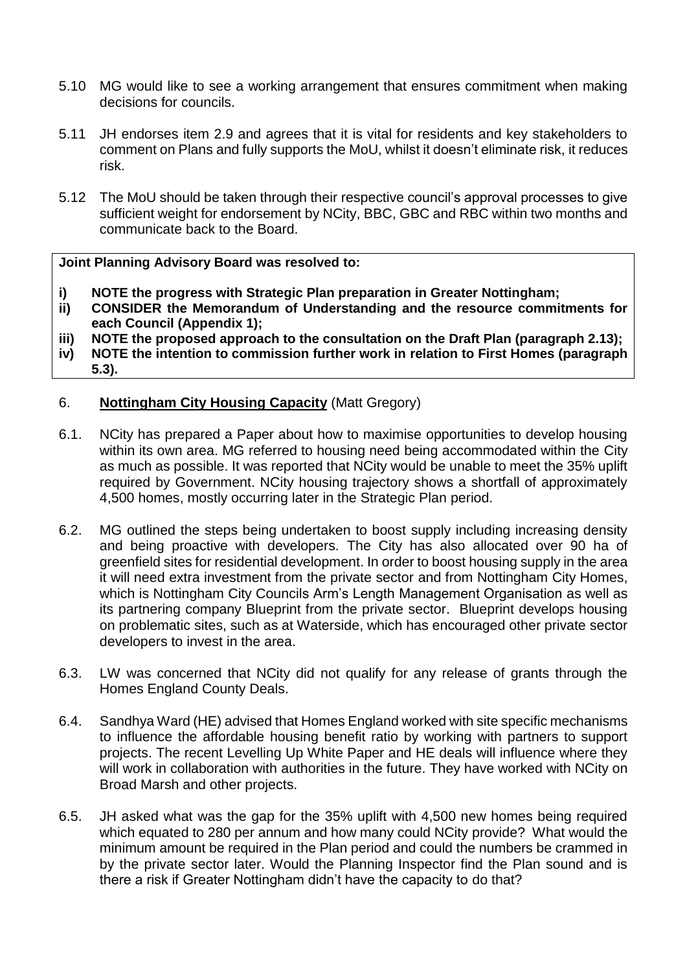- 5.10 MG would like to see a working arrangement that ensures commitment when making decisions for councils.
- 5.11 JH endorses item 2.9 and agrees that it is vital for residents and key stakeholders to comment on Plans and fully supports the MoU, whilst it doesn't eliminate risk, it reduces risk.
- 5.12 The MoU should be taken through their respective council's approval processes to give sufficient weight for endorsement by NCity, BBC, GBC and RBC within two months and communicate back to the Board.

#### **Joint Planning Advisory Board was resolved to:**

- **i) NOTE the progress with Strategic Plan preparation in Greater Nottingham;**
- **ii) CONSIDER the Memorandum of Understanding and the resource commitments for each Council (Appendix 1);**
- **iii) NOTE the proposed approach to the consultation on the Draft Plan (paragraph 2.13);**
- **iv) NOTE the intention to commission further work in relation to First Homes (paragraph 5.3).**

## 6. **Nottingham City Housing Capacity** (Matt Gregory)

- 6.1. NCity has prepared a Paper about how to maximise opportunities to develop housing within its own area. MG referred to housing need being accommodated within the City as much as possible. It was reported that NCity would be unable to meet the 35% uplift required by Government. NCity housing trajectory shows a shortfall of approximately 4,500 homes, mostly occurring later in the Strategic Plan period.
- 6.2. MG outlined the steps being undertaken to boost supply including increasing density and being proactive with developers. The City has also allocated over 90 ha of greenfield sites for residential development. In order to boost housing supply in the area it will need extra investment from the private sector and from Nottingham City Homes, which is Nottingham City Councils Arm's Length Management Organisation as well as its partnering company Blueprint from the private sector. Blueprint develops housing on problematic sites, such as at Waterside, which has encouraged other private sector developers to invest in the area.
- 6.3. LW was concerned that NCity did not qualify for any release of grants through the Homes England County Deals.
- 6.4. Sandhya Ward (HE) advised that Homes England worked with site specific mechanisms to influence the affordable housing benefit ratio by working with partners to support projects. The recent Levelling Up White Paper and HE deals will influence where they will work in collaboration with authorities in the future. They have worked with NCity on Broad Marsh and other projects.
- 6.5. JH asked what was the gap for the 35% uplift with 4,500 new homes being required which equated to 280 per annum and how many could NCity provide? What would the minimum amount be required in the Plan period and could the numbers be crammed in by the private sector later. Would the Planning Inspector find the Plan sound and is there a risk if Greater Nottingham didn't have the capacity to do that?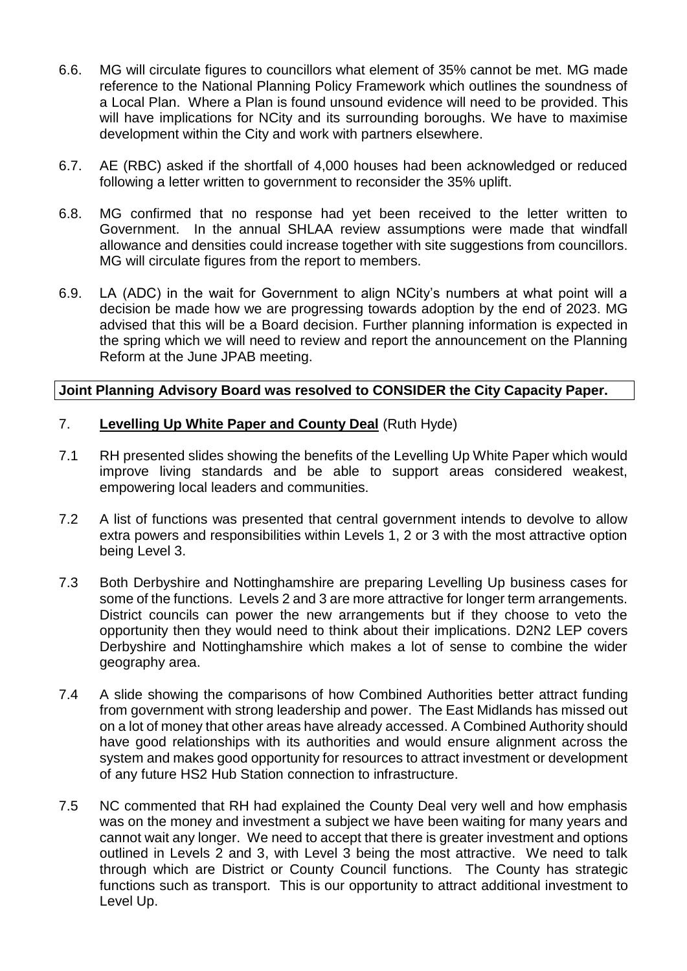- 6.6. MG will circulate figures to councillors what element of 35% cannot be met. MG made reference to the National Planning Policy Framework which outlines the soundness of a Local Plan. Where a Plan is found unsound evidence will need to be provided. This will have implications for NCity and its surrounding boroughs. We have to maximise development within the City and work with partners elsewhere.
- 6.7. AE (RBC) asked if the shortfall of 4,000 houses had been acknowledged or reduced following a letter written to government to reconsider the 35% uplift.
- 6.8. MG confirmed that no response had yet been received to the letter written to Government. In the annual SHLAA review assumptions were made that windfall allowance and densities could increase together with site suggestions from councillors. MG will circulate figures from the report to members.
- 6.9. LA (ADC) in the wait for Government to align NCity's numbers at what point will a decision be made how we are progressing towards adoption by the end of 2023. MG advised that this will be a Board decision. Further planning information is expected in the spring which we will need to review and report the announcement on the Planning Reform at the June JPAB meeting.

## **Joint Planning Advisory Board was resolved to CONSIDER the City Capacity Paper.**

## 7. **Levelling Up White Paper and County Deal** (Ruth Hyde)

- 7.1 RH presented slides showing the benefits of the Levelling Up White Paper which would improve living standards and be able to support areas considered weakest, empowering local leaders and communities.
- 7.2 A list of functions was presented that central government intends to devolve to allow extra powers and responsibilities within Levels 1, 2 or 3 with the most attractive option being Level 3.
- 7.3 Both Derbyshire and Nottinghamshire are preparing Levelling Up business cases for some of the functions. Levels 2 and 3 are more attractive for longer term arrangements. District councils can power the new arrangements but if they choose to veto the opportunity then they would need to think about their implications. D2N2 LEP covers Derbyshire and Nottinghamshire which makes a lot of sense to combine the wider geography area.
- 7.4 A slide showing the comparisons of how Combined Authorities better attract funding from government with strong leadership and power. The East Midlands has missed out on a lot of money that other areas have already accessed. A Combined Authority should have good relationships with its authorities and would ensure alignment across the system and makes good opportunity for resources to attract investment or development of any future HS2 Hub Station connection to infrastructure.
- 7.5 NC commented that RH had explained the County Deal very well and how emphasis was on the money and investment a subject we have been waiting for many years and cannot wait any longer. We need to accept that there is greater investment and options outlined in Levels 2 and 3, with Level 3 being the most attractive. We need to talk through which are District or County Council functions. The County has strategic functions such as transport. This is our opportunity to attract additional investment to Level Up.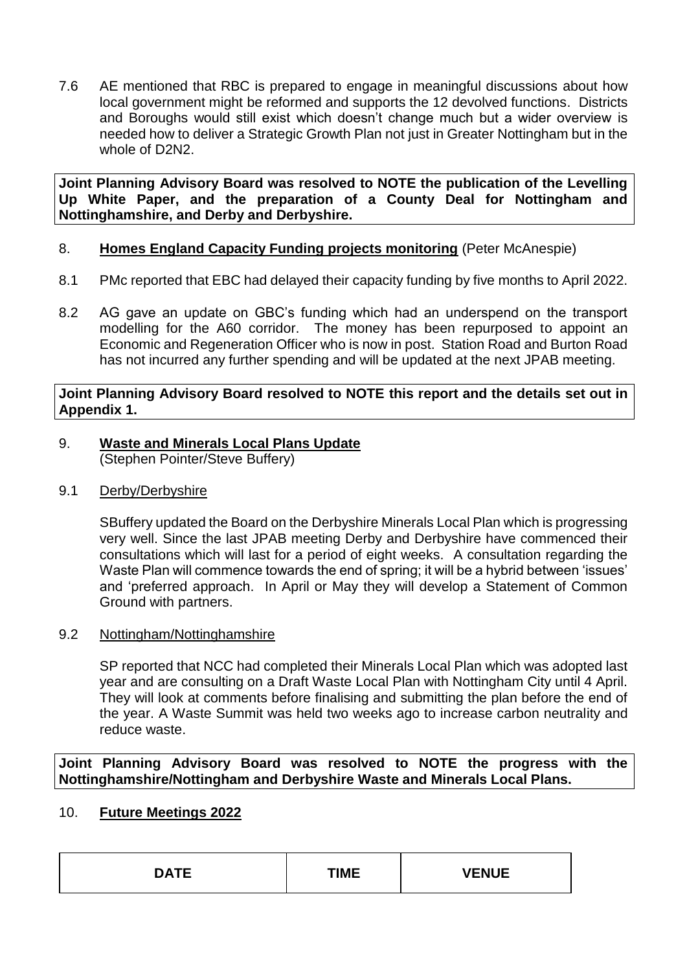7.6 AE mentioned that RBC is prepared to engage in meaningful discussions about how local government might be reformed and supports the 12 devolved functions. Districts and Boroughs would still exist which doesn't change much but a wider overview is needed how to deliver a Strategic Growth Plan not just in Greater Nottingham but in the whole of D2N2.

**Joint Planning Advisory Board was resolved to NOTE the publication of the Levelling Up White Paper, and the preparation of a County Deal for Nottingham and Nottinghamshire, and Derby and Derbyshire.**

## 8. **Homes England Capacity Funding projects monitoring** (Peter McAnespie)

- 8.1 PMc reported that EBC had delayed their capacity funding by five months to April 2022.
- 8.2 AG gave an update on GBC's funding which had an underspend on the transport modelling for the A60 corridor. The money has been repurposed to appoint an Economic and Regeneration Officer who is now in post. Station Road and Burton Road has not incurred any further spending and will be updated at the next JPAB meeting.

## **Joint Planning Advisory Board resolved to NOTE this report and the details set out in Appendix 1.**

- 9. **Waste and Minerals Local Plans Update** (Stephen Pointer/Steve Buffery)
- 9.1 Derby/Derbyshire

SBuffery updated the Board on the Derbyshire Minerals Local Plan which is progressing very well. Since the last JPAB meeting Derby and Derbyshire have commenced their consultations which will last for a period of eight weeks. A consultation regarding the Waste Plan will commence towards the end of spring; it will be a hybrid between 'issues' and 'preferred approach. In April or May they will develop a Statement of Common Ground with partners.

## 9.2 Nottingham/Nottinghamshire

SP reported that NCC had completed their Minerals Local Plan which was adopted last year and are consulting on a Draft Waste Local Plan with Nottingham City until 4 April. They will look at comments before finalising and submitting the plan before the end of the year. A Waste Summit was held two weeks ago to increase carbon neutrality and reduce waste.

**Joint Planning Advisory Board was resolved to NOTE the progress with the Nottinghamshire/Nottingham and Derbyshire Waste and Minerals Local Plans.**

## 10. **Future Meetings 2022**

| DATE | TIME | $\overline{r}$<br>◝∟ैै। |
|------|------|-------------------------|
|------|------|-------------------------|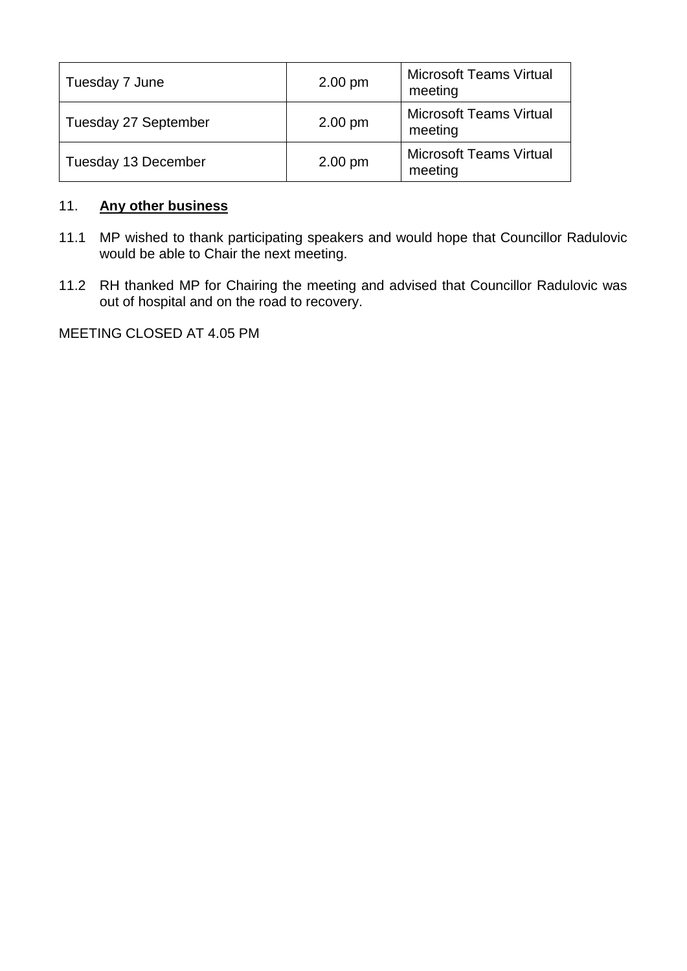| Tuesday 7 June       | $2.00 \text{ pm}$ | <b>Microsoft Teams Virtual</b><br>meeting |
|----------------------|-------------------|-------------------------------------------|
| Tuesday 27 September | $2.00 \text{ pm}$ | <b>Microsoft Teams Virtual</b><br>meeting |
| Tuesday 13 December  | $2.00 \text{ pm}$ | <b>Microsoft Teams Virtual</b><br>meeting |

## 11. **Any other business**

- 11.1 MP wished to thank participating speakers and would hope that Councillor Radulovic would be able to Chair the next meeting.
- 11.2 RH thanked MP for Chairing the meeting and advised that Councillor Radulovic was out of hospital and on the road to recovery.

MEETING CLOSED AT 4.05 PM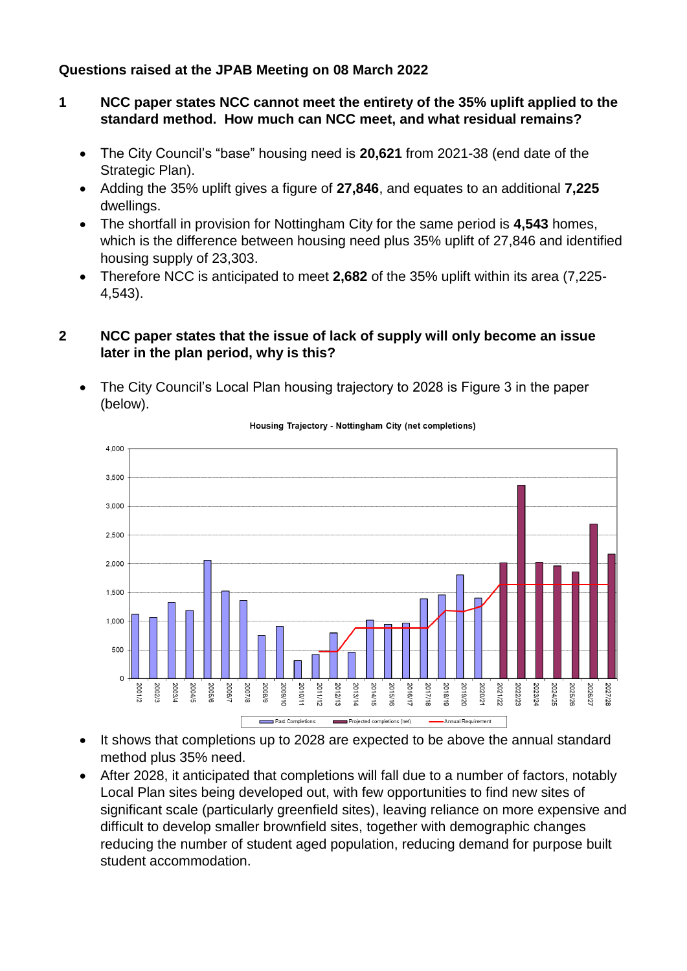## **Questions raised at the JPAB Meeting on 08 March 2022**

- **1 NCC paper states NCC cannot meet the entirety of the 35% uplift applied to the standard method. How much can NCC meet, and what residual remains?**
	- The City Council's "base" housing need is **20,621** from 2021-38 (end date of the Strategic Plan).
	- Adding the 35% uplift gives a figure of **27,846**, and equates to an additional **7,225** dwellings.
	- The shortfall in provision for Nottingham City for the same period is **4,543** homes, which is the difference between housing need plus 35% uplift of 27,846 and identified housing supply of 23,303.
	- Therefore NCC is anticipated to meet **2,682** of the 35% uplift within its area (7,225- 4,543).

## **2 NCC paper states that the issue of lack of supply will only become an issue later in the plan period, why is this?**

 The City Council's Local Plan housing trajectory to 2028 is Figure 3 in the paper (below).



Housing Traiectory - Nottingham City (net completions)

- It shows that completions up to 2028 are expected to be above the annual standard method plus 35% need.
- After 2028, it anticipated that completions will fall due to a number of factors, notably Local Plan sites being developed out, with few opportunities to find new sites of significant scale (particularly greenfield sites), leaving reliance on more expensive and difficult to develop smaller brownfield sites, together with demographic changes reducing the number of student aged population, reducing demand for purpose built student accommodation.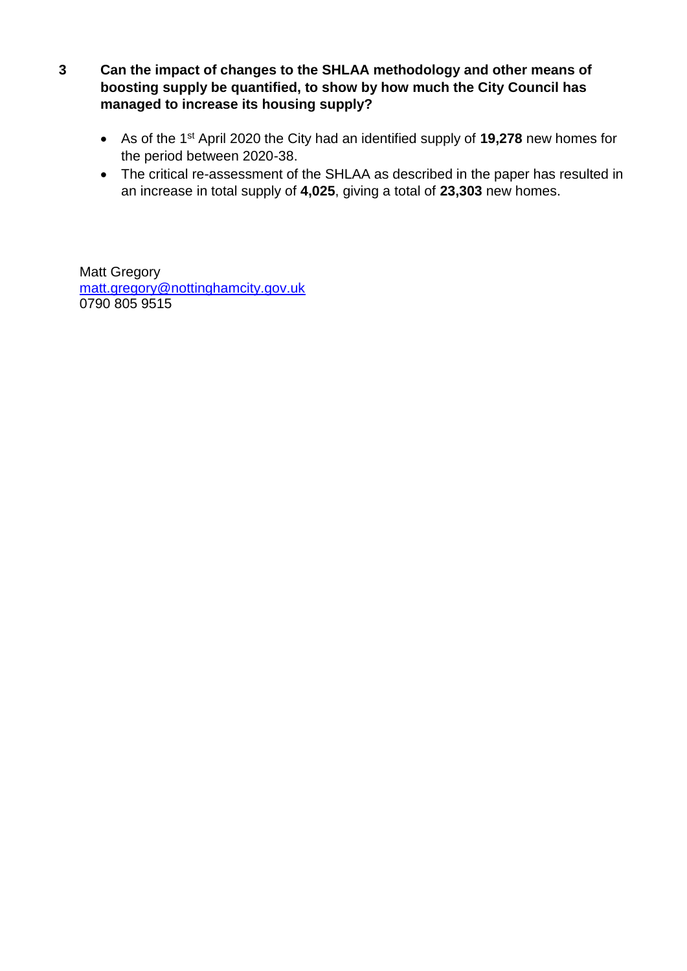- **3 Can the impact of changes to the SHLAA methodology and other means of boosting supply be quantified, to show by how much the City Council has managed to increase its housing supply?**
	- As of the 1st April 2020 the City had an identified supply of **19,278** new homes for the period between 2020-38.
	- The critical re-assessment of the SHLAA as described in the paper has resulted in an increase in total supply of **4,025**, giving a total of **23,303** new homes.

Matt Gregory [matt.gregory@nottinghamcity.gov.uk](mailto:matt.gregory@nottinghamcity.gov.uk) 0790 805 9515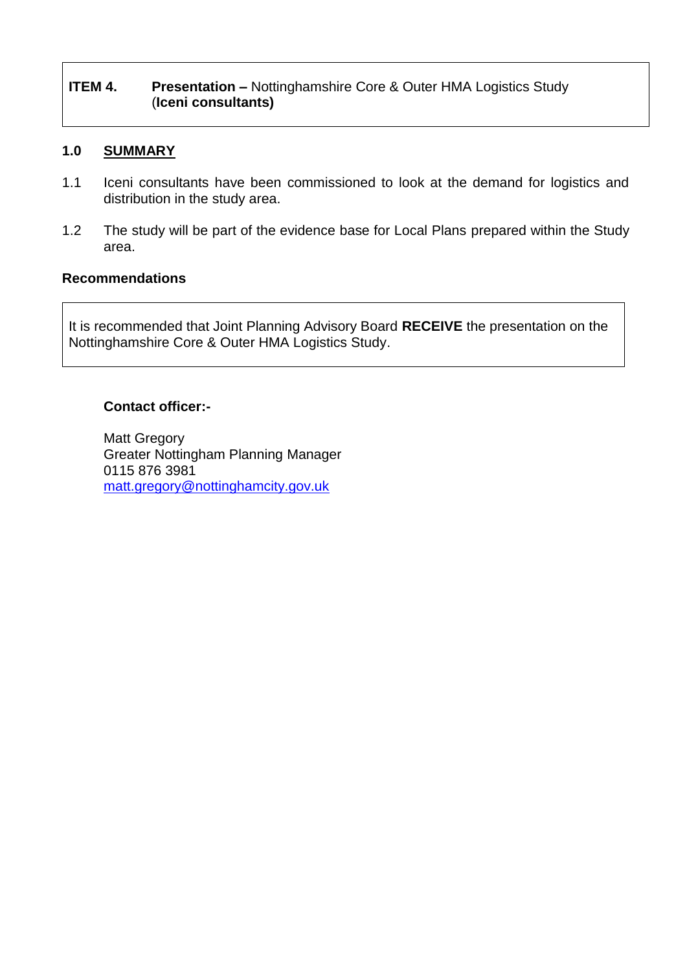## **ITEM 4.** Presentation – Nottinghamshire Core & Outer HMA Logistics Study (**Iceni consultants)**

## **1.0 SUMMARY**

- 1.1 Iceni consultants have been commissioned to look at the demand for logistics and distribution in the study area.
- 1.2 The study will be part of the evidence base for Local Plans prepared within the Study area.

## **Recommendations**

It is recommended that Joint Planning Advisory Board **RECEIVE** the presentation on the Nottinghamshire Core & Outer HMA Logistics Study.

## **Contact officer:-**

Matt Gregory Greater Nottingham Planning Manager 0115 876 3981 [matt.gregory@nottinghamcity.gov.uk](mailto:matt.gregory@nottinghamcity.gov.uk)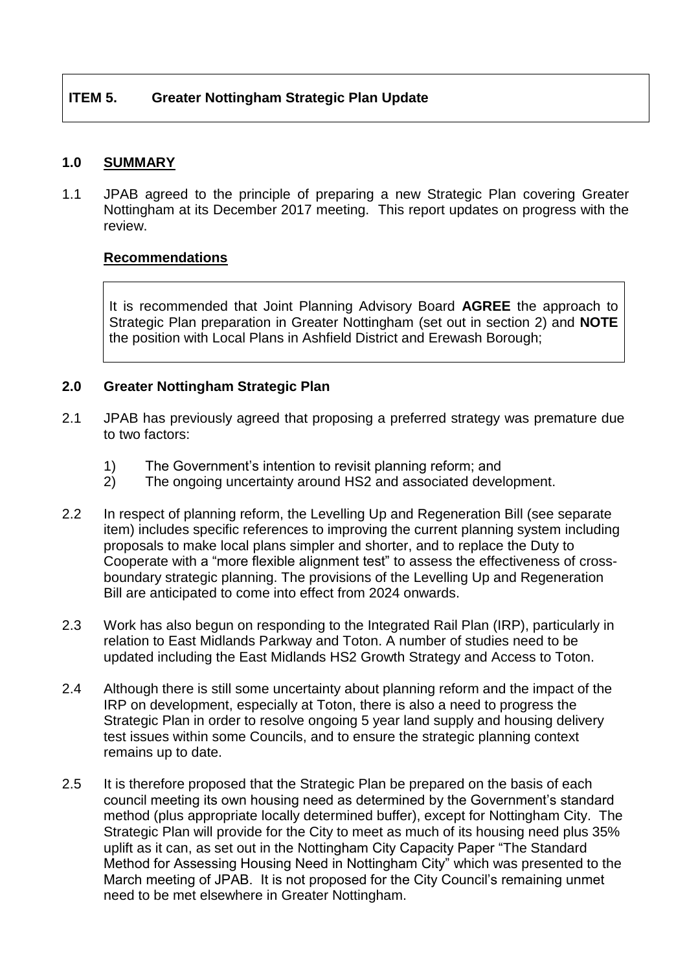## **1.0 SUMMARY**

1.1 JPAB agreed to the principle of preparing a new Strategic Plan covering Greater Nottingham at its December 2017 meeting. This report updates on progress with the review.

## **Recommendations**

It is recommended that Joint Planning Advisory Board **AGREE** the approach to Strategic Plan preparation in Greater Nottingham (set out in section 2) and **NOTE** the position with Local Plans in Ashfield District and Erewash Borough;

## **2.0 Greater Nottingham Strategic Plan**

- 2.1 JPAB has previously agreed that proposing a preferred strategy was premature due to two factors:
	- 1) The Government's intention to revisit planning reform; and
	- 2) The ongoing uncertainty around HS2 and associated development.
- 2.2 In respect of planning reform, the Levelling Up and Regeneration Bill (see separate item) includes specific references to improving the current planning system including proposals to make local plans simpler and shorter, and to replace the Duty to Cooperate with a "more flexible alignment test" to assess the effectiveness of crossboundary strategic planning. The provisions of the Levelling Up and Regeneration Bill are anticipated to come into effect from 2024 onwards.
- 2.3 Work has also begun on responding to the Integrated Rail Plan (IRP), particularly in relation to East Midlands Parkway and Toton. A number of studies need to be updated including the East Midlands HS2 Growth Strategy and Access to Toton.
- 2.4 Although there is still some uncertainty about planning reform and the impact of the IRP on development, especially at Toton, there is also a need to progress the Strategic Plan in order to resolve ongoing 5 year land supply and housing delivery test issues within some Councils, and to ensure the strategic planning context remains up to date.
- 2.5 It is therefore proposed that the Strategic Plan be prepared on the basis of each council meeting its own housing need as determined by the Government's standard method (plus appropriate locally determined buffer), except for Nottingham City. The Strategic Plan will provide for the City to meet as much of its housing need plus 35% uplift as it can, as set out in the Nottingham City Capacity Paper "The Standard Method for Assessing Housing Need in Nottingham City" which was presented to the March meeting of JPAB. It is not proposed for the City Council's remaining unmet need to be met elsewhere in Greater Nottingham.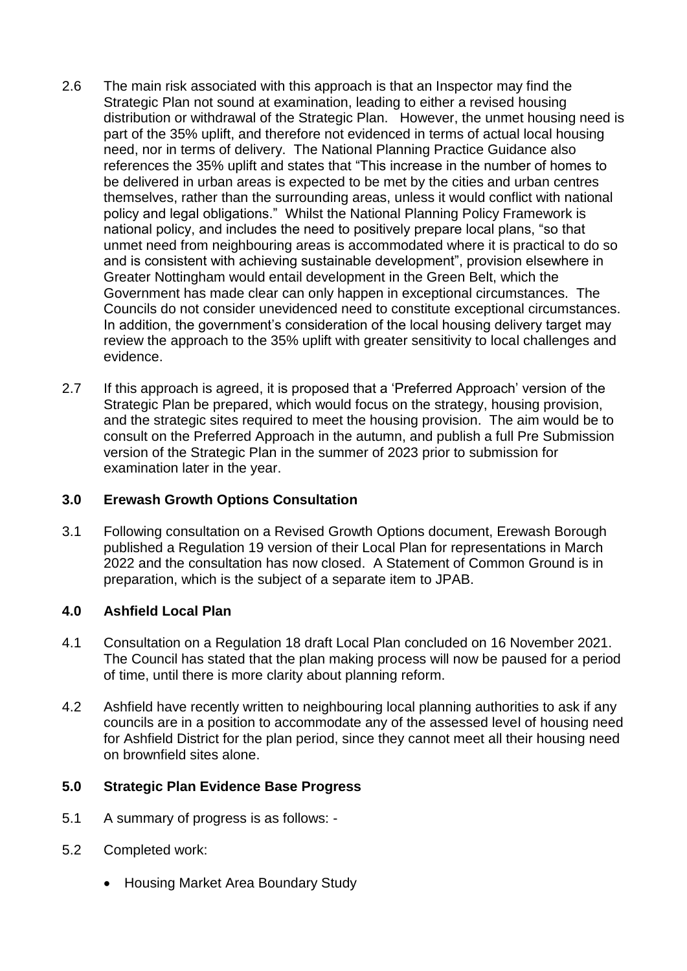- 2.6 The main risk associated with this approach is that an Inspector may find the Strategic Plan not sound at examination, leading to either a revised housing distribution or withdrawal of the Strategic Plan. However, the unmet housing need is part of the 35% uplift, and therefore not evidenced in terms of actual local housing need, nor in terms of delivery. The National Planning Practice Guidance also references the 35% uplift and states that "This increase in the number of homes to be delivered in urban areas is expected to be met by the cities and urban centres themselves, rather than the surrounding areas, unless it would conflict with national policy and legal obligations." Whilst the National Planning Policy Framework is national policy, and includes the need to positively prepare local plans, "so that unmet need from neighbouring areas is accommodated where it is practical to do so and is consistent with achieving sustainable development", provision elsewhere in Greater Nottingham would entail development in the Green Belt, which the Government has made clear can only happen in exceptional circumstances. The Councils do not consider unevidenced need to constitute exceptional circumstances. In addition, the government's consideration of the local housing delivery target may review the approach to the 35% uplift with greater sensitivity to local challenges and evidence.
- 2.7 If this approach is agreed, it is proposed that a 'Preferred Approach' version of the Strategic Plan be prepared, which would focus on the strategy, housing provision, and the strategic sites required to meet the housing provision. The aim would be to consult on the Preferred Approach in the autumn, and publish a full Pre Submission version of the Strategic Plan in the summer of 2023 prior to submission for examination later in the year.

## **3.0 Erewash Growth Options Consultation**

3.1 Following consultation on a Revised Growth Options document, Erewash Borough published a Regulation 19 version of their Local Plan for representations in March 2022 and the consultation has now closed. A Statement of Common Ground is in preparation, which is the subject of a separate item to JPAB.

## **4.0 Ashfield Local Plan**

- 4.1 Consultation on a Regulation 18 draft Local Plan concluded on 16 November 2021. The Council has stated that the plan making process will now be paused for a period of time, until there is more clarity about planning reform.
- 4.2 Ashfield have recently written to neighbouring local planning authorities to ask if any councils are in a position to accommodate any of the assessed level of housing need for Ashfield District for the plan period, since they cannot meet all their housing need on brownfield sites alone.

## **5.0 Strategic Plan Evidence Base Progress**

- 5.1 A summary of progress is as follows: -
- 5.2 Completed work:
	- Housing Market Area Boundary Study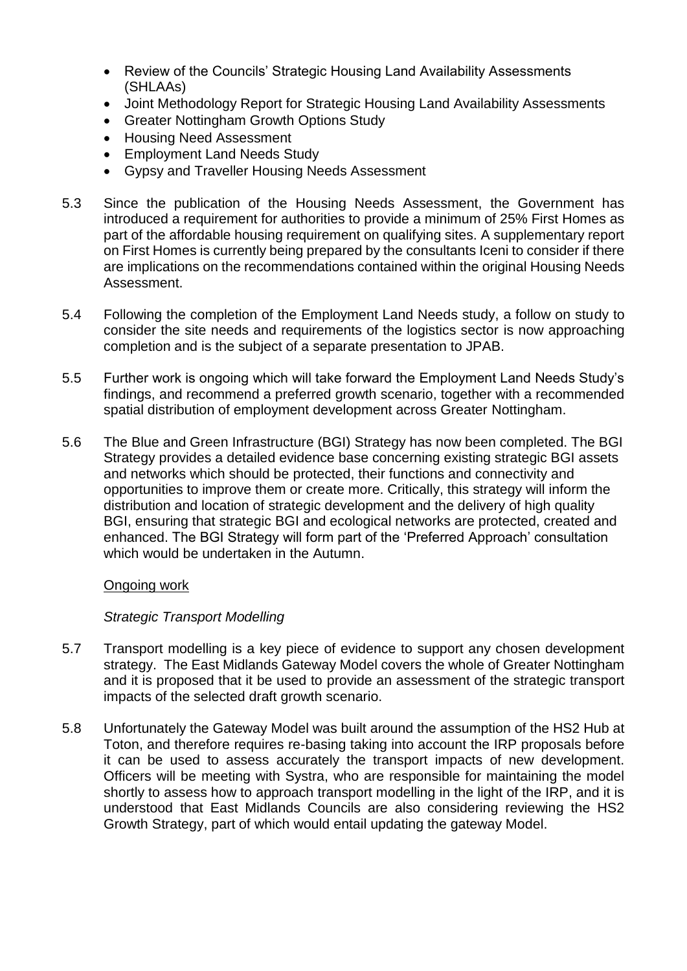- Review of the Councils' Strategic Housing Land Availability Assessments (SHLAAs)
- Joint Methodology Report for Strategic Housing Land Availability Assessments
- Greater Nottingham Growth Options Study
- Housing Need Assessment
- Employment Land Needs Study
- Gypsy and Traveller Housing Needs Assessment
- 5.3 Since the publication of the Housing Needs Assessment, the Government has introduced a requirement for authorities to provide a minimum of 25% First Homes as part of the affordable housing requirement on qualifying sites. A supplementary report on First Homes is currently being prepared by the consultants Iceni to consider if there are implications on the recommendations contained within the original Housing Needs Assessment.
- 5.4 Following the completion of the Employment Land Needs study, a follow on study to consider the site needs and requirements of the logistics sector is now approaching completion and is the subject of a separate presentation to JPAB.
- 5.5 Further work is ongoing which will take forward the Employment Land Needs Study's findings, and recommend a preferred growth scenario, together with a recommended spatial distribution of employment development across Greater Nottingham.
- 5.6 The Blue and Green Infrastructure (BGI) Strategy has now been completed. The BGI Strategy provides a detailed evidence base concerning existing strategic BGI assets and networks which should be protected, their functions and connectivity and opportunities to improve them or create more. Critically, this strategy will inform the distribution and location of strategic development and the delivery of high quality BGI, ensuring that strategic BGI and ecological networks are protected, created and enhanced. The BGI Strategy will form part of the 'Preferred Approach' consultation which would be undertaken in the Autumn.

## Ongoing work

## *Strategic Transport Modelling*

- 5.7 Transport modelling is a key piece of evidence to support any chosen development strategy. The East Midlands Gateway Model covers the whole of Greater Nottingham and it is proposed that it be used to provide an assessment of the strategic transport impacts of the selected draft growth scenario.
- 5.8 Unfortunately the Gateway Model was built around the assumption of the HS2 Hub at Toton, and therefore requires re-basing taking into account the IRP proposals before it can be used to assess accurately the transport impacts of new development. Officers will be meeting with Systra, who are responsible for maintaining the model shortly to assess how to approach transport modelling in the light of the IRP, and it is understood that East Midlands Councils are also considering reviewing the HS2 Growth Strategy, part of which would entail updating the gateway Model.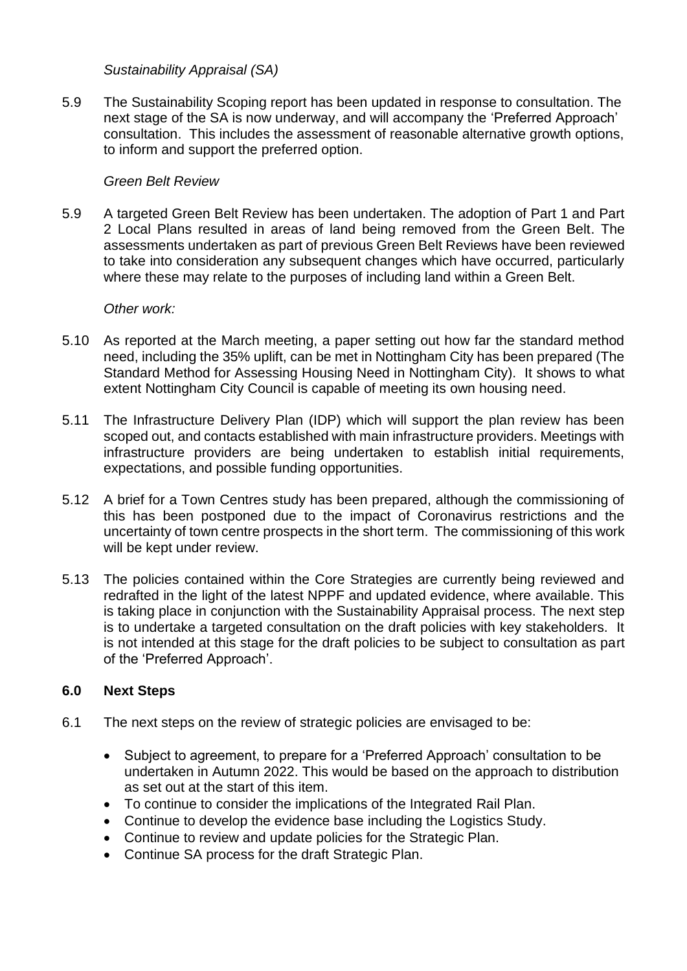*Sustainability Appraisal (SA)*

5.9 The Sustainability Scoping report has been updated in response to consultation. The next stage of the SA is now underway, and will accompany the 'Preferred Approach' consultation. This includes the assessment of reasonable alternative growth options, to inform and support the preferred option.

#### *Green Belt Review*

5.9 A targeted Green Belt Review has been undertaken. The adoption of Part 1 and Part 2 Local Plans resulted in areas of land being removed from the Green Belt. The assessments undertaken as part of previous Green Belt Reviews have been reviewed to take into consideration any subsequent changes which have occurred, particularly where these may relate to the purposes of including land within a Green Belt.

#### *Other work:*

- 5.10 As reported at the March meeting, a paper setting out how far the standard method need, including the 35% uplift, can be met in Nottingham City has been prepared (The Standard Method for Assessing Housing Need in Nottingham City). It shows to what extent Nottingham City Council is capable of meeting its own housing need.
- 5.11 The Infrastructure Delivery Plan (IDP) which will support the plan review has been scoped out, and contacts established with main infrastructure providers. Meetings with infrastructure providers are being undertaken to establish initial requirements, expectations, and possible funding opportunities.
- 5.12 A brief for a Town Centres study has been prepared, although the commissioning of this has been postponed due to the impact of Coronavirus restrictions and the uncertainty of town centre prospects in the short term. The commissioning of this work will be kept under review.
- 5.13 The policies contained within the Core Strategies are currently being reviewed and redrafted in the light of the latest NPPF and updated evidence, where available. This is taking place in conjunction with the Sustainability Appraisal process. The next step is to undertake a targeted consultation on the draft policies with key stakeholders. It is not intended at this stage for the draft policies to be subject to consultation as part of the 'Preferred Approach'.

## **6.0 Next Steps**

- 6.1 The next steps on the review of strategic policies are envisaged to be:
	- Subject to agreement, to prepare for a 'Preferred Approach' consultation to be undertaken in Autumn 2022. This would be based on the approach to distribution as set out at the start of this item.
	- To continue to consider the implications of the Integrated Rail Plan.
	- Continue to develop the evidence base including the Logistics Study.
	- Continue to review and update policies for the Strategic Plan.
	- Continue SA process for the draft Strategic Plan.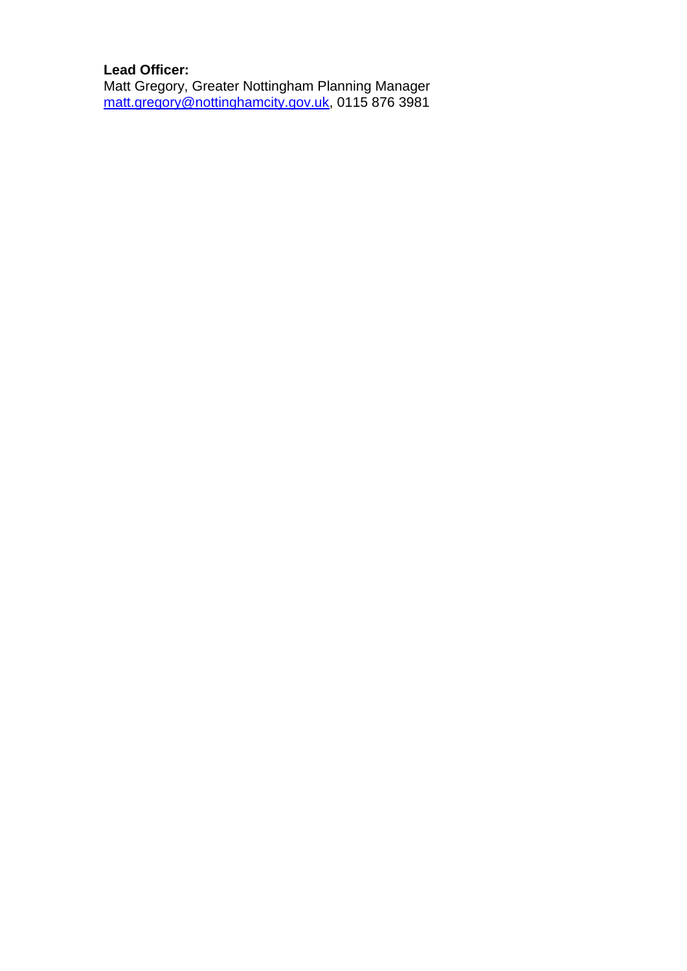## **Lead Officer:**

Matt Gregory, Greater Nottingham Planning Manager [matt.gregory@nottinghamcity.gov.uk,](mailto:matt.gregory@nottinghamcity.gov.uk) 0115 876 3981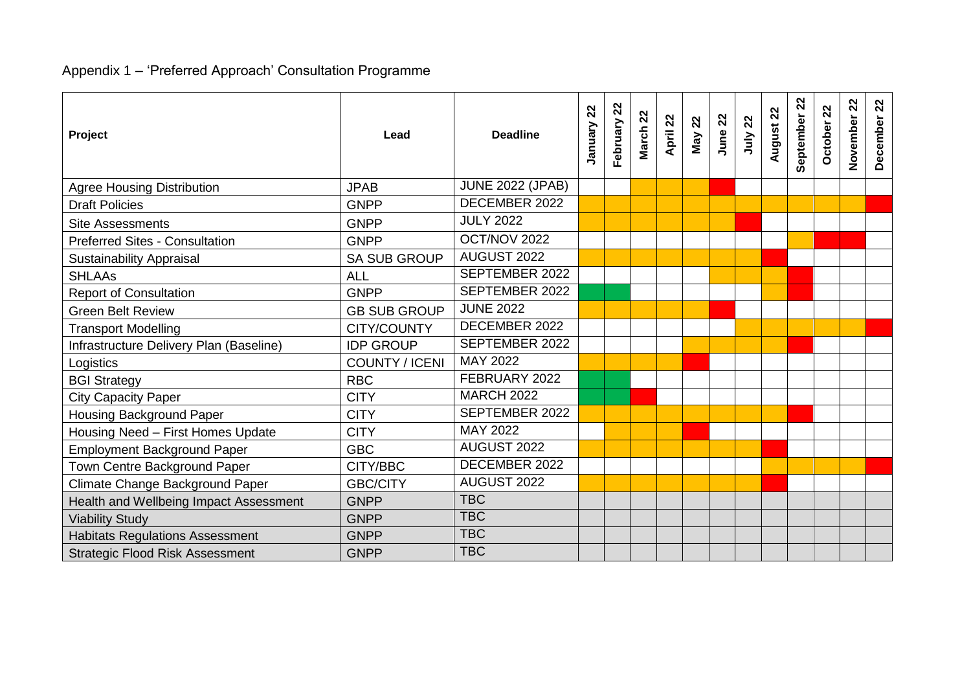#### Appendix 1 – 'Preferred Approach' Consultation Programme

| Project                                 | Lead                  | <b>Deadline</b>         | 22<br>January | 22<br>February | March 22 | April 22 | May 22 | June 22 | 22<br>July. | August 22 | 22<br>September | October 22 | 22<br>November | $\boldsymbol{\mathcal{Z}}$<br>December |
|-----------------------------------------|-----------------------|-------------------------|---------------|----------------|----------|----------|--------|---------|-------------|-----------|-----------------|------------|----------------|----------------------------------------|
| <b>Agree Housing Distribution</b>       | <b>JPAB</b>           | <b>JUNE 2022 (JPAB)</b> |               |                |          |          |        |         |             |           |                 |            |                |                                        |
| <b>Draft Policies</b>                   | <b>GNPP</b>           | DECEMBER 2022           |               |                |          |          |        |         |             |           |                 |            |                |                                        |
| <b>Site Assessments</b>                 | <b>GNPP</b>           | <b>JULY 2022</b>        |               |                |          |          |        |         |             |           |                 |            |                |                                        |
| <b>Preferred Sites - Consultation</b>   | <b>GNPP</b>           | OCT/NOV 2022            |               |                |          |          |        |         |             |           |                 |            |                |                                        |
| <b>Sustainability Appraisal</b>         | <b>SA SUB GROUP</b>   | AUGUST 2022             |               |                |          |          |        |         |             |           |                 |            |                |                                        |
| <b>SHLAAs</b>                           | <b>ALL</b>            | SEPTEMBER 2022          |               |                |          |          |        |         |             |           |                 |            |                |                                        |
| <b>Report of Consultation</b>           | <b>GNPP</b>           | <b>SEPTEMBER 2022</b>   |               |                |          |          |        |         |             |           |                 |            |                |                                        |
| <b>Green Belt Review</b>                | <b>GB SUB GROUP</b>   | <b>JUNE 2022</b>        |               |                |          |          |        |         |             |           |                 |            |                |                                        |
| <b>Transport Modelling</b>              | CITY/COUNTY           | DECEMBER 2022           |               |                |          |          |        |         |             |           |                 |            |                |                                        |
| Infrastructure Delivery Plan (Baseline) | <b>IDP GROUP</b>      | SEPTEMBER 2022          |               |                |          |          |        |         |             |           |                 |            |                |                                        |
| Logistics                               | <b>COUNTY / ICENI</b> | MAY 2022                |               |                |          |          |        |         |             |           |                 |            |                |                                        |
| <b>BGI Strategy</b>                     | <b>RBC</b>            | FEBRUARY 2022           |               |                |          |          |        |         |             |           |                 |            |                |                                        |
| <b>City Capacity Paper</b>              | <b>CITY</b>           | <b>MARCH 2022</b>       |               |                |          |          |        |         |             |           |                 |            |                |                                        |
| <b>Housing Background Paper</b>         | <b>CITY</b>           | SEPTEMBER 2022          |               |                |          |          |        |         |             |           |                 |            |                |                                        |
| Housing Need - First Homes Update       | <b>CITY</b>           | MAY 2022                |               |                |          |          |        |         |             |           |                 |            |                |                                        |
| <b>Employment Background Paper</b>      | <b>GBC</b>            | AUGUST 2022             |               |                |          |          |        |         |             |           |                 |            |                |                                        |
| Town Centre Background Paper            | CITY/BBC              | DECEMBER 2022           |               |                |          |          |        |         |             |           |                 |            |                |                                        |
| Climate Change Background Paper         | <b>GBC/CITY</b>       | AUGUST 2022             |               |                |          |          |        |         |             |           |                 |            |                |                                        |
| Health and Wellbeing Impact Assessment  | <b>GNPP</b>           | <b>TBC</b>              |               |                |          |          |        |         |             |           |                 |            |                |                                        |
| <b>Viability Study</b>                  | <b>GNPP</b>           | <b>TBC</b>              |               |                |          |          |        |         |             |           |                 |            |                |                                        |
| <b>Habitats Regulations Assessment</b>  | <b>GNPP</b>           | <b>TBC</b>              |               |                |          |          |        |         |             |           |                 |            |                |                                        |
| <b>Strategic Flood Risk Assessment</b>  | <b>GNPP</b>           | <b>TBC</b>              |               |                |          |          |        |         |             |           |                 |            |                |                                        |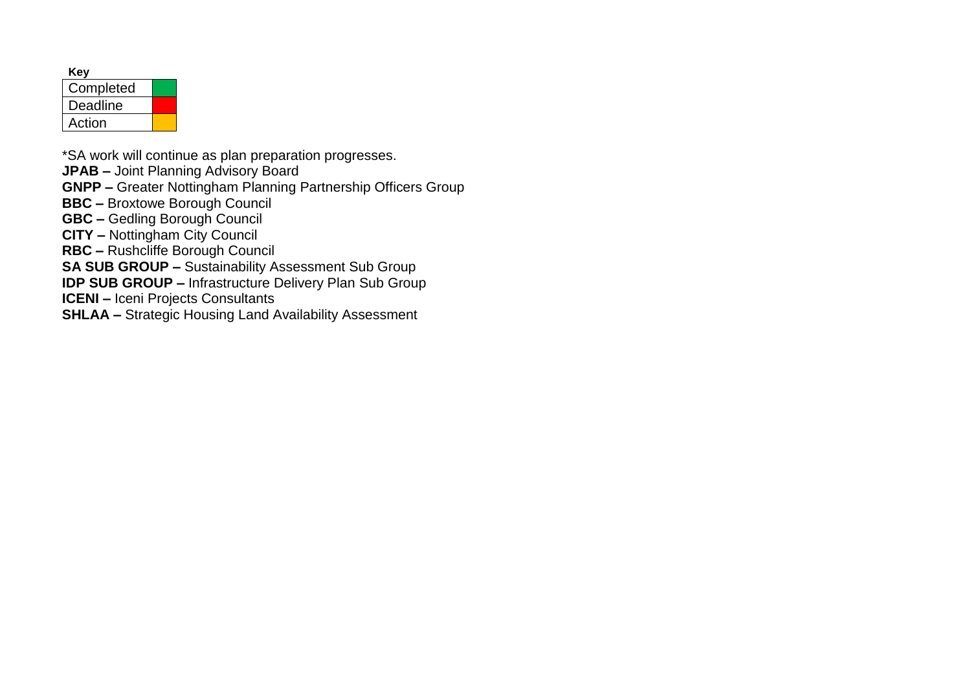| Kev       |  |
|-----------|--|
| Completed |  |
| Deadline  |  |
| Action    |  |

\*SA work will continue as plan preparation progresses.

**JPAB –** Joint Planning Advisory Board

**GNPP –** Greater Nottingham Planning Partnership Officers Group

**BBC –** Broxtowe Borough Council

**GBC –** Gedling Borough Council

**CITY –** Nottingham City Council

**RBC –** Rushcliffe Borough Council

**SA SUB GROUP –** Sustainability Assessment Sub Group

**IDP SUB GROUP –** Infrastructure Delivery Plan Sub Group

**ICENI –** Iceni Projects Consultants

**SHLAA –** Strategic Housing Land Availability Assessment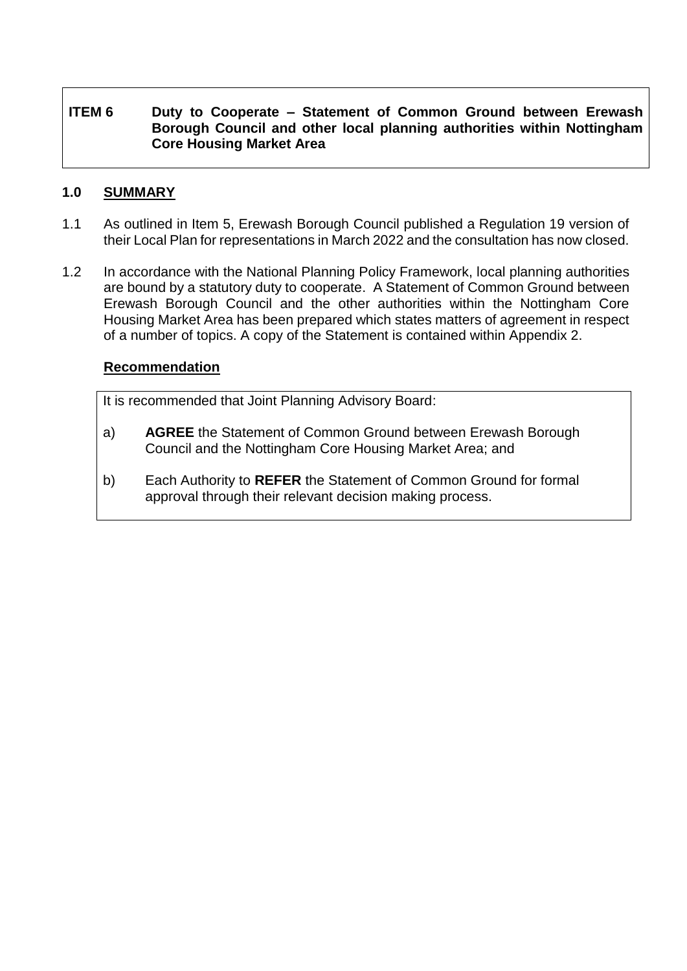## **ITEM 6 Duty to Cooperate – Statement of Common Ground between Erewash Borough Council and other local planning authorities within Nottingham Core Housing Market Area**

## **1.0 SUMMARY**

- 1.1 As outlined in Item 5, Erewash Borough Council published a Regulation 19 version of their Local Plan for representations in March 2022 and the consultation has now closed.
- 1.2 In accordance with the National Planning Policy Framework, local planning authorities are bound by a statutory duty to cooperate. A Statement of Common Ground between Erewash Borough Council and the other authorities within the Nottingham Core Housing Market Area has been prepared which states matters of agreement in respect of a number of topics. A copy of the Statement is contained within Appendix 2.

#### **Recommendation**

It is recommended that Joint Planning Advisory Board:

- a) **AGREE** the Statement of Common Ground between Erewash Borough Council and the Nottingham Core Housing Market Area; and
- b) Each Authority to **REFER** the Statement of Common Ground for formal approval through their relevant decision making process.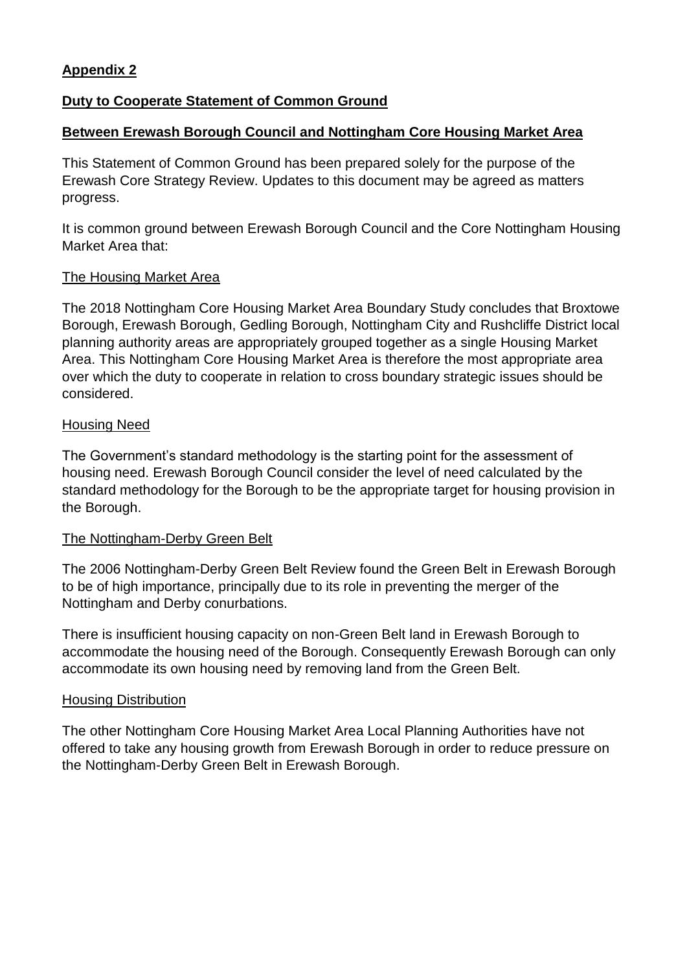## **Appendix 2**

## **Duty to Cooperate Statement of Common Ground**

## **Between Erewash Borough Council and Nottingham Core Housing Market Area**

This Statement of Common Ground has been prepared solely for the purpose of the Erewash Core Strategy Review. Updates to this document may be agreed as matters progress.

It is common ground between Erewash Borough Council and the Core Nottingham Housing Market Area that:

## The Housing Market Area

The 2018 Nottingham Core Housing Market Area Boundary Study concludes that Broxtowe Borough, Erewash Borough, Gedling Borough, Nottingham City and Rushcliffe District local planning authority areas are appropriately grouped together as a single Housing Market Area. This Nottingham Core Housing Market Area is therefore the most appropriate area over which the duty to cooperate in relation to cross boundary strategic issues should be considered.

#### Housing Need

The Government's standard methodology is the starting point for the assessment of housing need. Erewash Borough Council consider the level of need calculated by the standard methodology for the Borough to be the appropriate target for housing provision in the Borough.

## The Nottingham-Derby Green Belt

The 2006 Nottingham-Derby Green Belt Review found the Green Belt in Erewash Borough to be of high importance, principally due to its role in preventing the merger of the Nottingham and Derby conurbations.

There is insufficient housing capacity on non-Green Belt land in Erewash Borough to accommodate the housing need of the Borough. Consequently Erewash Borough can only accommodate its own housing need by removing land from the Green Belt.

## Housing Distribution

The other Nottingham Core Housing Market Area Local Planning Authorities have not offered to take any housing growth from Erewash Borough in order to reduce pressure on the Nottingham-Derby Green Belt in Erewash Borough.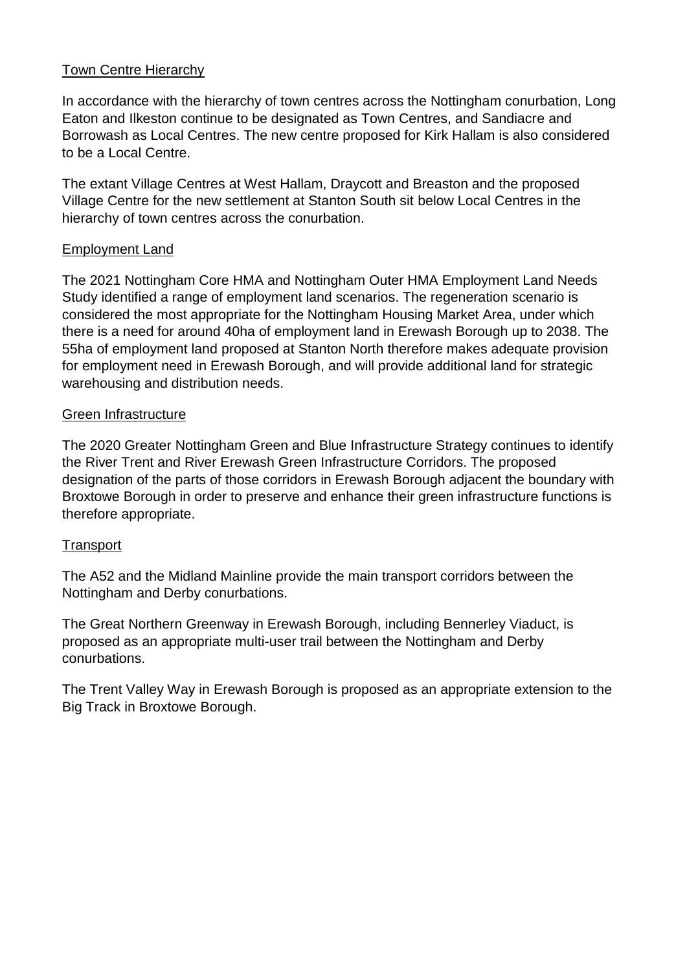## Town Centre Hierarchy

In accordance with the hierarchy of town centres across the Nottingham conurbation, Long Eaton and Ilkeston continue to be designated as Town Centres, and Sandiacre and Borrowash as Local Centres. The new centre proposed for Kirk Hallam is also considered to be a Local Centre.

The extant Village Centres at West Hallam, Draycott and Breaston and the proposed Village Centre for the new settlement at Stanton South sit below Local Centres in the hierarchy of town centres across the conurbation.

## Employment Land

The 2021 Nottingham Core HMA and Nottingham Outer HMA Employment Land Needs Study identified a range of employment land scenarios. The regeneration scenario is considered the most appropriate for the Nottingham Housing Market Area, under which there is a need for around 40ha of employment land in Erewash Borough up to 2038. The 55ha of employment land proposed at Stanton North therefore makes adequate provision for employment need in Erewash Borough, and will provide additional land for strategic warehousing and distribution needs.

## Green Infrastructure

The 2020 Greater Nottingham Green and Blue Infrastructure Strategy continues to identify the River Trent and River Erewash Green Infrastructure Corridors. The proposed designation of the parts of those corridors in Erewash Borough adjacent the boundary with Broxtowe Borough in order to preserve and enhance their green infrastructure functions is therefore appropriate.

## **Transport**

The A52 and the Midland Mainline provide the main transport corridors between the Nottingham and Derby conurbations.

The Great Northern Greenway in Erewash Borough, including Bennerley Viaduct, is proposed as an appropriate multi-user trail between the Nottingham and Derby conurbations.

The Trent Valley Way in Erewash Borough is proposed as an appropriate extension to the Big Track in Broxtowe Borough.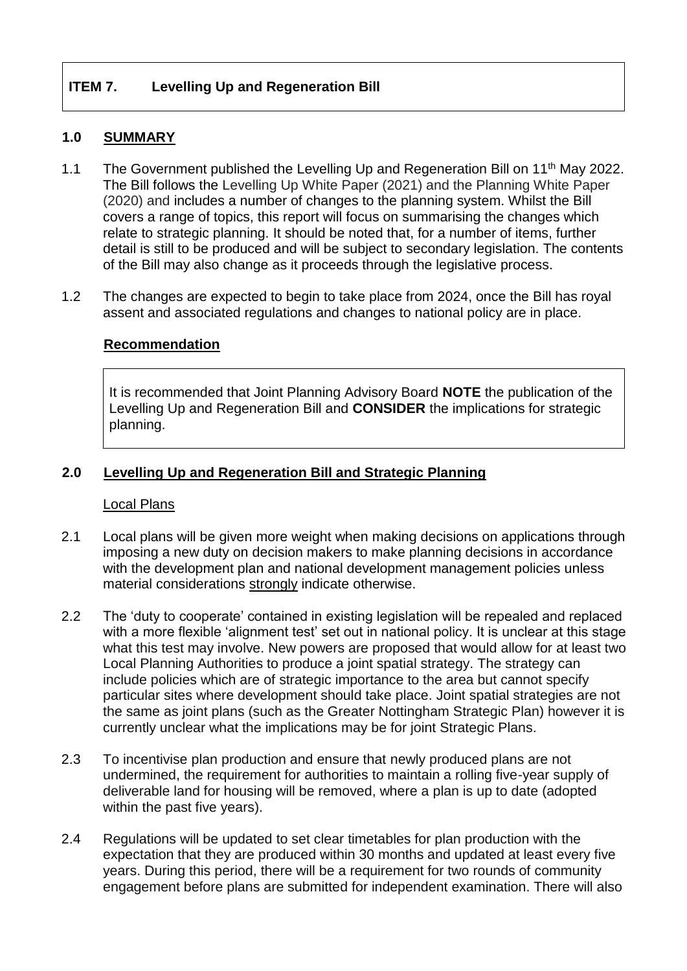## **ITEM 7. Levelling Up and Regeneration Bill**

## **1.0 SUMMARY**

- 1.1 The Government published the Levelling Up and Regeneration Bill on 11<sup>th</sup> May 2022. The Bill follows the Levelling Up White Paper (2021) and the Planning White Paper (2020) and includes a number of changes to the planning system. Whilst the Bill covers a range of topics, this report will focus on summarising the changes which relate to strategic planning. It should be noted that, for a number of items, further detail is still to be produced and will be subject to secondary legislation. The contents of the Bill may also change as it proceeds through the legislative process.
- 1.2 The changes are expected to begin to take place from 2024, once the Bill has royal assent and associated regulations and changes to national policy are in place.

## **Recommendation**

It is recommended that Joint Planning Advisory Board **NOTE** the publication of the Levelling Up and Regeneration Bill and **CONSIDER** the implications for strategic planning.

## **2.0 Levelling Up and Regeneration Bill and Strategic Planning**

#### Local Plans

- 2.1 Local plans will be given more weight when making decisions on applications through imposing a new duty on decision makers to make planning decisions in accordance with the development plan and national development management policies unless material considerations strongly indicate otherwise.
- 2.2 The 'duty to cooperate' contained in existing legislation will be repealed and replaced with a more flexible 'alignment test' set out in national policy. It is unclear at this stage what this test may involve. New powers are proposed that would allow for at least two Local Planning Authorities to produce a joint spatial strategy. The strategy can include policies which are of strategic importance to the area but cannot specify particular sites where development should take place. Joint spatial strategies are not the same as joint plans (such as the Greater Nottingham Strategic Plan) however it is currently unclear what the implications may be for joint Strategic Plans.
- 2.3 To incentivise plan production and ensure that newly produced plans are not undermined, the requirement for authorities to maintain a rolling five-year supply of deliverable land for housing will be removed, where a plan is up to date (adopted within the past five years).
- 2.4 Regulations will be updated to set clear timetables for plan production with the expectation that they are produced within 30 months and updated at least every five years. During this period, there will be a requirement for two rounds of community engagement before plans are submitted for independent examination. There will also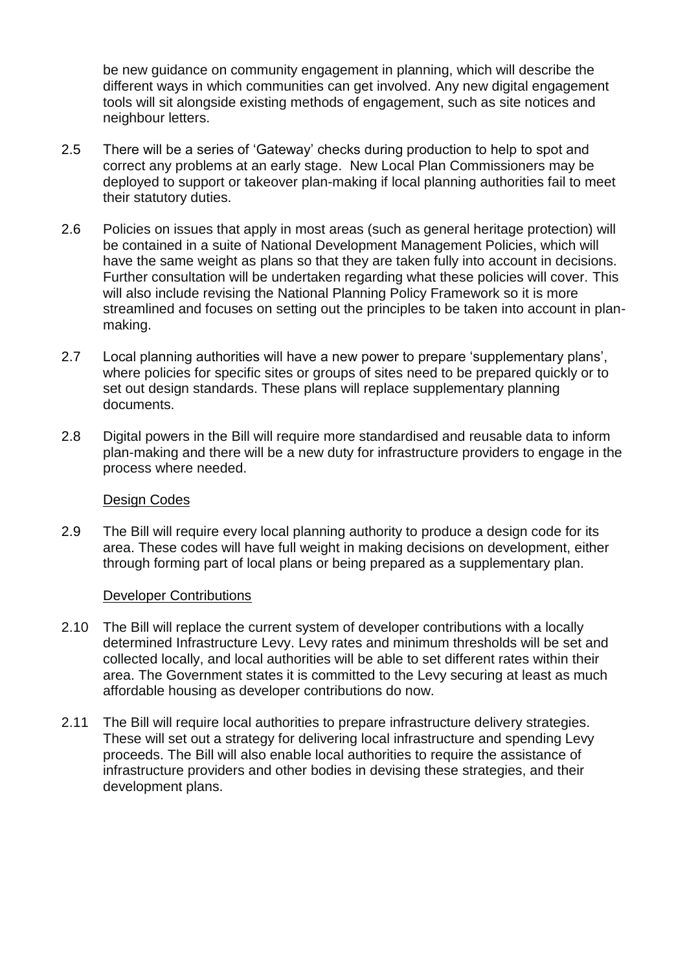be new guidance on community engagement in planning, which will describe the different ways in which communities can get involved. Any new digital engagement tools will sit alongside existing methods of engagement, such as site notices and neighbour letters.

- 2.5 There will be a series of 'Gateway' checks during production to help to spot and correct any problems at an early stage. New Local Plan Commissioners may be deployed to support or takeover plan-making if local planning authorities fail to meet their statutory duties.
- 2.6 Policies on issues that apply in most areas (such as general heritage protection) will be contained in a suite of National Development Management Policies, which will have the same weight as plans so that they are taken fully into account in decisions. Further consultation will be undertaken regarding what these policies will cover. This will also include revising the National Planning Policy Framework so it is more streamlined and focuses on setting out the principles to be taken into account in planmaking.
- 2.7 Local planning authorities will have a new power to prepare 'supplementary plans', where policies for specific sites or groups of sites need to be prepared quickly or to set out design standards. These plans will replace supplementary planning documents.
- 2.8 Digital powers in the Bill will require more standardised and reusable data to inform plan-making and there will be a new duty for infrastructure providers to engage in the process where needed.

## Design Codes

2.9 The Bill will require every local planning authority to produce a design code for its area. These codes will have full weight in making decisions on development, either through forming part of local plans or being prepared as a supplementary plan.

## Developer Contributions

- 2.10 The Bill will replace the current system of developer contributions with a locally determined Infrastructure Levy. Levy rates and minimum thresholds will be set and collected locally, and local authorities will be able to set different rates within their area. The Government states it is committed to the Levy securing at least as much affordable housing as developer contributions do now.
- 2.11 The Bill will require local authorities to prepare infrastructure delivery strategies. These will set out a strategy for delivering local infrastructure and spending Levy proceeds. The Bill will also enable local authorities to require the assistance of infrastructure providers and other bodies in devising these strategies, and their development plans.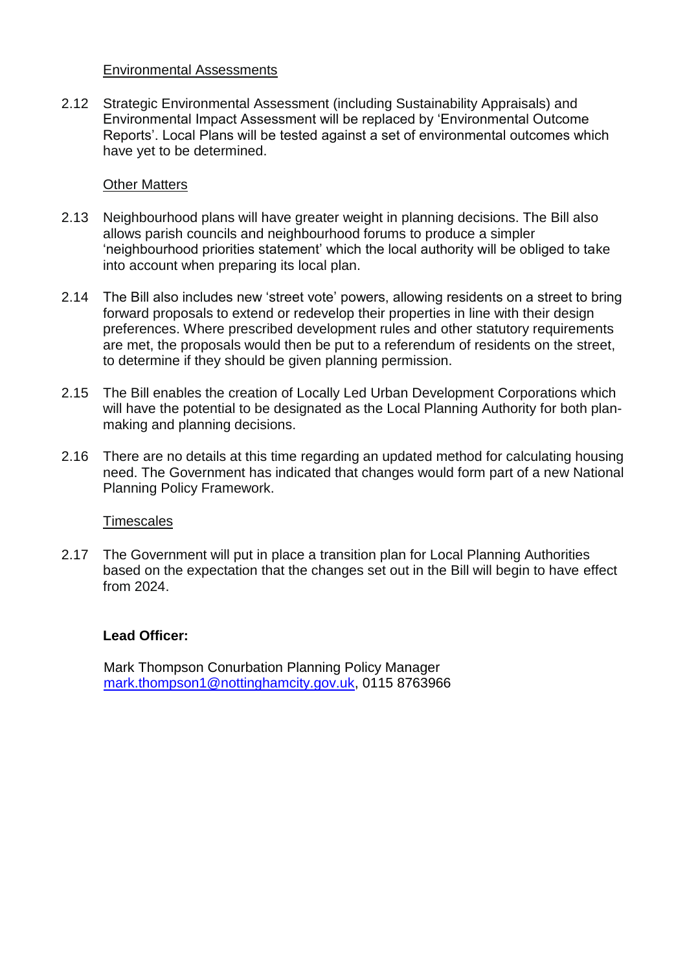## Environmental Assessments

2.12 Strategic Environmental Assessment (including Sustainability Appraisals) and Environmental Impact Assessment will be replaced by 'Environmental Outcome Reports'. Local Plans will be tested against a set of environmental outcomes which have yet to be determined.

#### Other Matters

- 2.13 Neighbourhood plans will have greater weight in planning decisions. The Bill also allows parish councils and neighbourhood forums to produce a simpler 'neighbourhood priorities statement' which the local authority will be obliged to take into account when preparing its local plan.
- 2.14 The Bill also includes new 'street vote' powers, allowing residents on a street to bring forward proposals to extend or redevelop their properties in line with their design preferences. Where prescribed development rules and other statutory requirements are met, the proposals would then be put to a referendum of residents on the street, to determine if they should be given planning permission.
- 2.15 The Bill enables the creation of Locally Led Urban Development Corporations which will have the potential to be designated as the Local Planning Authority for both planmaking and planning decisions.
- 2.16 There are no details at this time regarding an updated method for calculating housing need. The Government has indicated that changes would form part of a new National Planning Policy Framework.

## **Timescales**

2.17 The Government will put in place a transition plan for Local Planning Authorities based on the expectation that the changes set out in the Bill will begin to have effect from 2024.

## **Lead Officer:**

Mark Thompson Conurbation Planning Policy Manager [mark.thompson1@nottinghamcity.gov.uk,](mailto:mark.thompson1@nottinghamcity.gov.uk) 0115 8763966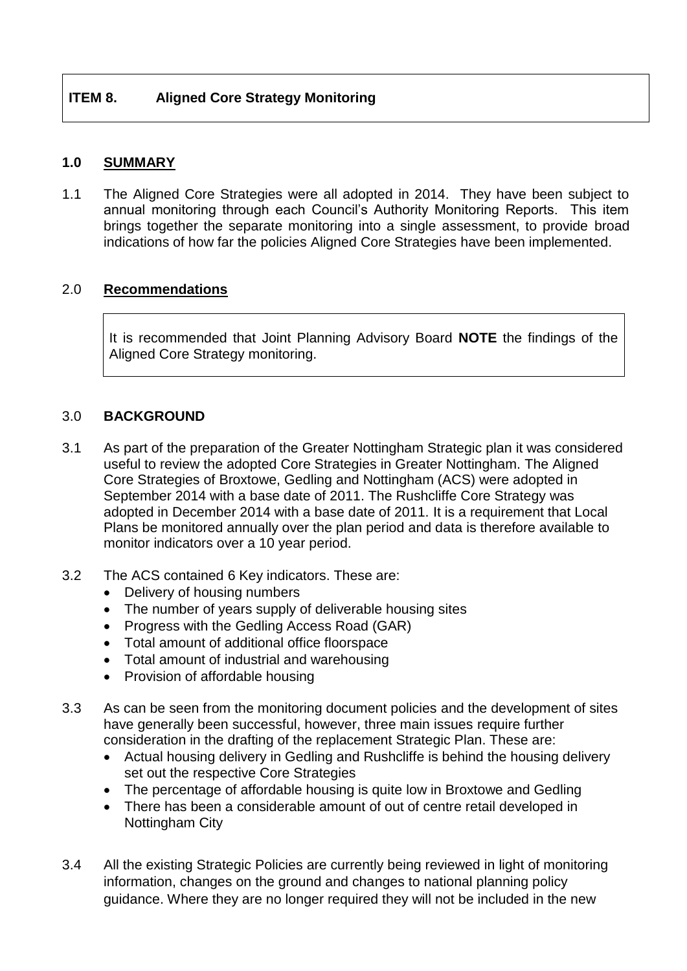## **1.0 SUMMARY**

1.1 The Aligned Core Strategies were all adopted in 2014. They have been subject to annual monitoring through each Council's Authority Monitoring Reports. This item brings together the separate monitoring into a single assessment, to provide broad indications of how far the policies Aligned Core Strategies have been implemented.

## 2.0 **Recommendations**

It is recommended that Joint Planning Advisory Board **NOTE** the findings of the Aligned Core Strategy monitoring.

## 3.0 **BACKGROUND**

- 3.1 As part of the preparation of the Greater Nottingham Strategic plan it was considered useful to review the adopted Core Strategies in Greater Nottingham. The Aligned Core Strategies of Broxtowe, Gedling and Nottingham (ACS) were adopted in September 2014 with a base date of 2011. The Rushcliffe Core Strategy was adopted in December 2014 with a base date of 2011. It is a requirement that Local Plans be monitored annually over the plan period and data is therefore available to monitor indicators over a 10 year period.
- 3.2 The ACS contained 6 Key indicators. These are:
	- Delivery of housing numbers
	- The number of years supply of deliverable housing sites
	- Progress with the Gedling Access Road (GAR)
	- Total amount of additional office floorspace
	- Total amount of industrial and warehousing
	- Provision of affordable housing
- 3.3 As can be seen from the monitoring document policies and the development of sites have generally been successful, however, three main issues require further consideration in the drafting of the replacement Strategic Plan. These are:
	- Actual housing delivery in Gedling and Rushcliffe is behind the housing delivery set out the respective Core Strategies
	- The percentage of affordable housing is quite low in Broxtowe and Gedling
	- There has been a considerable amount of out of centre retail developed in Nottingham City
- 3.4 All the existing Strategic Policies are currently being reviewed in light of monitoring information, changes on the ground and changes to national planning policy guidance. Where they are no longer required they will not be included in the new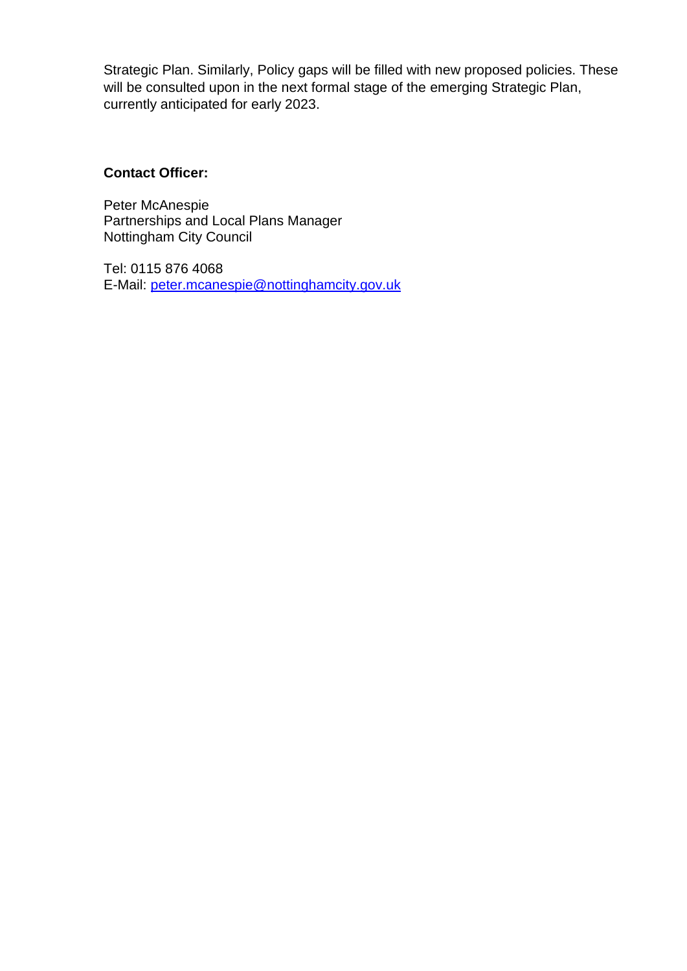Strategic Plan. Similarly, Policy gaps will be filled with new proposed policies. These will be consulted upon in the next formal stage of the emerging Strategic Plan, currently anticipated for early 2023.

## **Contact Officer:**

Peter McAnespie Partnerships and Local Plans Manager Nottingham City Council

Tel: 0115 876 4068 E-Mail: [peter.mcanespie@nottinghamcity.gov.uk](mailto:peter.mcanespie@nottinghamcity.gov.uk)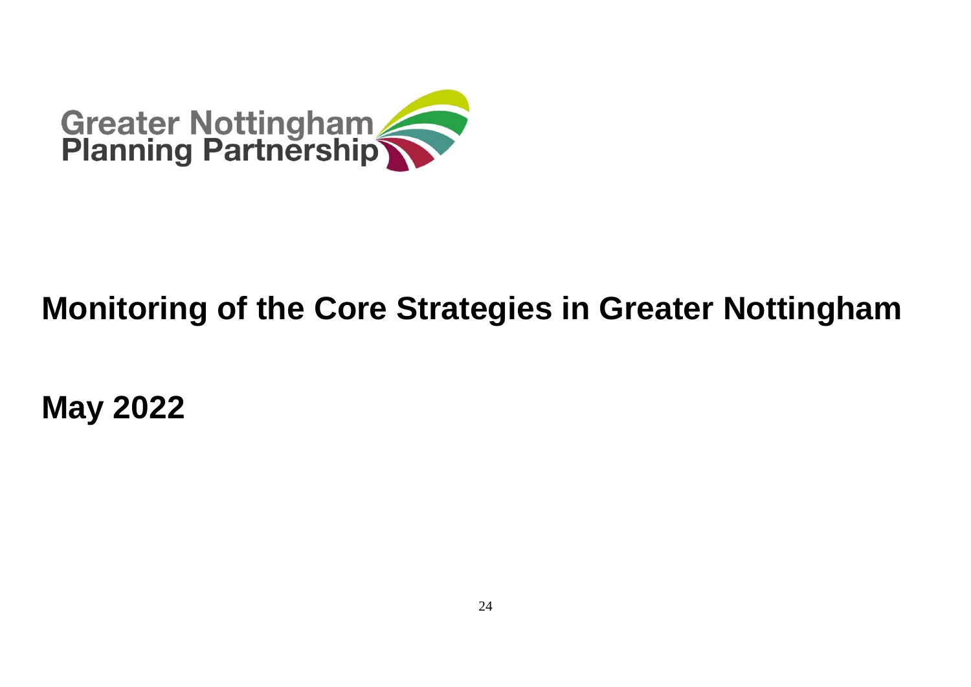

# **Monitoring of the Core Strategies in Greater Nottingham**

**May 2022**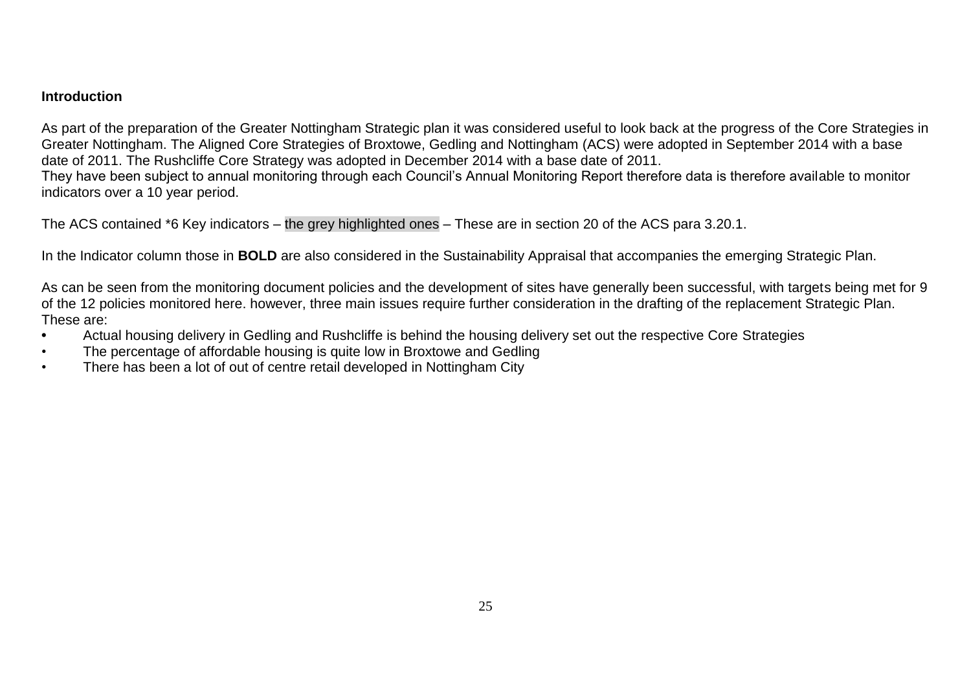#### **Introduction**

As part of the preparation of the Greater Nottingham Strategic plan it was considered useful to look back at the progress of the Core Strategies in Greater Nottingham. The Aligned Core Strategies of Broxtowe, Gedling and Nottingham (ACS) were adopted in September 2014 with a base date of 2011. The Rushcliffe Core Strategy was adopted in December 2014 with a base date of 2011. They have been subject to annual monitoring through each Council's Annual Monitoring Report therefore data is therefore available to monitor indicators over a 10 year period.

The ACS contained \*6 Key indicators – the grey highlighted ones – These are in section 20 of the ACS para 3.20.1.

In the Indicator column those in **BOLD** are also considered in the Sustainability Appraisal that accompanies the emerging Strategic Plan.

As can be seen from the monitoring document policies and the development of sites have generally been successful, with targets being met for 9 of the 12 policies monitored here. however, three main issues require further consideration in the drafting of the replacement Strategic Plan. These are:

- **•** Actual housing delivery in Gedling and Rushcliffe is behind the housing delivery set out the respective Core Strategies
- The percentage of affordable housing is quite low in Broxtowe and Gedling
- There has been a lot of out of centre retail developed in Nottingham City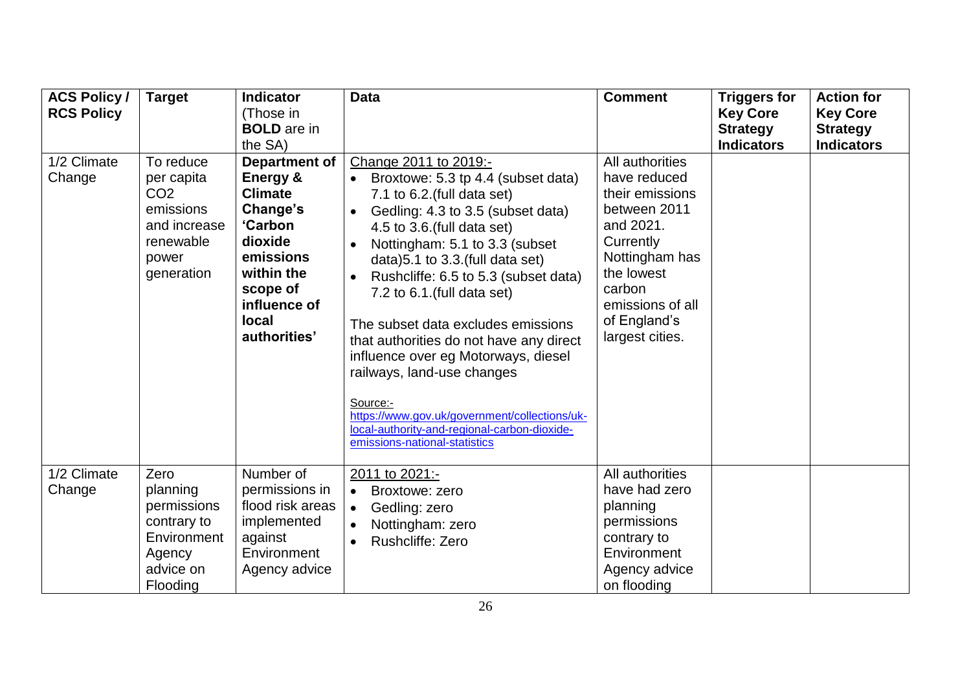| <b>ACS Policy /</b><br><b>RCS Policy</b> | <b>Target</b>                                                                                               | <b>Indicator</b><br>(Those in<br><b>BOLD</b> are in<br>the SA)                                                                                                              | <b>Data</b>                                                                                                                                                                                                                                                                                                                                                                                                                                                                                                                                                                                                                                  | <b>Comment</b>                                                                                                                                                                                | <b>Triggers for</b><br><b>Key Core</b><br><b>Strategy</b><br><b>Indicators</b> | <b>Action for</b><br><b>Key Core</b><br><b>Strategy</b><br><b>Indicators</b> |
|------------------------------------------|-------------------------------------------------------------------------------------------------------------|-----------------------------------------------------------------------------------------------------------------------------------------------------------------------------|----------------------------------------------------------------------------------------------------------------------------------------------------------------------------------------------------------------------------------------------------------------------------------------------------------------------------------------------------------------------------------------------------------------------------------------------------------------------------------------------------------------------------------------------------------------------------------------------------------------------------------------------|-----------------------------------------------------------------------------------------------------------------------------------------------------------------------------------------------|--------------------------------------------------------------------------------|------------------------------------------------------------------------------|
| 1/2 Climate<br>Change                    | To reduce<br>per capita<br>CO <sub>2</sub><br>emissions<br>and increase<br>renewable<br>power<br>generation | Department of<br>Energy &<br><b>Climate</b><br>Change's<br><b>'Carbon</b><br>dioxide<br>emissions<br>within the<br>scope of<br>influence of<br><b>local</b><br>authorities' | Change 2011 to 2019:-<br>Broxtowe: 5.3 tp 4.4 (subset data)<br>$\bullet$<br>7.1 to 6.2. (full data set)<br>Gedling: 4.3 to 3.5 (subset data)<br>$\bullet$<br>4.5 to 3.6. (full data set)<br>Nottingham: 5.1 to 3.3 (subset<br>data) 5.1 to 3.3 (full data set)<br>Rushcliffe: 6.5 to 5.3 (subset data)<br>7.2 to $6.1$ . (full data set)<br>The subset data excludes emissions<br>that authorities do not have any direct<br>influence over eg Motorways, diesel<br>railways, land-use changes<br>Source:-<br>https://www.gov.uk/government/collections/uk-<br>local-authority-and-regional-carbon-dioxide-<br>emissions-national-statistics | All authorities<br>have reduced<br>their emissions<br>between 2011<br>and 2021.<br>Currently<br>Nottingham has<br>the lowest<br>carbon<br>emissions of all<br>of England's<br>largest cities. |                                                                                |                                                                              |
| 1/2 Climate<br>Change                    | Zero<br>planning<br>permissions<br>contrary to<br>Environment<br>Agency<br>advice on<br>Flooding            | Number of<br>permissions in<br>flood risk areas<br>implemented<br>against<br>Environment<br>Agency advice                                                                   | 2011 to 2021:-<br>Broxtowe: zero<br>$\bullet$<br>Gedling: zero<br>$\bullet$<br>Nottingham: zero<br>$\bullet$<br>Rushcliffe: Zero                                                                                                                                                                                                                                                                                                                                                                                                                                                                                                             | All authorities<br>have had zero<br>planning<br>permissions<br>contrary to<br>Environment<br>Agency advice<br>on flooding                                                                     |                                                                                |                                                                              |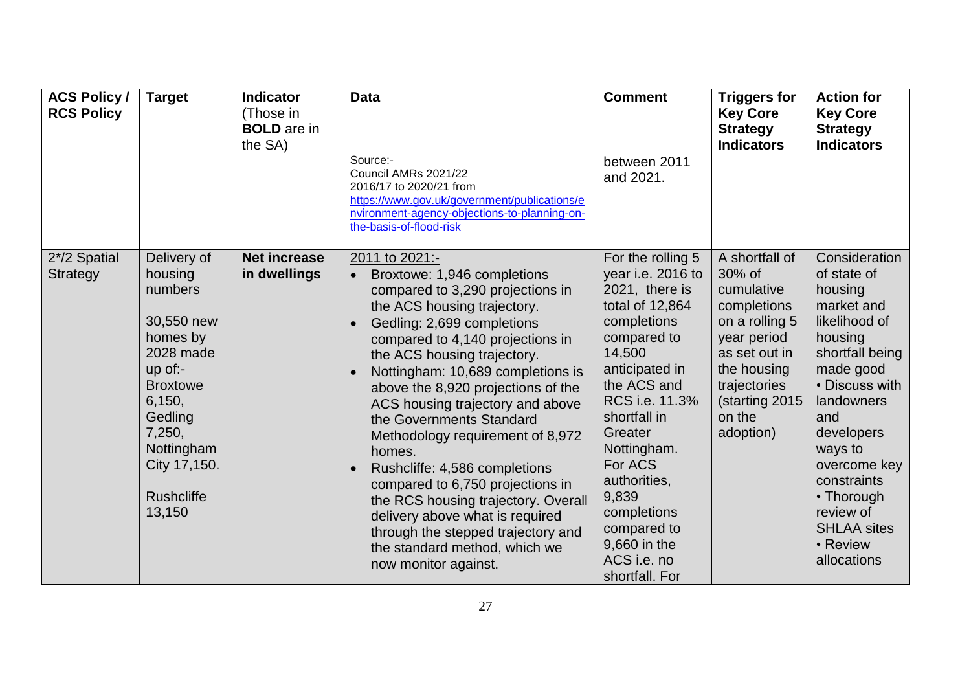| <b>ACS Policy /</b><br><b>RCS Policy</b> | <b>Target</b>                                                                                                                                                                                        | <b>Indicator</b><br>(Those in<br><b>BOLD</b> are in<br>the SA) | <b>Data</b>                                                                                                                                                                                                                                                                                                                                                                                                                                                                                                                                                                                                                                              | <b>Comment</b>                                                                                                                                                                                                                                                                                                                      | <b>Triggers for</b><br><b>Key Core</b><br><b>Strategy</b><br><b>Indicators</b>                                                                                                  | <b>Action for</b><br><b>Key Core</b><br><b>Strategy</b><br><b>Indicators</b>                                                                                                                                                                                                                 |
|------------------------------------------|------------------------------------------------------------------------------------------------------------------------------------------------------------------------------------------------------|----------------------------------------------------------------|----------------------------------------------------------------------------------------------------------------------------------------------------------------------------------------------------------------------------------------------------------------------------------------------------------------------------------------------------------------------------------------------------------------------------------------------------------------------------------------------------------------------------------------------------------------------------------------------------------------------------------------------------------|-------------------------------------------------------------------------------------------------------------------------------------------------------------------------------------------------------------------------------------------------------------------------------------------------------------------------------------|---------------------------------------------------------------------------------------------------------------------------------------------------------------------------------|----------------------------------------------------------------------------------------------------------------------------------------------------------------------------------------------------------------------------------------------------------------------------------------------|
|                                          |                                                                                                                                                                                                      |                                                                | Source:-<br>Council AMRs 2021/22<br>2016/17 to 2020/21 from<br>https://www.gov.uk/government/publications/e<br>nvironment-agency-objections-to-planning-on-<br>the-basis-of-flood-risk                                                                                                                                                                                                                                                                                                                                                                                                                                                                   | between 2011<br>and 2021.                                                                                                                                                                                                                                                                                                           |                                                                                                                                                                                 |                                                                                                                                                                                                                                                                                              |
| 2*/2 Spatial<br>Strategy                 | Delivery of<br>housing<br>numbers<br>30,550 new<br>homes by<br>2028 made<br>$up$ of:-<br><b>Broxtowe</b><br>6,150,<br>Gedling<br>7,250,<br>Nottingham<br>City 17,150.<br><b>Rushcliffe</b><br>13,150 | <b>Net increase</b><br>in dwellings                            | 2011 to 2021:-<br>Broxtowe: 1,946 completions<br>compared to 3,290 projections in<br>the ACS housing trajectory.<br>Gedling: 2,699 completions<br>compared to 4,140 projections in<br>the ACS housing trajectory.<br>Nottingham: 10,689 completions is<br>above the 8,920 projections of the<br>ACS housing trajectory and above<br>the Governments Standard<br>Methodology requirement of 8,972<br>homes.<br>Rushcliffe: 4,586 completions<br>compared to 6,750 projections in<br>the RCS housing trajectory. Overall<br>delivery above what is required<br>through the stepped trajectory and<br>the standard method, which we<br>now monitor against. | For the rolling 5<br>year i.e. 2016 to<br>2021, there is<br>total of 12,864<br>completions<br>compared to<br>14,500<br>anticipated in<br>the ACS and<br>RCS i.e. 11.3%<br>shortfall in<br>Greater<br>Nottingham.<br>For ACS<br>authorities,<br>9,839<br>completions<br>compared to<br>9,660 in the<br>ACS i.e. no<br>shortfall. For | A shortfall of<br>30% of<br>cumulative<br>completions<br>on a rolling 5<br>year period<br>as set out in<br>the housing<br>trajectories<br>(starting 2015<br>on the<br>adoption) | Consideration<br>of state of<br>housing<br>market and<br>likelihood of<br>housing<br>shortfall being<br>made good<br>• Discuss with<br>landowners<br>and<br>developers<br>ways to<br>overcome key<br>constraints<br>• Thorough<br>review of<br><b>SHLAA sites</b><br>• Review<br>allocations |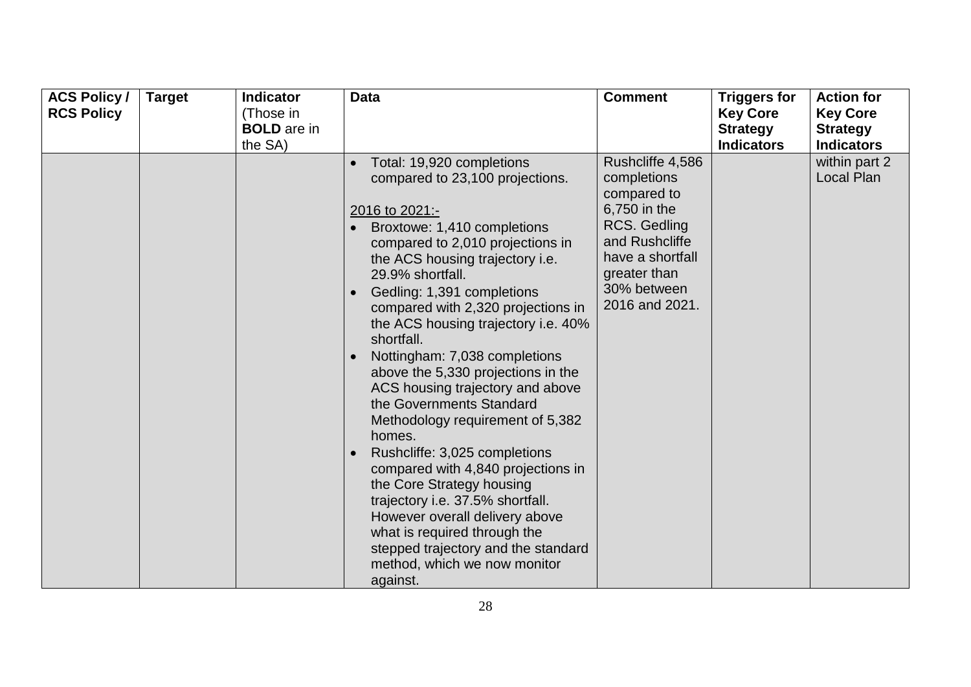| <b>ACS Policy /</b><br><b>RCS Policy</b> | <b>Target</b> | <b>Indicator</b><br>(Those in<br><b>BOLD</b> are in<br>the SA) | <b>Data</b>                                                                                                                                                                                                                                                                                                                                                                                                                                                                                                                                                                                                                                                                                                                                                                                                         | <b>Comment</b>                                                                                                                                                        | <b>Triggers for</b><br><b>Key Core</b><br><b>Strategy</b><br><b>Indicators</b> | <b>Action for</b><br><b>Key Core</b><br><b>Strategy</b><br><b>Indicators</b> |
|------------------------------------------|---------------|----------------------------------------------------------------|---------------------------------------------------------------------------------------------------------------------------------------------------------------------------------------------------------------------------------------------------------------------------------------------------------------------------------------------------------------------------------------------------------------------------------------------------------------------------------------------------------------------------------------------------------------------------------------------------------------------------------------------------------------------------------------------------------------------------------------------------------------------------------------------------------------------|-----------------------------------------------------------------------------------------------------------------------------------------------------------------------|--------------------------------------------------------------------------------|------------------------------------------------------------------------------|
|                                          |               |                                                                | Total: 19,920 completions<br>compared to 23,100 projections.<br>2016 to 2021:-<br>Broxtowe: 1,410 completions<br>compared to 2,010 projections in<br>the ACS housing trajectory i.e.<br>29.9% shortfall.<br>Gedling: 1,391 completions<br>compared with 2,320 projections in<br>the ACS housing trajectory i.e. 40%<br>shortfall.<br>Nottingham: 7,038 completions<br>above the 5,330 projections in the<br>ACS housing trajectory and above<br>the Governments Standard<br>Methodology requirement of 5,382<br>homes.<br>Rushcliffe: 3,025 completions<br>compared with 4,840 projections in<br>the Core Strategy housing<br>trajectory i.e. 37.5% shortfall.<br>However overall delivery above<br>what is required through the<br>stepped trajectory and the standard<br>method, which we now monitor<br>against. | Rushcliffe 4,586<br>completions<br>compared to<br>6,750 in the<br>RCS. Gedling<br>and Rushcliffe<br>have a shortfall<br>greater than<br>30% between<br>2016 and 2021. |                                                                                | within part 2<br><b>Local Plan</b>                                           |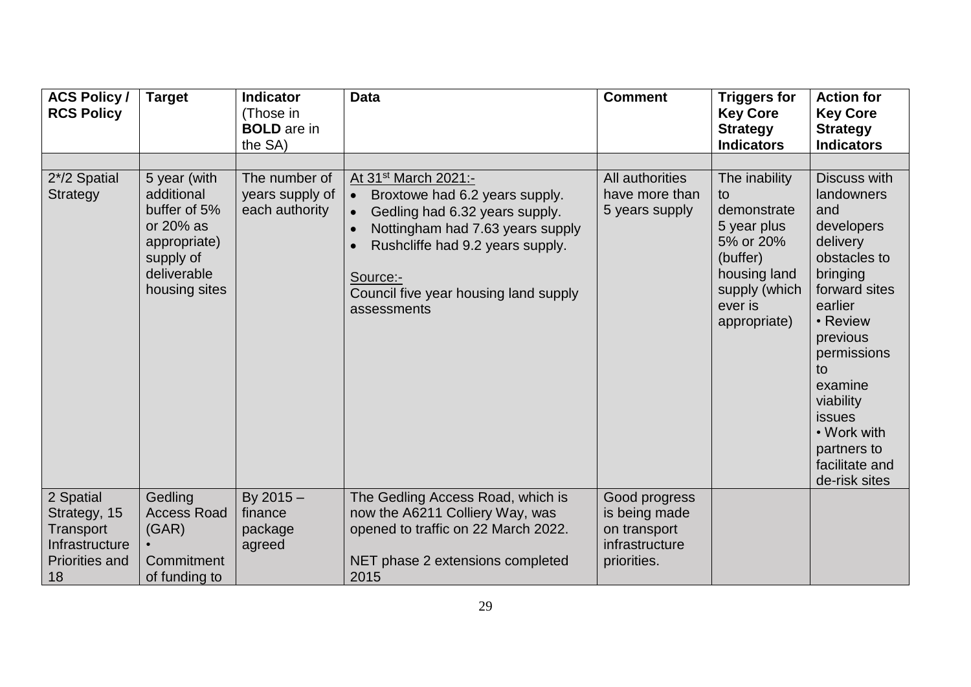| <b>ACS Policy /</b><br><b>RCS Policy</b>                                                | <b>Target</b>                                                                                                        | <b>Indicator</b><br>(Those in<br><b>BOLD</b> are in<br>the SA) | <b>Data</b>                                                                                                                                                                                                                                                                | <b>Comment</b>                                                                  | <b>Triggers for</b><br><b>Key Core</b><br><b>Strategy</b><br><b>Indicators</b>                                                         | <b>Action for</b><br><b>Key Core</b><br><b>Strategy</b><br><b>Indicators</b>                                                                                                                                                                                               |
|-----------------------------------------------------------------------------------------|----------------------------------------------------------------------------------------------------------------------|----------------------------------------------------------------|----------------------------------------------------------------------------------------------------------------------------------------------------------------------------------------------------------------------------------------------------------------------------|---------------------------------------------------------------------------------|----------------------------------------------------------------------------------------------------------------------------------------|----------------------------------------------------------------------------------------------------------------------------------------------------------------------------------------------------------------------------------------------------------------------------|
| 2*/2 Spatial<br>Strategy                                                                | 5 year (with<br>additional<br>buffer of 5%<br>or 20% as<br>appropriate)<br>supply of<br>deliverable<br>housing sites | The number of<br>years supply of<br>each authority             | At 31 <sup>st</sup> March 2021:-<br>Broxtowe had 6.2 years supply.<br>$\bullet$<br>Gedling had 6.32 years supply.<br>Nottingham had 7.63 years supply<br>$\bullet$<br>Rushcliffe had 9.2 years supply.<br>Source:-<br>Council five year housing land supply<br>assessments | All authorities<br>have more than<br>5 years supply                             | The inability<br>to<br>demonstrate<br>5 year plus<br>5% or 20%<br>(buffer)<br>housing land<br>supply (which<br>ever is<br>appropriate) | Discuss with<br>landowners<br>and<br>developers<br>delivery<br>obstacles to<br>bringing<br>forward sites<br>earlier<br>• Review<br>previous<br>permissions<br>to<br>examine<br>viability<br><b>issues</b><br>• Work with<br>partners to<br>facilitate and<br>de-risk sites |
| 2 Spatial<br>Strategy, 15<br>Transport<br>Infrastructure<br><b>Priorities and</b><br>18 | Gedling<br><b>Access Road</b><br>(GAR)<br>Commitment<br>of funding to                                                | By $2015 -$<br>finance<br>package<br>agreed                    | The Gedling Access Road, which is<br>now the A6211 Colliery Way, was<br>opened to traffic on 22 March 2022.<br>NET phase 2 extensions completed<br>2015                                                                                                                    | Good progress<br>is being made<br>on transport<br>infrastructure<br>priorities. |                                                                                                                                        |                                                                                                                                                                                                                                                                            |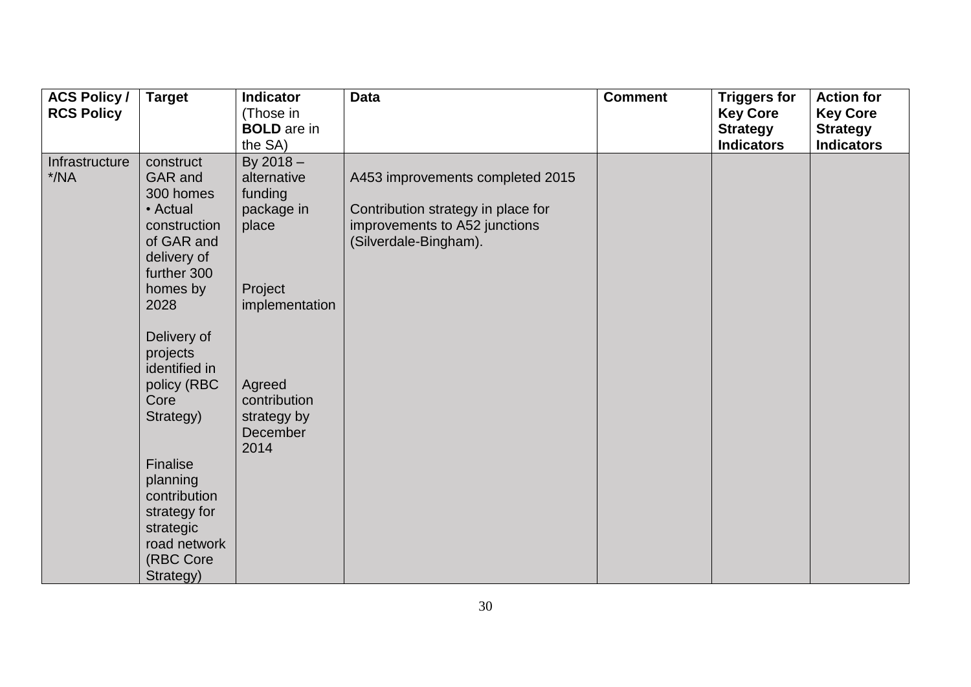| <b>ACS Policy /</b><br><b>RCS Policy</b> | <b>Target</b>                                                                                                                 | <b>Indicator</b><br>(Those in<br><b>BOLD</b> are in                                                  | <b>Data</b>                                                                                                                      | <b>Comment</b> | <b>Triggers for</b><br><b>Key Core</b><br><b>Strategy</b><br><b>Indicators</b> | <b>Action for</b><br><b>Key Core</b><br><b>Strategy</b> |
|------------------------------------------|-------------------------------------------------------------------------------------------------------------------------------|------------------------------------------------------------------------------------------------------|----------------------------------------------------------------------------------------------------------------------------------|----------------|--------------------------------------------------------------------------------|---------------------------------------------------------|
| Infrastructure<br>$*$ /NA                | construct<br>GAR and<br>300 homes<br>• Actual<br>construction<br>of GAR and<br>delivery of<br>further 300<br>homes by<br>2028 | the SA)<br>By $2018 -$<br>alternative<br>funding<br>package in<br>place<br>Project<br>implementation | A453 improvements completed 2015<br>Contribution strategy in place for<br>improvements to A52 junctions<br>(Silverdale-Bingham). |                |                                                                                | <b>Indicators</b>                                       |
|                                          | Delivery of<br>projects<br>identified in<br>policy (RBC<br>Core<br>Strategy)                                                  | Agreed<br>contribution<br>strategy by<br>December<br>2014                                            |                                                                                                                                  |                |                                                                                |                                                         |
|                                          | Finalise<br>planning<br>contribution<br>strategy for<br>strategic<br>road network<br>(RBC Core<br>Strategy)                   |                                                                                                      |                                                                                                                                  |                |                                                                                |                                                         |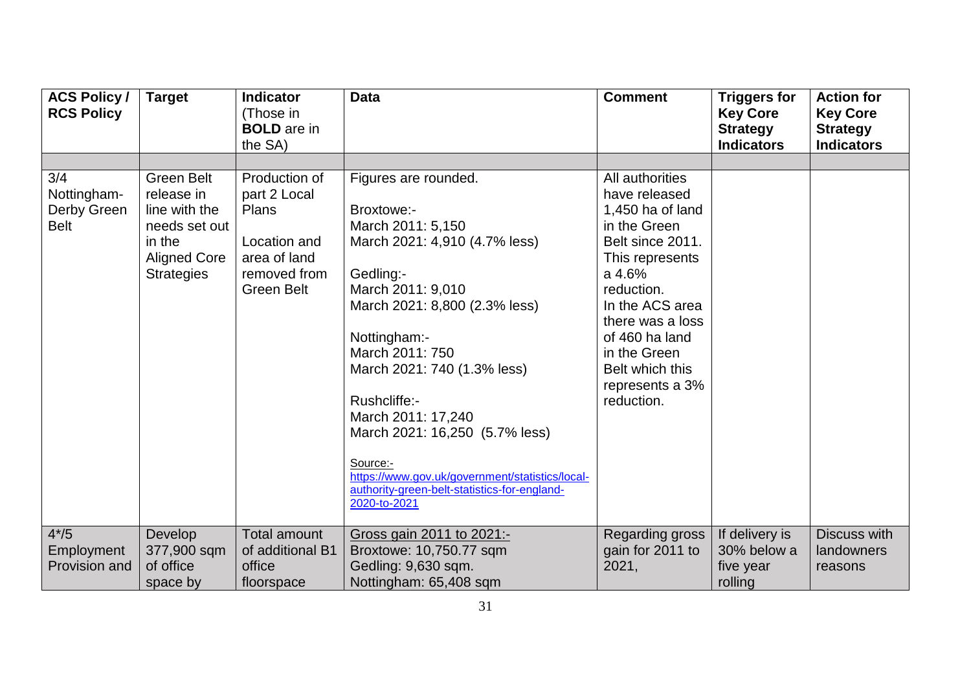| <b>ACS Policy /</b><br><b>RCS Policy</b>         | <b>Target</b>                                                                                                    | <b>Indicator</b><br>(Those in<br><b>BOLD</b> are in<br>the SA)                                              | <b>Data</b>                                                                                                                                                                                                                                                                                                                                                                                                                          | <b>Comment</b>                                                                                                                                                                                                                                                   | <b>Triggers for</b><br><b>Key Core</b><br><b>Strategy</b><br><b>Indicators</b> | <b>Action for</b><br><b>Key Core</b><br><b>Strategy</b><br><b>Indicators</b> |
|--------------------------------------------------|------------------------------------------------------------------------------------------------------------------|-------------------------------------------------------------------------------------------------------------|--------------------------------------------------------------------------------------------------------------------------------------------------------------------------------------------------------------------------------------------------------------------------------------------------------------------------------------------------------------------------------------------------------------------------------------|------------------------------------------------------------------------------------------------------------------------------------------------------------------------------------------------------------------------------------------------------------------|--------------------------------------------------------------------------------|------------------------------------------------------------------------------|
|                                                  |                                                                                                                  |                                                                                                             |                                                                                                                                                                                                                                                                                                                                                                                                                                      |                                                                                                                                                                                                                                                                  |                                                                                |                                                                              |
| 3/4<br>Nottingham-<br>Derby Green<br><b>Belt</b> | Green Belt<br>release in<br>line with the<br>needs set out<br>in the<br><b>Aligned Core</b><br><b>Strategies</b> | Production of<br>part 2 Local<br>Plans<br>Location and<br>area of land<br>removed from<br><b>Green Belt</b> | Figures are rounded.<br>Broxtowe:-<br>March 2011: 5,150<br>March 2021: 4,910 (4.7% less)<br>Gedling:-<br>March 2011: 9,010<br>March 2021: 8,800 (2.3% less)<br>Nottingham:-<br>March 2011: 750<br>March 2021: 740 (1.3% less)<br>Rushcliffe:-<br>March 2011: 17,240<br>March 2021: 16,250 (5.7% less)<br>Source:-<br>https://www.gov.uk/government/statistics/local-<br>authority-green-belt-statistics-for-england-<br>2020-to-2021 | All authorities<br>have released<br>1,450 ha of land<br>in the Green<br>Belt since 2011.<br>This represents<br>a 4.6%<br>reduction.<br>In the ACS area<br>there was a loss<br>of 460 ha land<br>in the Green<br>Belt which this<br>represents a 3%<br>reduction. |                                                                                |                                                                              |
| $4*/5$<br>Employment<br>Provision and            | Develop<br>377,900 sqm<br>of office<br>space by                                                                  | <b>Total amount</b><br>of additional B1<br>office<br>floorspace                                             | Gross gain 2011 to 2021:-<br>Broxtowe: 10,750.77 sqm<br>Gedling: 9,630 sqm.<br>Nottingham: 65,408 sqm                                                                                                                                                                                                                                                                                                                                | Regarding gross<br>gain for 2011 to<br>2021,                                                                                                                                                                                                                     | If delivery is<br>30% below a<br>five year<br>rolling                          | <b>Discuss with</b><br>landowners<br>reasons                                 |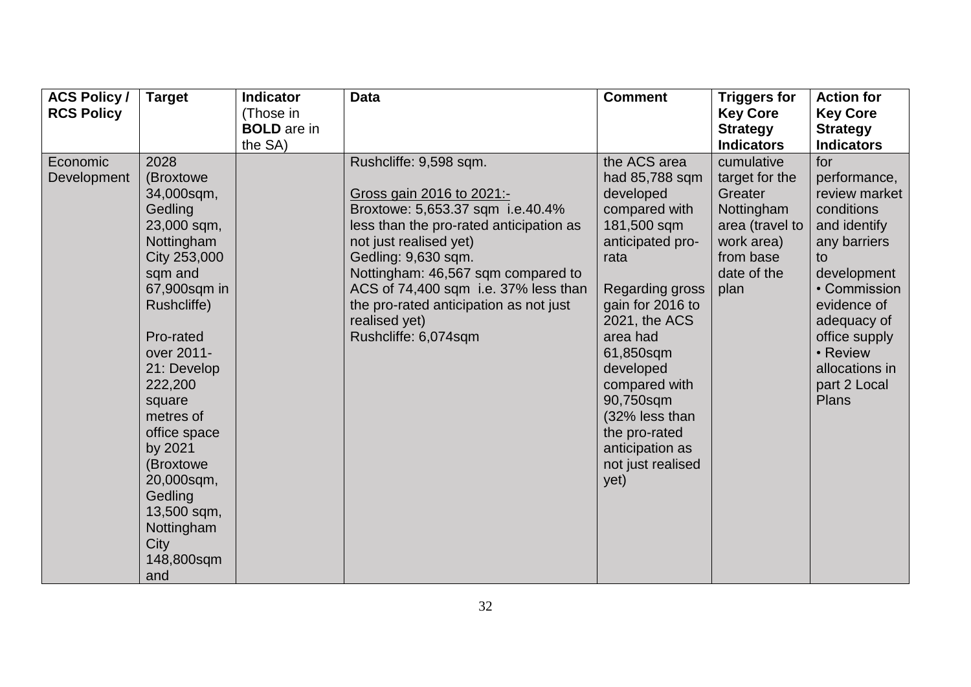| <b>ACS Policy /</b><br><b>RCS Policy</b> | <b>Target</b>                                                                                                                                                                                                                                                                                                                             | <b>Indicator</b><br>(Those in<br><b>BOLD</b> are in | <b>Data</b>                                                                                                                                                                                                                                                                                                                                          | <b>Comment</b>                                                                                                                                                                                                                                                                                                         | <b>Triggers for</b><br><b>Key Core</b><br><b>Strategy</b>                                                                  | <b>Action for</b><br><b>Key Core</b><br><b>Strategy</b>                                                                                                                                                                              |
|------------------------------------------|-------------------------------------------------------------------------------------------------------------------------------------------------------------------------------------------------------------------------------------------------------------------------------------------------------------------------------------------|-----------------------------------------------------|------------------------------------------------------------------------------------------------------------------------------------------------------------------------------------------------------------------------------------------------------------------------------------------------------------------------------------------------------|------------------------------------------------------------------------------------------------------------------------------------------------------------------------------------------------------------------------------------------------------------------------------------------------------------------------|----------------------------------------------------------------------------------------------------------------------------|--------------------------------------------------------------------------------------------------------------------------------------------------------------------------------------------------------------------------------------|
|                                          |                                                                                                                                                                                                                                                                                                                                           | the SA)                                             |                                                                                                                                                                                                                                                                                                                                                      |                                                                                                                                                                                                                                                                                                                        | <b>Indicators</b>                                                                                                          | <b>Indicators</b>                                                                                                                                                                                                                    |
| Economic<br>Development                  | 2028<br>(Broxtowe<br>34,000sqm,<br>Gedling<br>23,000 sqm,<br>Nottingham<br>City 253,000<br>sqm and<br>67,900sqm in<br>Rushcliffe)<br>Pro-rated<br>over 2011-<br>21: Develop<br>222,200<br>square<br>metres of<br>office space<br>by 2021<br>(Broxtowe)<br>20,000sqm,<br>Gedling<br>13,500 sqm,<br>Nottingham<br>City<br>148,800sqm<br>and |                                                     | Rushcliffe: 9,598 sqm.<br>Gross gain 2016 to 2021:-<br>Broxtowe: 5,653.37 sqm i.e.40.4%<br>less than the pro-rated anticipation as<br>not just realised yet)<br>Gedling: 9,630 sqm.<br>Nottingham: 46,567 sqm compared to<br>ACS of 74,400 sqm i.e. 37% less than<br>the pro-rated anticipation as not just<br>realised yet)<br>Rushcliffe: 6,074sqm | the ACS area<br>had 85,788 sqm<br>developed<br>compared with<br>181,500 sqm<br>anticipated pro-<br>rata<br>Regarding gross<br>gain for 2016 to<br>2021, the ACS<br>area had<br>61,850sqm<br>developed<br>compared with<br>90,750sqm<br>(32% less than<br>the pro-rated<br>anticipation as<br>not just realised<br>yet) | cumulative<br>target for the<br>Greater<br>Nottingham<br>area (travel to<br>work area)<br>from base<br>date of the<br>plan | for<br>performance,<br>review market<br>conditions<br>and identify<br>any barriers<br>to<br>development<br>• Commission<br>evidence of<br>adequacy of<br>office supply<br>• Review<br>allocations in<br>part 2 Local<br><b>Plans</b> |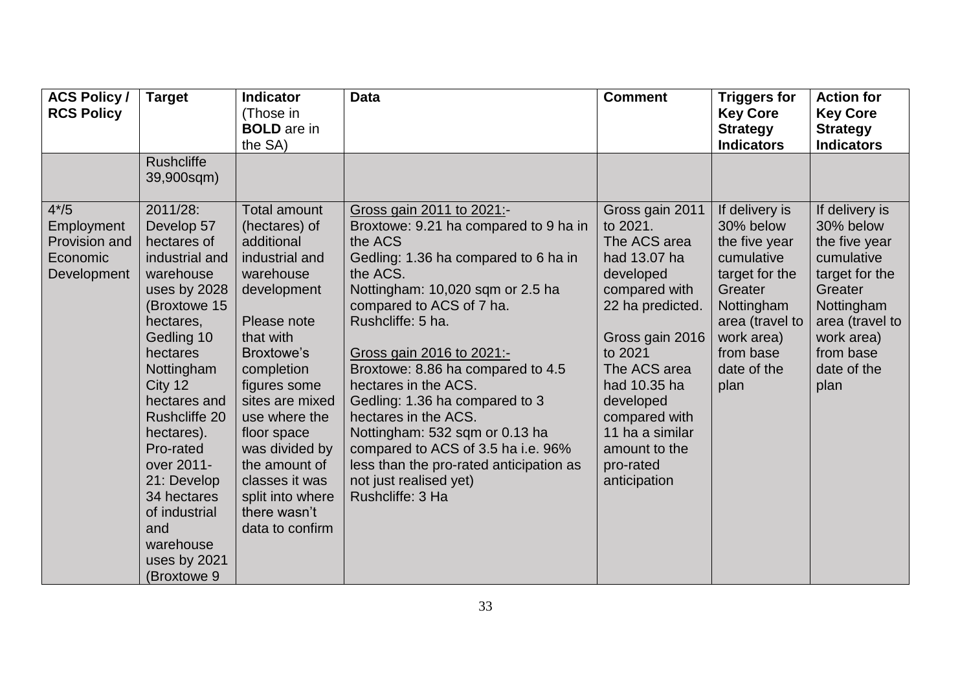| <b>ACS Policy /</b><br><b>RCS Policy</b>                         | <b>Target</b>                                                                                                                                                                                                                                                                                                                                            | <b>Indicator</b><br>(Those in<br><b>BOLD</b> are in<br>the SA)                                                                                                                                                                                                                                                                                 | <b>Data</b>                                                                                                                                                                                                                                                                                                                                                                                                                                                                                                                                 | <b>Comment</b>                                                                                                                                                                                                                                                             | <b>Triggers for</b><br><b>Key Core</b><br><b>Strategy</b><br><b>Indicators</b>                                                                                             | <b>Action for</b><br><b>Key Core</b><br><b>Strategy</b><br><b>Indicators</b>                                                                                               |
|------------------------------------------------------------------|----------------------------------------------------------------------------------------------------------------------------------------------------------------------------------------------------------------------------------------------------------------------------------------------------------------------------------------------------------|------------------------------------------------------------------------------------------------------------------------------------------------------------------------------------------------------------------------------------------------------------------------------------------------------------------------------------------------|---------------------------------------------------------------------------------------------------------------------------------------------------------------------------------------------------------------------------------------------------------------------------------------------------------------------------------------------------------------------------------------------------------------------------------------------------------------------------------------------------------------------------------------------|----------------------------------------------------------------------------------------------------------------------------------------------------------------------------------------------------------------------------------------------------------------------------|----------------------------------------------------------------------------------------------------------------------------------------------------------------------------|----------------------------------------------------------------------------------------------------------------------------------------------------------------------------|
|                                                                  | <b>Rushcliffe</b><br>39,900sqm)                                                                                                                                                                                                                                                                                                                          |                                                                                                                                                                                                                                                                                                                                                |                                                                                                                                                                                                                                                                                                                                                                                                                                                                                                                                             |                                                                                                                                                                                                                                                                            |                                                                                                                                                                            |                                                                                                                                                                            |
| $4*/5$<br>Employment<br>Provision and<br>Economic<br>Development | 2011/28:<br>Develop 57<br>hectares of<br>industrial and<br>warehouse<br>uses by 2028<br>(Broxtowe 15<br>hectares,<br>Gedling 10<br>hectares<br>Nottingham<br>City 12<br>hectares and<br><b>Rushcliffe 20</b><br>hectares).<br>Pro-rated<br>over 2011-<br>21: Develop<br>34 hectares<br>of industrial<br>and<br>warehouse<br>uses by 2021<br>(Broxtowe 9) | <b>Total amount</b><br>(hectares) of<br>additional<br>industrial and<br>warehouse<br>development<br>Please note<br>that with<br><b>Broxtowe's</b><br>completion<br>figures some<br>sites are mixed<br>use where the<br>floor space<br>was divided by<br>the amount of<br>classes it was<br>split into where<br>there wasn't<br>data to confirm | Gross gain 2011 to 2021:-<br>Broxtowe: 9.21 ha compared to 9 ha in<br>the ACS<br>Gedling: 1.36 ha compared to 6 ha in<br>the ACS.<br>Nottingham: 10,020 sqm or 2.5 ha<br>compared to ACS of 7 ha.<br>Rushcliffe: 5 ha.<br>Gross gain 2016 to 2021:-<br>Broxtowe: 8.86 ha compared to 4.5<br>hectares in the ACS.<br>Gedling: 1.36 ha compared to 3<br>hectares in the ACS.<br>Nottingham: 532 sqm or 0.13 ha<br>compared to ACS of 3.5 ha i.e. 96%<br>less than the pro-rated anticipation as<br>not just realised yet)<br>Rushcliffe: 3 Ha | Gross gain 2011<br>to 2021.<br>The ACS area<br>had 13.07 ha<br>developed<br>compared with<br>22 ha predicted.<br>Gross gain 2016<br>to 2021<br>The ACS area<br>had 10.35 ha<br>developed<br>compared with<br>11 ha a similar<br>amount to the<br>pro-rated<br>anticipation | If delivery is<br>30% below<br>the five year<br>cumulative<br>target for the<br>Greater<br>Nottingham<br>area (travel to<br>work area)<br>from base<br>date of the<br>plan | If delivery is<br>30% below<br>the five year<br>cumulative<br>target for the<br>Greater<br>Nottingham<br>area (travel to<br>work area)<br>from base<br>date of the<br>plan |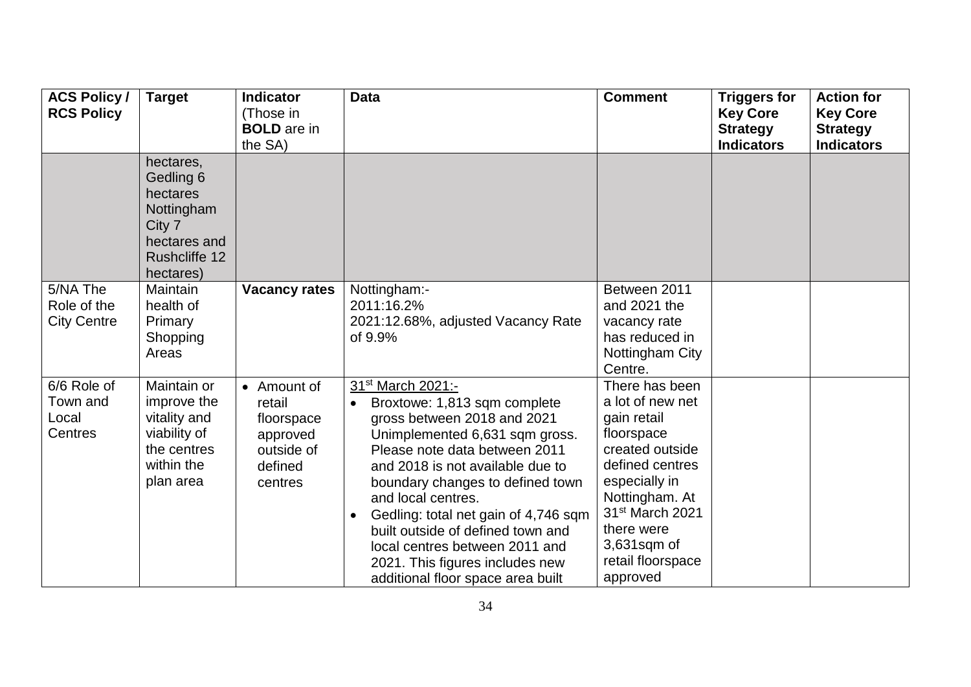| <b>ACS Policy /</b><br><b>RCS Policy</b>      | <b>Target</b>                                                                                                   | <b>Indicator</b><br>(Those in<br><b>BOLD</b> are in<br>the SA)                      | <b>Data</b>                                                                                                                                                                                                                                                                                                                                                                                                                                                       | <b>Comment</b>                                                                                                                                                                                                            | <b>Triggers for</b><br><b>Key Core</b><br><b>Strategy</b><br><b>Indicators</b> | <b>Action for</b><br><b>Key Core</b><br><b>Strategy</b><br><b>Indicators</b> |
|-----------------------------------------------|-----------------------------------------------------------------------------------------------------------------|-------------------------------------------------------------------------------------|-------------------------------------------------------------------------------------------------------------------------------------------------------------------------------------------------------------------------------------------------------------------------------------------------------------------------------------------------------------------------------------------------------------------------------------------------------------------|---------------------------------------------------------------------------------------------------------------------------------------------------------------------------------------------------------------------------|--------------------------------------------------------------------------------|------------------------------------------------------------------------------|
|                                               | hectares,<br>Gedling 6<br>hectares<br>Nottingham<br>City 7<br>hectares and<br><b>Rushcliffe 12</b><br>hectares) |                                                                                     |                                                                                                                                                                                                                                                                                                                                                                                                                                                                   |                                                                                                                                                                                                                           |                                                                                |                                                                              |
| 5/NA The<br>Role of the<br><b>City Centre</b> | Maintain<br>health of<br>Primary<br>Shopping<br>Areas                                                           | <b>Vacancy rates</b>                                                                | Nottingham:-<br>2011:16.2%<br>2021:12.68%, adjusted Vacancy Rate<br>of 9.9%                                                                                                                                                                                                                                                                                                                                                                                       | Between 2011<br>and 2021 the<br>vacancy rate<br>has reduced in<br>Nottingham City<br>Centre.                                                                                                                              |                                                                                |                                                                              |
| 6/6 Role of<br>Town and<br>Local<br>Centres   | Maintain or<br>improve the<br>vitality and<br>viability of<br>the centres<br>within the<br>plan area            | • Amount of<br>retail<br>floorspace<br>approved<br>outside of<br>defined<br>centres | 31 <sup>st</sup> March 2021:-<br>Broxtowe: 1,813 sqm complete<br>$\bullet$<br>gross between 2018 and 2021<br>Unimplemented 6,631 sqm gross.<br>Please note data between 2011<br>and 2018 is not available due to<br>boundary changes to defined town<br>and local centres.<br>Gedling: total net gain of 4,746 sqm<br>built outside of defined town and<br>local centres between 2011 and<br>2021. This figures includes new<br>additional floor space area built | There has been<br>a lot of new net<br>gain retail<br>floorspace<br>created outside<br>defined centres<br>especially in<br>Nottingham. At<br>31st March 2021<br>there were<br>3,631sqm of<br>retail floorspace<br>approved |                                                                                |                                                                              |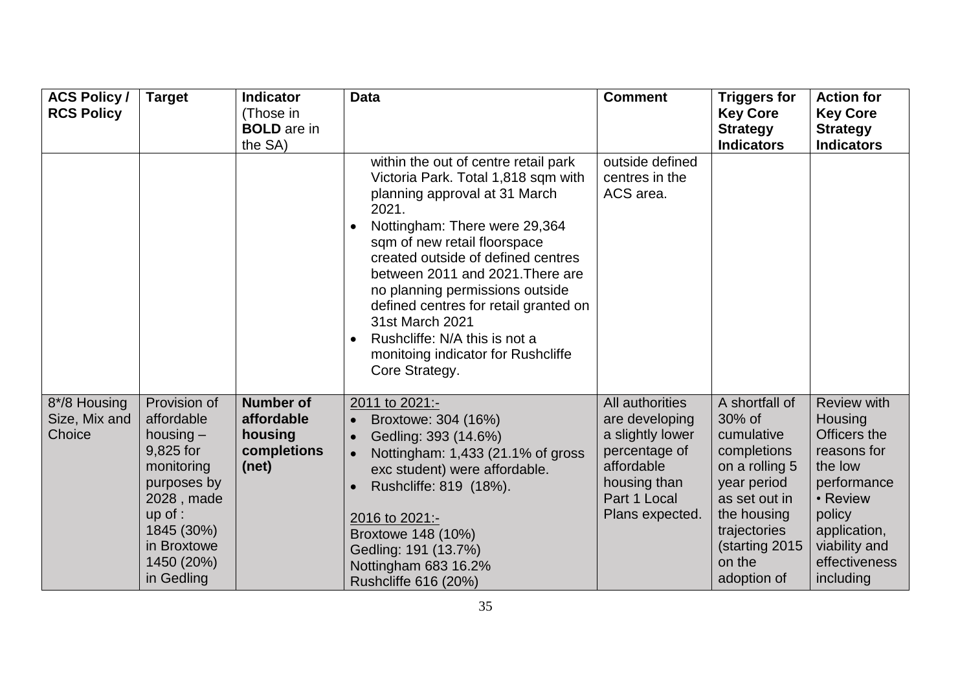| <b>ACS Policy /</b><br><b>RCS Policy</b> | <b>Target</b>                                                                                                                                                           | <b>Indicator</b><br>(Those in<br><b>BOLD</b> are in<br>the SA)    | <b>Data</b>                                                                                                                                                                                                                                                                                                                                                                                                                                              | <b>Comment</b>                                                                                                                          | <b>Triggers for</b><br><b>Key Core</b><br><b>Strategy</b><br><b>Indicators</b>                                                                                                    | <b>Action for</b><br><b>Key Core</b><br><b>Strategy</b><br><b>Indicators</b>                                                                                                |
|------------------------------------------|-------------------------------------------------------------------------------------------------------------------------------------------------------------------------|-------------------------------------------------------------------|----------------------------------------------------------------------------------------------------------------------------------------------------------------------------------------------------------------------------------------------------------------------------------------------------------------------------------------------------------------------------------------------------------------------------------------------------------|-----------------------------------------------------------------------------------------------------------------------------------------|-----------------------------------------------------------------------------------------------------------------------------------------------------------------------------------|-----------------------------------------------------------------------------------------------------------------------------------------------------------------------------|
|                                          |                                                                                                                                                                         |                                                                   | within the out of centre retail park<br>Victoria Park. Total 1,818 sqm with<br>planning approval at 31 March<br>2021.<br>Nottingham: There were 29,364<br>sqm of new retail floorspace<br>created outside of defined centres<br>between 2011 and 2021. There are<br>no planning permissions outside<br>defined centres for retail granted on<br>31st March 2021<br>Rushcliffe: N/A this is not a<br>monitoing indicator for Rushcliffe<br>Core Strategy. | outside defined<br>centres in the<br>ACS area.                                                                                          |                                                                                                                                                                                   |                                                                                                                                                                             |
| 8*/8 Housing<br>Size, Mix and<br>Choice  | Provision of<br>affordable<br>housing $-$<br>9,825 for<br>monitoring<br>purposes by<br>2028, made<br>$up$ of :<br>1845 (30%)<br>in Broxtowe<br>1450 (20%)<br>in Gedling | <b>Number of</b><br>affordable<br>housing<br>completions<br>(net) | 2011 to 2021:-<br>Broxtowe: 304 (16%)<br>Gedling: 393 (14.6%)<br>Nottingham: 1,433 (21.1% of gross<br>exc student) were affordable.<br>Rushcliffe: 819 (18%).<br>2016 to 2021:-<br>Broxtowe 148 (10%)<br>Gedling: 191 (13.7%)<br>Nottingham 683 16.2%<br>Rushcliffe 616 (20%)                                                                                                                                                                            | All authorities<br>are developing<br>a slightly lower<br>percentage of<br>affordable<br>housing than<br>Part 1 Local<br>Plans expected. | A shortfall of<br>30% of<br>cumulative<br>completions<br>on a rolling 5<br>year period<br>as set out in<br>the housing<br>trajectories<br>(starting 2015<br>on the<br>adoption of | <b>Review with</b><br>Housing<br>Officers the<br>reasons for<br>the low<br>performance<br>• Review<br>policy<br>application,<br>viability and<br>effectiveness<br>including |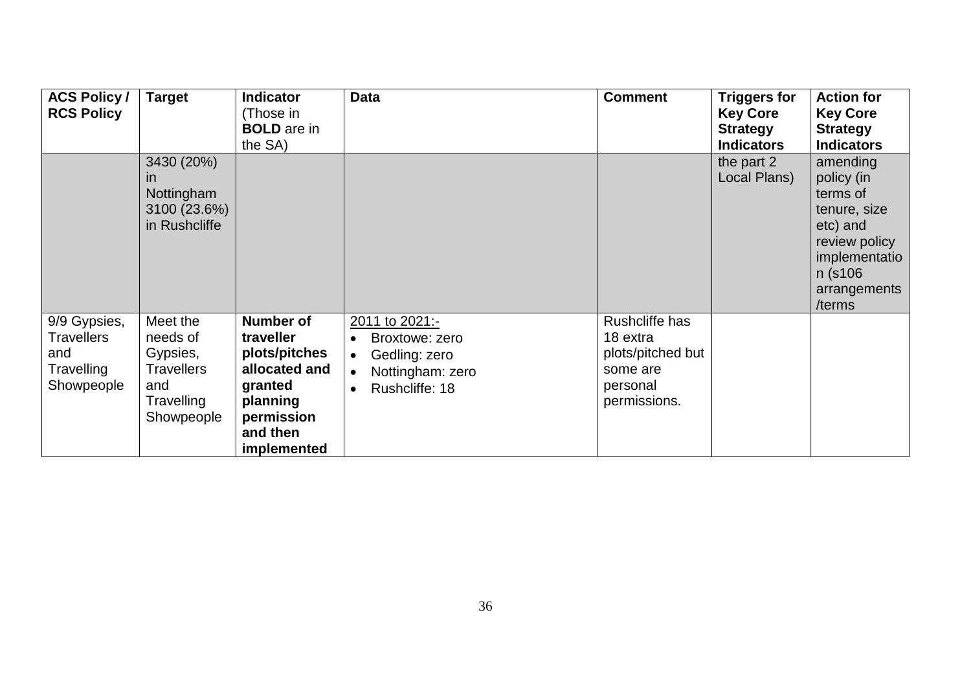| <b>ACS Policy /</b><br><b>RCS Policy</b>                             | <b>Target</b>                                                                            | <b>Indicator</b><br>(Those in<br><b>BOLD</b> are in<br>the SA)                                                                  | <b>Data</b>                                                                                          | <b>Comment</b>                                                                          | <b>Triggers for</b><br><b>Key Core</b><br><b>Strategy</b><br><b>Indicators</b> | <b>Action for</b><br><b>Key Core</b><br><b>Strategy</b><br><b>Indicators</b>                                                          |
|----------------------------------------------------------------------|------------------------------------------------------------------------------------------|---------------------------------------------------------------------------------------------------------------------------------|------------------------------------------------------------------------------------------------------|-----------------------------------------------------------------------------------------|--------------------------------------------------------------------------------|---------------------------------------------------------------------------------------------------------------------------------------|
|                                                                      | 3430 (20%)<br><i>in</i><br>Nottingham<br>3100 (23.6%)<br>in Rushcliffe                   |                                                                                                                                 |                                                                                                      |                                                                                         | the part 2<br>Local Plans)                                                     | amending<br>policy (in<br>terms of<br>tenure, size<br>etc) and<br>review policy<br>implementatio<br>n (s106<br>arrangements<br>/terms |
| 9/9 Gypsies,<br><b>Travellers</b><br>and<br>Travelling<br>Showpeople | Meet the<br>needs of<br>Gypsies,<br><b>Travellers</b><br>and<br>Travelling<br>Showpeople | <b>Number of</b><br>traveller<br>plots/pitches<br>allocated and<br>granted<br>planning<br>permission<br>and then<br>implemented | 2011 to 2021:-<br>Broxtowe: zero<br>$\bullet$<br>Gedling: zero<br>Nottingham: zero<br>Rushcliffe: 18 | Rushcliffe has<br>18 extra<br>plots/pitched but<br>some are<br>personal<br>permissions. |                                                                                |                                                                                                                                       |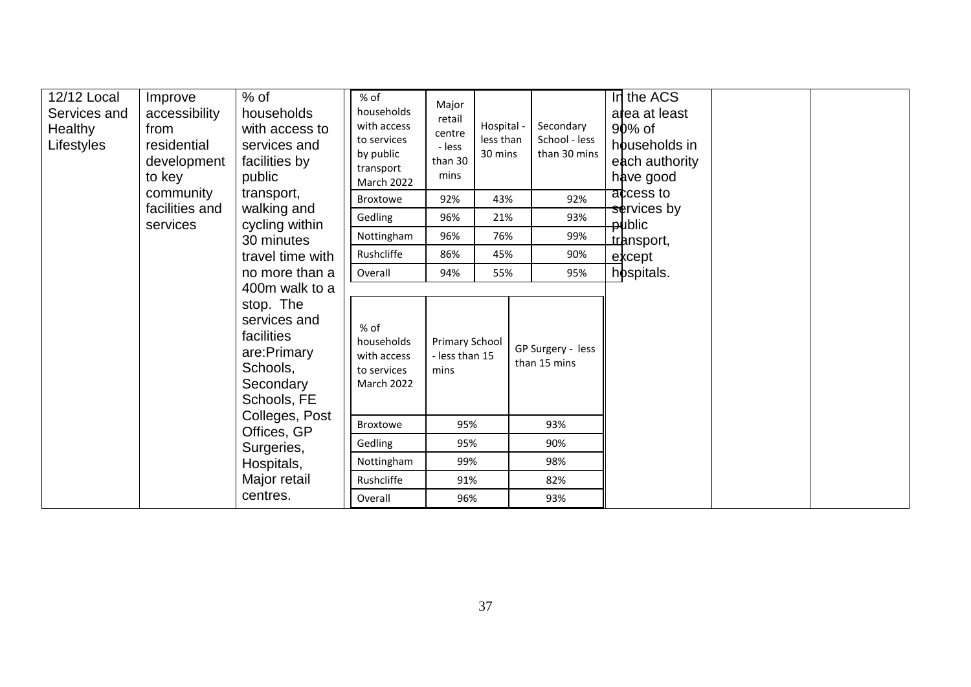| 12/12 Local<br>Services and<br>Healthy<br>Lifestyles | $%$ of<br>Improve<br>accessibility<br>households<br>with access to<br>from<br>residential<br>services and<br>development<br>facilities by<br>to key<br>public                                                    |                           | $%$ of<br>households<br>with access<br>to services<br>by public<br>transport<br><b>March 2022</b> | Major<br>retail<br>centre<br>- less<br>than 30<br>mins | Hospital -<br>less than<br>30 mins | Secondary<br>School - less<br>than 30 mins | In the ACS<br>area at least<br>90% of<br>households in<br>each authority<br>have good |  |
|------------------------------------------------------|------------------------------------------------------------------------------------------------------------------------------------------------------------------------------------------------------------------|---------------------------|---------------------------------------------------------------------------------------------------|--------------------------------------------------------|------------------------------------|--------------------------------------------|---------------------------------------------------------------------------------------|--|
|                                                      | community<br>facilities and                                                                                                                                                                                      | transport,<br>walking and | <b>Broxtowe</b>                                                                                   | 92%                                                    | 43%                                | 92%                                        | access to<br>services by                                                              |  |
|                                                      | services                                                                                                                                                                                                         | cycling within            | Gedling                                                                                           | 96%                                                    | 21%                                | 93%                                        | <b>public</b>                                                                         |  |
|                                                      |                                                                                                                                                                                                                  | 30 minutes                | Nottingham                                                                                        | 96%                                                    | 76%                                | 99%                                        | transport,                                                                            |  |
|                                                      |                                                                                                                                                                                                                  | travel time with          | Rushcliffe                                                                                        | 86%                                                    | 45%                                | 90%                                        | except                                                                                |  |
|                                                      | no more than a<br>400m walk to a<br>stop. The<br>services and<br>facilities<br>are: Primary<br>Schools,<br>Secondary<br>Schools, FE<br>Colleges, Post<br>Offices, GP<br>Surgeries,<br>Hospitals,<br>Major retail |                           | Overall                                                                                           | 94%                                                    | 55%                                | 95%                                        | hospitals.                                                                            |  |
|                                                      |                                                                                                                                                                                                                  |                           | % of<br>households<br>with access<br>to services<br>March 2022                                    | Primary School<br>- less than 15<br>mins               |                                    | GP Surgery - less<br>than 15 mins          |                                                                                       |  |
|                                                      |                                                                                                                                                                                                                  |                           | <b>Broxtowe</b>                                                                                   | 95%                                                    |                                    | 93%                                        |                                                                                       |  |
|                                                      |                                                                                                                                                                                                                  |                           | Gedling                                                                                           | 95%                                                    |                                    | 90%                                        |                                                                                       |  |
|                                                      |                                                                                                                                                                                                                  |                           | Nottingham                                                                                        | 99%                                                    |                                    | 98%                                        |                                                                                       |  |
|                                                      |                                                                                                                                                                                                                  |                           | Rushcliffe                                                                                        | 91%                                                    |                                    | 82%                                        |                                                                                       |  |
|                                                      |                                                                                                                                                                                                                  | centres.                  | Overall                                                                                           | 96%                                                    |                                    | 93%                                        |                                                                                       |  |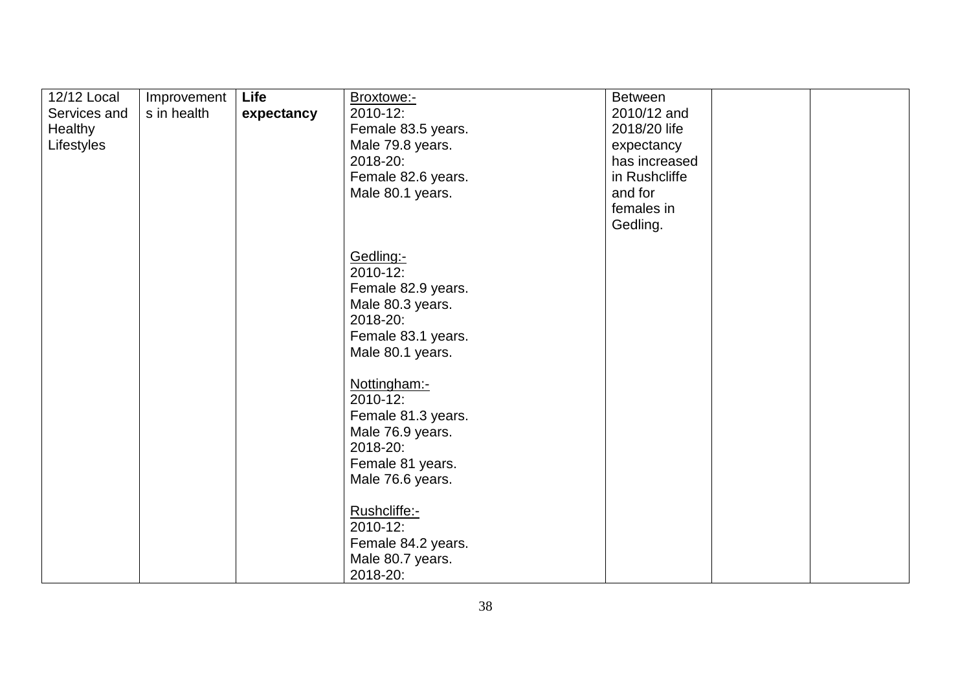| 12/12 Local<br>Services and<br>Healthy<br>Lifestyles | Improvement<br>s in health | Life<br>expectancy | Broxtowe:-<br>2010-12:<br>Female 83.5 years.<br>Male 79.8 years.<br>2018-20:<br>Female 82.6 years.<br>Male 80.1 years. | <b>Between</b><br>2010/12 and<br>2018/20 life<br>expectancy<br>has increased<br>in Rushcliffe<br>and for<br>females in<br>Gedling. |  |
|------------------------------------------------------|----------------------------|--------------------|------------------------------------------------------------------------------------------------------------------------|------------------------------------------------------------------------------------------------------------------------------------|--|
|                                                      |                            |                    | Gedling:-<br>2010-12:<br>Female 82.9 years.<br>Male 80.3 years.<br>2018-20:<br>Female 83.1 years.<br>Male 80.1 years.  |                                                                                                                                    |  |
|                                                      |                            |                    | Nottingham:-<br>2010-12:<br>Female 81.3 years.<br>Male 76.9 years.<br>2018-20:<br>Female 81 years.<br>Male 76.6 years. |                                                                                                                                    |  |
|                                                      |                            |                    | Rushcliffe:-<br>2010-12:<br>Female 84.2 years.<br>Male 80.7 years.<br>2018-20:                                         |                                                                                                                                    |  |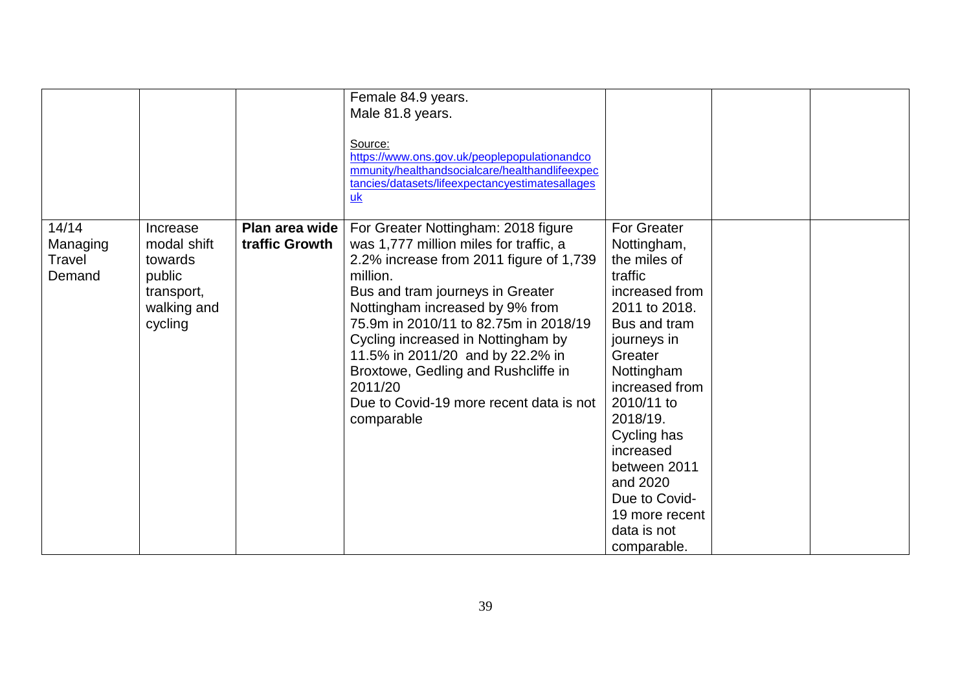|                                       |                                                                                      |                                  | Female 84.9 years.<br>Male 81.8 years.<br>Source:<br>https://www.ons.gov.uk/peoplepopulationandco<br>mmunity/healthandsocialcare/healthandlifeexpec<br>tancies/datasets/lifeexpectancyestimatesallages<br>$u$ <sub>k</sub>                                                                                                                                                                                                                |                                                                                                                                                                                                                                                                                                                              |  |
|---------------------------------------|--------------------------------------------------------------------------------------|----------------------------------|-------------------------------------------------------------------------------------------------------------------------------------------------------------------------------------------------------------------------------------------------------------------------------------------------------------------------------------------------------------------------------------------------------------------------------------------|------------------------------------------------------------------------------------------------------------------------------------------------------------------------------------------------------------------------------------------------------------------------------------------------------------------------------|--|
| 14/14<br>Managing<br>Travel<br>Demand | Increase<br>modal shift<br>towards<br>public<br>transport,<br>walking and<br>cycling | Plan area wide<br>traffic Growth | For Greater Nottingham: 2018 figure<br>was 1,777 million miles for traffic, a<br>2.2% increase from 2011 figure of 1,739<br>million.<br>Bus and tram journeys in Greater<br>Nottingham increased by 9% from<br>75.9m in 2010/11 to 82.75m in 2018/19<br>Cycling increased in Nottingham by<br>11.5% in 2011/20 and by 22.2% in<br>Broxtowe, Gedling and Rushcliffe in<br>2011/20<br>Due to Covid-19 more recent data is not<br>comparable | <b>For Greater</b><br>Nottingham,<br>the miles of<br>traffic<br>increased from<br>2011 to 2018.<br>Bus and tram<br>journeys in<br>Greater<br>Nottingham<br>increased from<br>2010/11 to<br>2018/19.<br>Cycling has<br>increased<br>between 2011<br>and 2020<br>Due to Covid-<br>19 more recent<br>data is not<br>comparable. |  |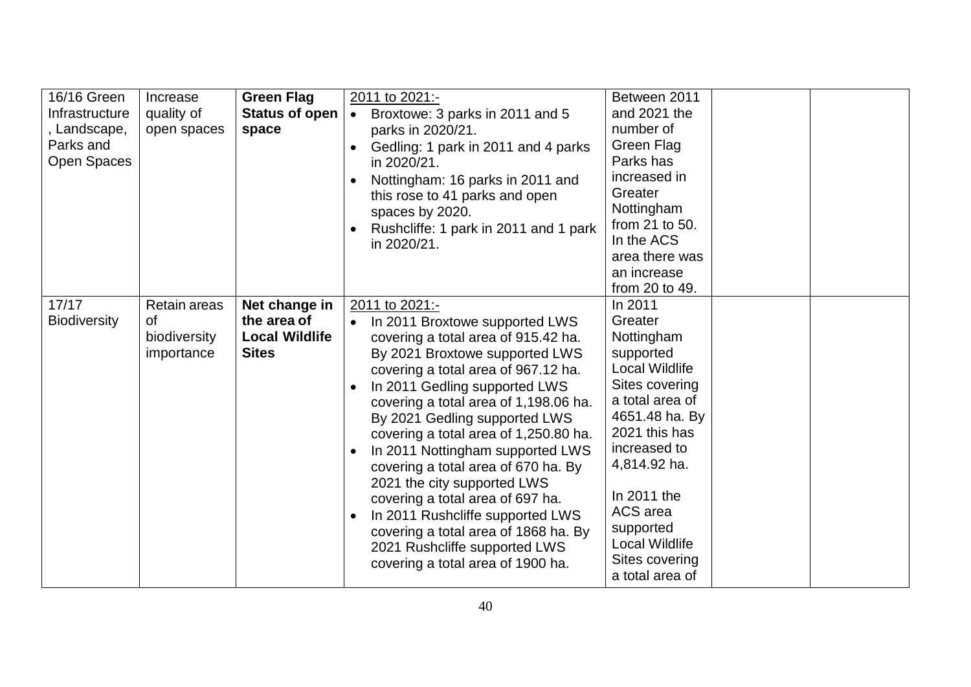| 16/16 Green<br>Infrastructure<br>, Landscape,<br>Parks and<br><b>Open Spaces</b> | Increase<br>quality of<br>open spaces            | <b>Green Flag</b><br>Status of open<br>space                          | 2011 to 2021:-<br>Broxtowe: 3 parks in 2011 and 5<br>$\bullet$<br>parks in 2020/21.<br>Gedling: 1 park in 2011 and 4 parks<br>in 2020/21.<br>Nottingham: 16 parks in 2011 and<br>this rose to 41 parks and open<br>spaces by 2020.<br>Rushcliffe: 1 park in 2011 and 1 park<br>in 2020/21.                                                                                                                                                                                                                                                                                                                                        | Between 2011<br>and 2021 the<br>number of<br>Green Flag<br>Parks has<br>increased in<br>Greater<br>Nottingham<br>from 21 to 50.<br>In the ACS<br>area there was<br>an increase<br>from 20 to 49.                                                                       |  |
|----------------------------------------------------------------------------------|--------------------------------------------------|-----------------------------------------------------------------------|-----------------------------------------------------------------------------------------------------------------------------------------------------------------------------------------------------------------------------------------------------------------------------------------------------------------------------------------------------------------------------------------------------------------------------------------------------------------------------------------------------------------------------------------------------------------------------------------------------------------------------------|------------------------------------------------------------------------------------------------------------------------------------------------------------------------------------------------------------------------------------------------------------------------|--|
| 17/17<br><b>Biodiversity</b>                                                     | Retain areas<br>of<br>biodiversity<br>importance | Net change in<br>the area of<br><b>Local Wildlife</b><br><b>Sites</b> | 2011 to 2021:-<br>In 2011 Broxtowe supported LWS<br>$\bullet$<br>covering a total area of 915.42 ha.<br>By 2021 Broxtowe supported LWS<br>covering a total area of 967.12 ha.<br>In 2011 Gedling supported LWS<br>covering a total area of 1,198.06 ha.<br>By 2021 Gedling supported LWS<br>covering a total area of 1,250.80 ha.<br>In 2011 Nottingham supported LWS<br>covering a total area of 670 ha. By<br>2021 the city supported LWS<br>covering a total area of 697 ha.<br>In 2011 Rushcliffe supported LWS<br>covering a total area of 1868 ha. By<br>2021 Rushcliffe supported LWS<br>covering a total area of 1900 ha. | In 2011<br>Greater<br>Nottingham<br>supported<br>Local Wildlife<br>Sites covering<br>a total area of<br>4651.48 ha. By<br>2021 this has<br>increased to<br>4,814.92 ha.<br>In 2011 the<br>ACS area<br>supported<br>Local Wildlife<br>Sites covering<br>a total area of |  |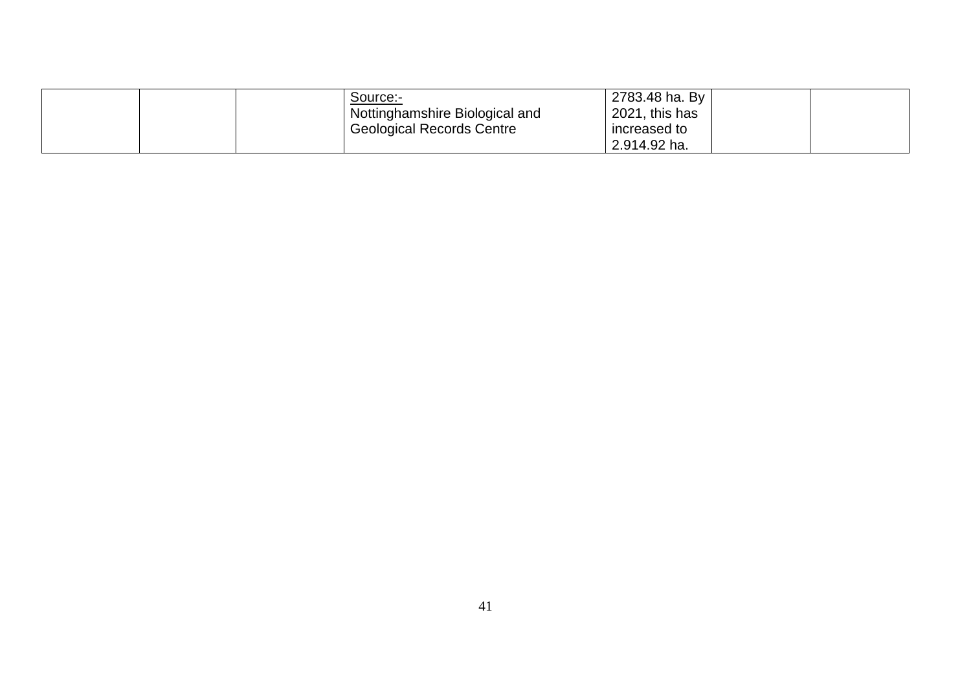| Source:-<br>Nottinghamshire Biological and | 2783.48 ha. By<br>2021, this has |  |
|--------------------------------------------|----------------------------------|--|
| <b>Geological Records Centre</b>           | increased to<br>2.914.92 ha.     |  |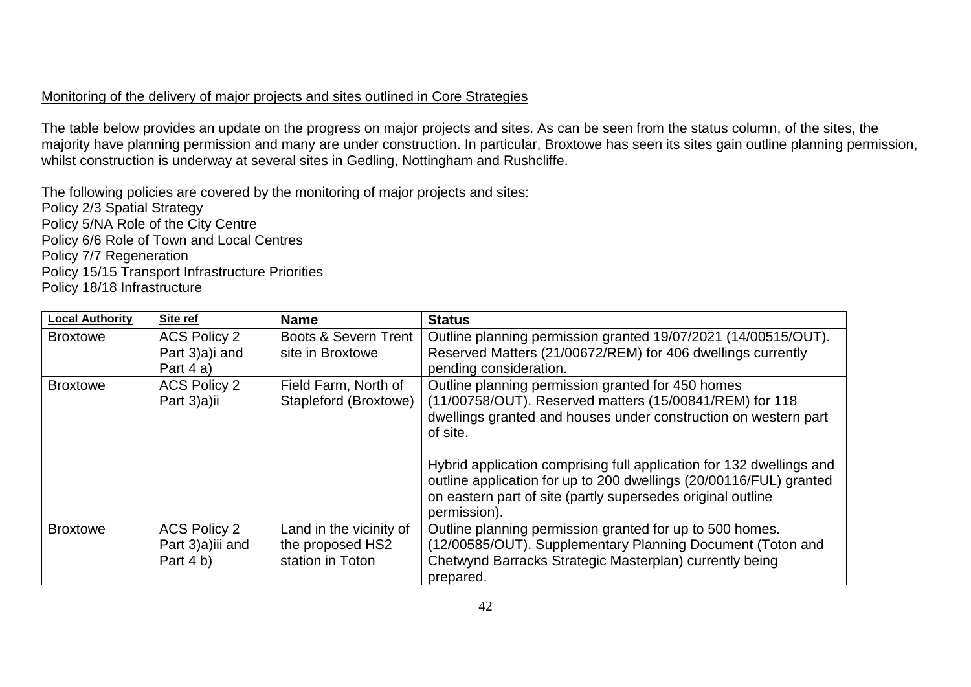## Monitoring of the delivery of major projects and sites outlined in Core Strategies

The table below provides an update on the progress on major projects and sites. As can be seen from the status column, of the sites, the majority have planning permission and many are under construction. In particular, Broxtowe has seen its sites gain outline planning permission, whilst construction is underway at several sites in Gedling, Nottingham and Rushcliffe.

The following policies are covered by the monitoring of major projects and sites: Policy 2/3 Spatial Strategy Policy 5/NA Role of the City Centre Policy 6/6 Role of Town and Local Centres Policy 7/7 Regeneration Policy 15/15 Transport Infrastructure Priorities Policy 18/18 Infrastructure

| <b>Local Authority</b> | Site ref                                             | <b>Name</b>                                                     | <b>Status</b>                                                                                                                                                                                                                                                                                                                                                                                            |
|------------------------|------------------------------------------------------|-----------------------------------------------------------------|----------------------------------------------------------------------------------------------------------------------------------------------------------------------------------------------------------------------------------------------------------------------------------------------------------------------------------------------------------------------------------------------------------|
| <b>Broxtowe</b>        | <b>ACS Policy 2</b><br>Part 3)a)i and<br>Part 4 a)   | <b>Boots &amp; Severn Trent</b><br>site in Broxtowe             | Outline planning permission granted 19/07/2021 (14/00515/OUT).<br>Reserved Matters (21/00672/REM) for 406 dwellings currently<br>pending consideration.                                                                                                                                                                                                                                                  |
| <b>Broxtowe</b>        | <b>ACS Policy 2</b><br>Part 3)a)ii                   | Field Farm, North of<br>Stapleford (Broxtowe)                   | Outline planning permission granted for 450 homes<br>(11/00758/OUT). Reserved matters (15/00841/REM) for 118<br>dwellings granted and houses under construction on western part<br>of site.<br>Hybrid application comprising full application for 132 dwellings and<br>outline application for up to 200 dwellings (20/00116/FUL) granted<br>on eastern part of site (partly supersedes original outline |
|                        |                                                      |                                                                 | permission).                                                                                                                                                                                                                                                                                                                                                                                             |
| <b>Broxtowe</b>        | <b>ACS Policy 2</b><br>Part 3)a)iii and<br>Part 4 b) | Land in the vicinity of<br>the proposed HS2<br>station in Toton | Outline planning permission granted for up to 500 homes.<br>(12/00585/OUT). Supplementary Planning Document (Toton and<br>Chetwynd Barracks Strategic Masterplan) currently being<br>prepared.                                                                                                                                                                                                           |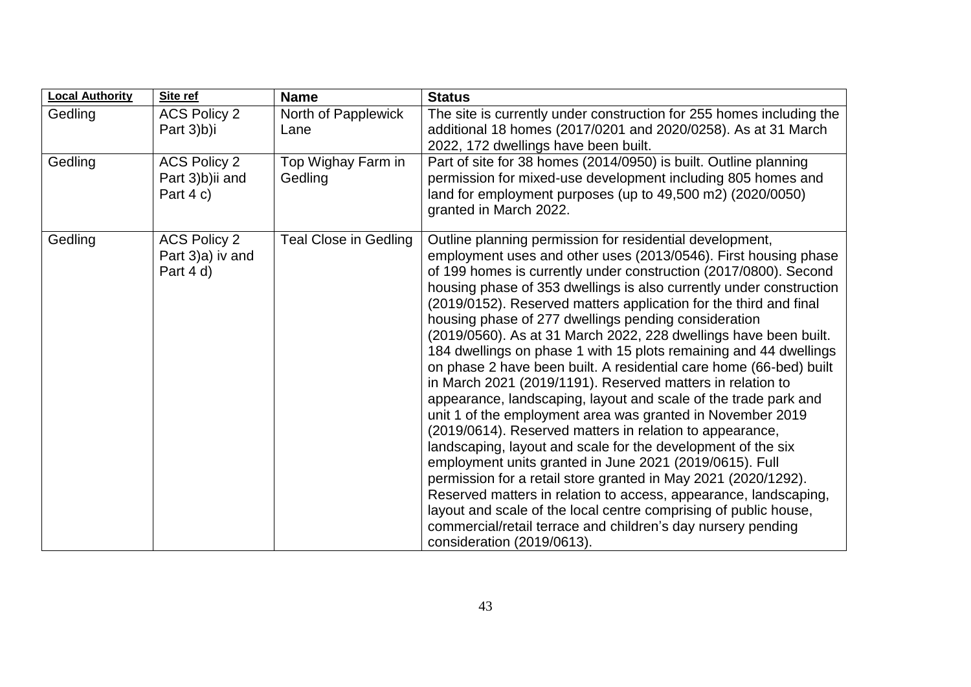| <b>Local Authority</b> | Site ref                                               | <b>Name</b>                   | <b>Status</b>                                                                                                                                                                                                                                                                                                                                                                                                                                                                                                                                                                                                                                                                                                                                                                                                                                                                                                                                                                                                                                                                                                                                                                                                                                                                                                    |
|------------------------|--------------------------------------------------------|-------------------------------|------------------------------------------------------------------------------------------------------------------------------------------------------------------------------------------------------------------------------------------------------------------------------------------------------------------------------------------------------------------------------------------------------------------------------------------------------------------------------------------------------------------------------------------------------------------------------------------------------------------------------------------------------------------------------------------------------------------------------------------------------------------------------------------------------------------------------------------------------------------------------------------------------------------------------------------------------------------------------------------------------------------------------------------------------------------------------------------------------------------------------------------------------------------------------------------------------------------------------------------------------------------------------------------------------------------|
| Gedling                | <b>ACS Policy 2</b><br>Part 3)b)i                      | North of Papplewick<br>Lane   | The site is currently under construction for 255 homes including the<br>additional 18 homes (2017/0201 and 2020/0258). As at 31 March<br>2022, 172 dwellings have been built.                                                                                                                                                                                                                                                                                                                                                                                                                                                                                                                                                                                                                                                                                                                                                                                                                                                                                                                                                                                                                                                                                                                                    |
| Gedling                | <b>ACS Policy 2</b><br>Part 3)b)ii and<br>Part $4 c$ ) | Top Wighay Farm in<br>Gedling | Part of site for 38 homes (2014/0950) is built. Outline planning<br>permission for mixed-use development including 805 homes and<br>land for employment purposes (up to 49,500 m2) (2020/0050)<br>granted in March 2022.                                                                                                                                                                                                                                                                                                                                                                                                                                                                                                                                                                                                                                                                                                                                                                                                                                                                                                                                                                                                                                                                                         |
| Gedling                | <b>ACS Policy 2</b><br>Part 3)a) iv and<br>Part 4 d)   | <b>Teal Close in Gedling</b>  | Outline planning permission for residential development,<br>employment uses and other uses (2013/0546). First housing phase<br>of 199 homes is currently under construction (2017/0800). Second<br>housing phase of 353 dwellings is also currently under construction<br>(2019/0152). Reserved matters application for the third and final<br>housing phase of 277 dwellings pending consideration<br>(2019/0560). As at 31 March 2022, 228 dwellings have been built.<br>184 dwellings on phase 1 with 15 plots remaining and 44 dwellings<br>on phase 2 have been built. A residential care home (66-bed) built<br>in March 2021 (2019/1191). Reserved matters in relation to<br>appearance, landscaping, layout and scale of the trade park and<br>unit 1 of the employment area was granted in November 2019<br>(2019/0614). Reserved matters in relation to appearance,<br>landscaping, layout and scale for the development of the six<br>employment units granted in June 2021 (2019/0615). Full<br>permission for a retail store granted in May 2021 (2020/1292).<br>Reserved matters in relation to access, appearance, landscaping,<br>layout and scale of the local centre comprising of public house,<br>commercial/retail terrace and children's day nursery pending<br>consideration (2019/0613). |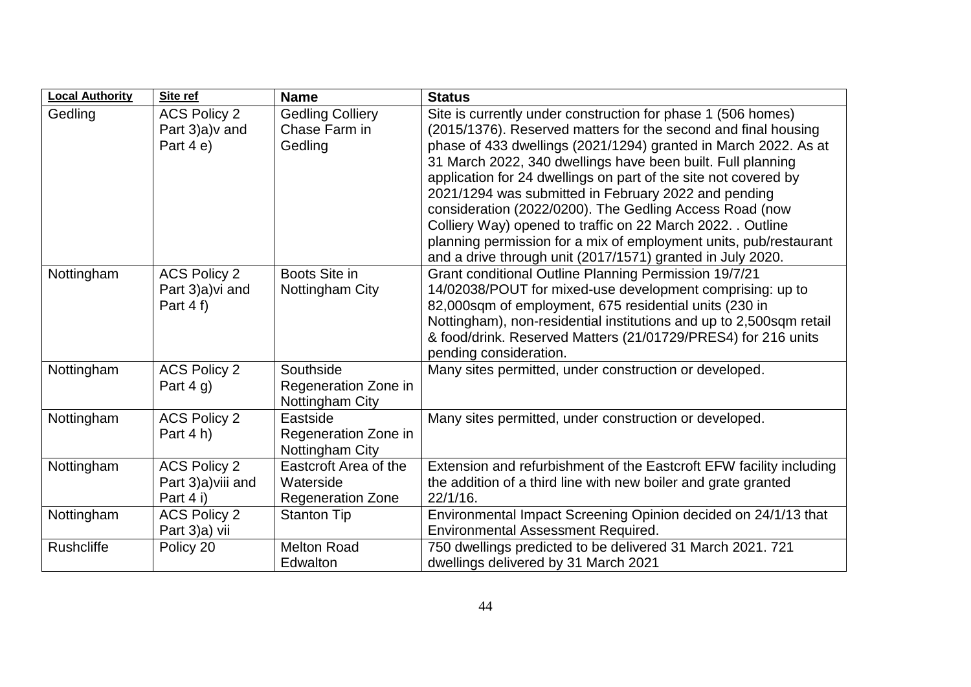| <b>Local Authority</b> | Site ref                                               | <b>Name</b>                                                    | <b>Status</b>                                                                                                                                                                                                                                                                                                                                                                                                                                                                                                                                                                                                                                            |
|------------------------|--------------------------------------------------------|----------------------------------------------------------------|----------------------------------------------------------------------------------------------------------------------------------------------------------------------------------------------------------------------------------------------------------------------------------------------------------------------------------------------------------------------------------------------------------------------------------------------------------------------------------------------------------------------------------------------------------------------------------------------------------------------------------------------------------|
| Gedling                | <b>ACS Policy 2</b><br>Part 3)a) v and<br>Part 4 e)    | <b>Gedling Colliery</b><br>Chase Farm in<br>Gedling            | Site is currently under construction for phase 1 (506 homes)<br>(2015/1376). Reserved matters for the second and final housing<br>phase of 433 dwellings (2021/1294) granted in March 2022. As at<br>31 March 2022, 340 dwellings have been built. Full planning<br>application for 24 dwellings on part of the site not covered by<br>2021/1294 was submitted in February 2022 and pending<br>consideration (2022/0200). The Gedling Access Road (now<br>Colliery Way) opened to traffic on 22 March 2022. . Outline<br>planning permission for a mix of employment units, pub/restaurant<br>and a drive through unit (2017/1571) granted in July 2020. |
| Nottingham             | <b>ACS Policy 2</b><br>Part 3)a) vi and<br>Part $4f$ ) | Boots Site in<br>Nottingham City                               | Grant conditional Outline Planning Permission 19/7/21<br>14/02038/POUT for mixed-use development comprising: up to<br>82,000sqm of employment, 675 residential units (230 in<br>Nottingham), non-residential institutions and up to 2,500sqm retail<br>& food/drink. Reserved Matters (21/01729/PRES4) for 216 units<br>pending consideration.                                                                                                                                                                                                                                                                                                           |
| Nottingham             | <b>ACS Policy 2</b><br>Part $4 g$ )                    | Southside<br>Regeneration Zone in<br>Nottingham City           | Many sites permitted, under construction or developed.                                                                                                                                                                                                                                                                                                                                                                                                                                                                                                                                                                                                   |
| Nottingham             | <b>ACS Policy 2</b><br>Part 4 h)                       | Eastside<br>Regeneration Zone in<br>Nottingham City            | Many sites permitted, under construction or developed.                                                                                                                                                                                                                                                                                                                                                                                                                                                                                                                                                                                                   |
| Nottingham             | <b>ACS Policy 2</b><br>Part 3)a) viii and<br>Part 4 i) | Eastcroft Area of the<br>Waterside<br><b>Regeneration Zone</b> | Extension and refurbishment of the Eastcroft EFW facility including<br>the addition of a third line with new boiler and grate granted<br>22/1/16.                                                                                                                                                                                                                                                                                                                                                                                                                                                                                                        |
| Nottingham             | <b>ACS Policy 2</b><br>Part 3)a) vii                   | <b>Stanton Tip</b>                                             | Environmental Impact Screening Opinion decided on 24/1/13 that<br><b>Environmental Assessment Required.</b>                                                                                                                                                                                                                                                                                                                                                                                                                                                                                                                                              |
| <b>Rushcliffe</b>      | Policy 20                                              | <b>Melton Road</b><br>Edwalton                                 | 750 dwellings predicted to be delivered 31 March 2021. 721<br>dwellings delivered by 31 March 2021                                                                                                                                                                                                                                                                                                                                                                                                                                                                                                                                                       |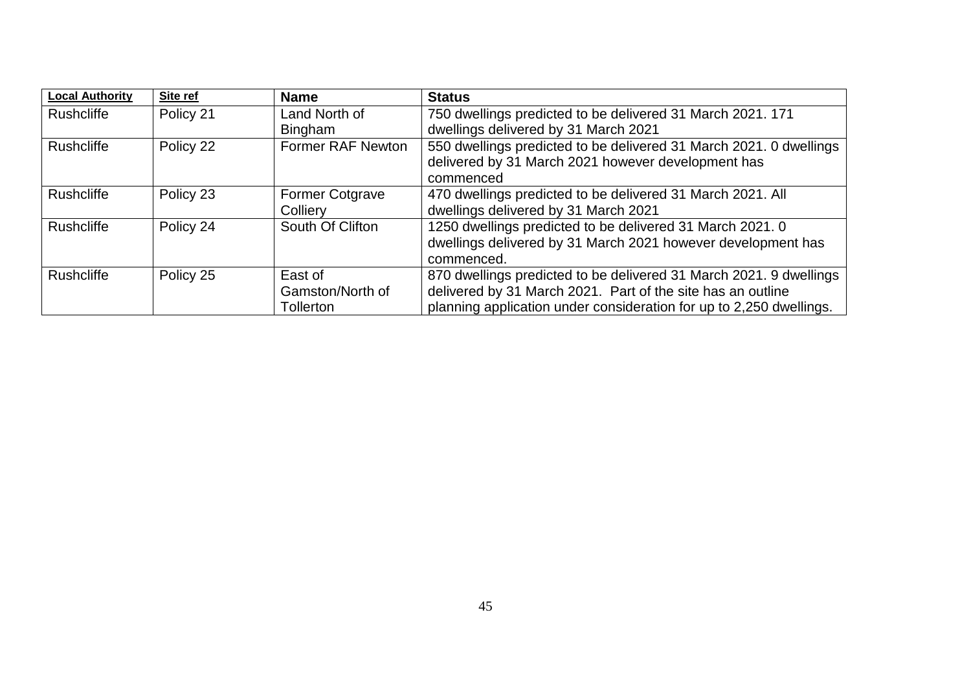| <b>Local Authority</b> | Site ref  | <b>Name</b>            | <b>Status</b>                                                       |
|------------------------|-----------|------------------------|---------------------------------------------------------------------|
| <b>Rushcliffe</b>      | Policy 21 | Land North of          | 750 dwellings predicted to be delivered 31 March 2021. 171          |
|                        |           | <b>Bingham</b>         | dwellings delivered by 31 March 2021                                |
| <b>Rushcliffe</b>      | Policy 22 | Former RAF Newton      | 550 dwellings predicted to be delivered 31 March 2021. 0 dwellings  |
|                        |           |                        | delivered by 31 March 2021 however development has                  |
|                        |           |                        | commenced                                                           |
| <b>Rushcliffe</b>      | Policy 23 | <b>Former Cotgrave</b> | 470 dwellings predicted to be delivered 31 March 2021. All          |
|                        |           | Colliery               | dwellings delivered by 31 March 2021                                |
| <b>Rushcliffe</b>      | Policy 24 | South Of Clifton       | 1250 dwellings predicted to be delivered 31 March 2021. 0           |
|                        |           |                        | dwellings delivered by 31 March 2021 however development has        |
|                        |           |                        | commenced.                                                          |
| <b>Rushcliffe</b>      | Policy 25 | East of                | 870 dwellings predicted to be delivered 31 March 2021. 9 dwellings  |
|                        |           | Gamston/North of       | delivered by 31 March 2021. Part of the site has an outline         |
|                        |           | Tollerton              | planning application under consideration for up to 2,250 dwellings. |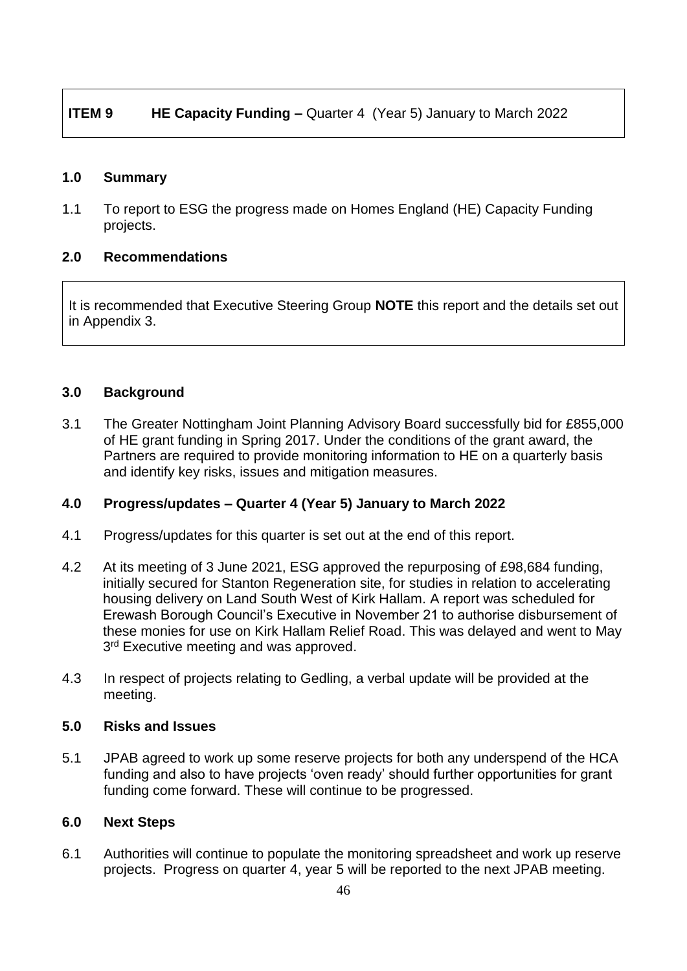## **ITEM 9 HE Capacity Funding –** Quarter 4 (Year 5) January to March 2022

#### **1.0 Summary**

1.1 To report to ESG the progress made on Homes England (HE) Capacity Funding projects.

#### **2.0 Recommendations**

It is recommended that Executive Steering Group **NOTE** this report and the details set out in Appendix 3.

#### **3.0 Background**

3.1 The Greater Nottingham Joint Planning Advisory Board successfully bid for £855,000 of HE grant funding in Spring 2017. Under the conditions of the grant award, the Partners are required to provide monitoring information to HE on a quarterly basis and identify key risks, issues and mitigation measures.

## **4.0 Progress/updates – Quarter 4 (Year 5) January to March 2022**

- 4.1 Progress/updates for this quarter is set out at the end of this report.
- 4.2 At its meeting of 3 June 2021, ESG approved the repurposing of £98,684 funding, initially secured for Stanton Regeneration site, for studies in relation to accelerating housing delivery on Land South West of Kirk Hallam. A report was scheduled for Erewash Borough Council's Executive in November 21 to authorise disbursement of these monies for use on Kirk Hallam Relief Road. This was delayed and went to May 3<sup>rd</sup> Executive meeting and was approved.
- 4.3 In respect of projects relating to Gedling, a verbal update will be provided at the meeting.

#### **5.0 Risks and Issues**

5.1 JPAB agreed to work up some reserve projects for both any underspend of the HCA funding and also to have projects 'oven ready' should further opportunities for grant funding come forward. These will continue to be progressed.

#### **6.0 Next Steps**

6.1 Authorities will continue to populate the monitoring spreadsheet and work up reserve projects. Progress on quarter 4, year 5 will be reported to the next JPAB meeting.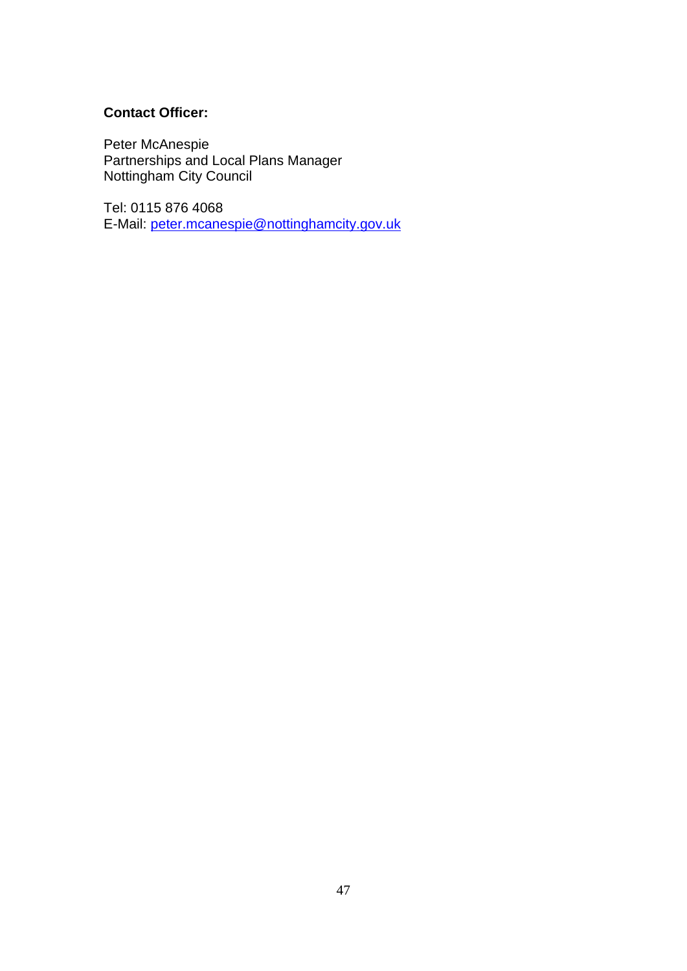## **Contact Officer:**

Peter McAnespie Partnerships and Local Plans Manager Nottingham City Council

Tel: 0115 876 4068 E-Mail: [peter.mcanespie@nottinghamcity.gov.uk](mailto:peter.mcanespie@nottinghamcity.gov.uk)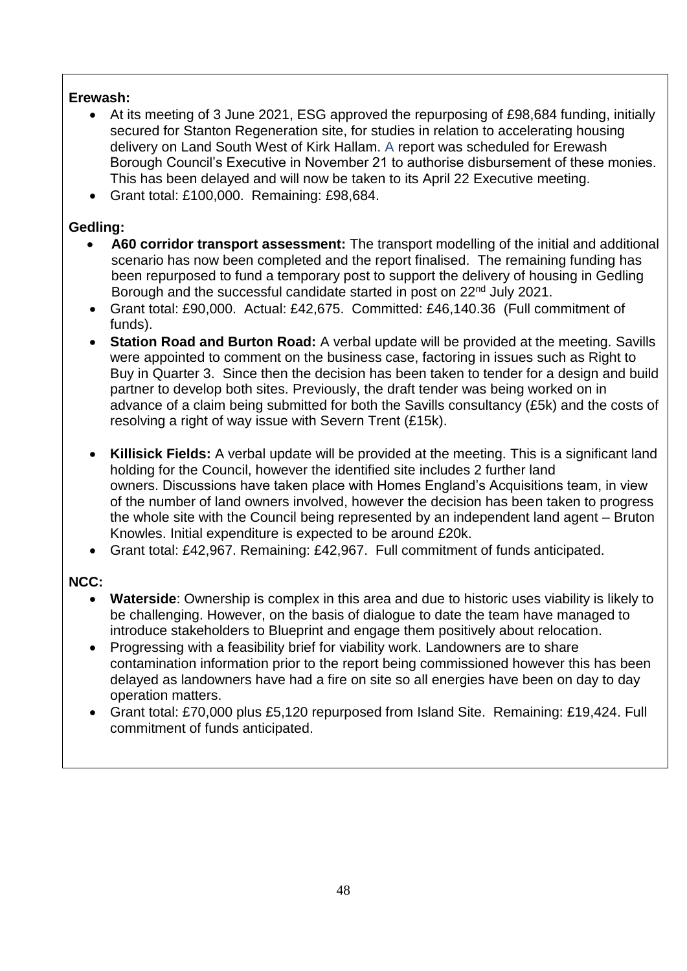## **Erewash:**

- At its meeting of 3 June 2021, ESG approved the repurposing of £98,684 funding, initially secured for Stanton Regeneration site, for studies in relation to accelerating housing delivery on Land South West of Kirk Hallam. A report was scheduled for Erewash Borough Council's Executive in November 21 to authorise disbursement of these monies. This has been delayed and will now be taken to its April 22 Executive meeting.
- Grant total: £100,000. Remaining: £98,684.

## **Gedling:**

- **A60 corridor transport assessment:** The transport modelling of the initial and additional scenario has now been completed and the report finalised. The remaining funding has been repurposed to fund a temporary post to support the delivery of housing in Gedling Borough and the successful candidate started in post on 22nd July 2021.
- Grant total: £90,000. Actual: £42,675. Committed: £46,140.36 (Full commitment of funds).
- **Station Road and Burton Road:** A verbal update will be provided at the meeting. Savills were appointed to comment on the business case, factoring in issues such as Right to Buy in Quarter 3. Since then the decision has been taken to tender for a design and build partner to develop both sites. Previously, the draft tender was being worked on in advance of a claim being submitted for both the Savills consultancy (£5k) and the costs of resolving a right of way issue with Severn Trent (£15k).
- **Killisick Fields:** A verbal update will be provided at the meeting. This is a significant land holding for the Council, however the identified site includes 2 further land owners. Discussions have taken place with Homes England's Acquisitions team, in view of the number of land owners involved, however the decision has been taken to progress the whole site with the Council being represented by an independent land agent – Bruton Knowles. Initial expenditure is expected to be around £20k.
- Grant total: £42,967. Remaining: £42,967. Full commitment of funds anticipated.

## **NCC:**

- **Waterside**: Ownership is complex in this area and due to historic uses viability is likely to be challenging. However, on the basis of dialogue to date the team have managed to introduce stakeholders to Blueprint and engage them positively about relocation.
- Progressing with a feasibility brief for viability work. Landowners are to share contamination information prior to the report being commissioned however this has been delayed as landowners have had a fire on site so all energies have been on day to day operation matters.
- Grant total: £70,000 plus £5,120 repurposed from Island Site. Remaining: £19,424. Full commitment of funds anticipated.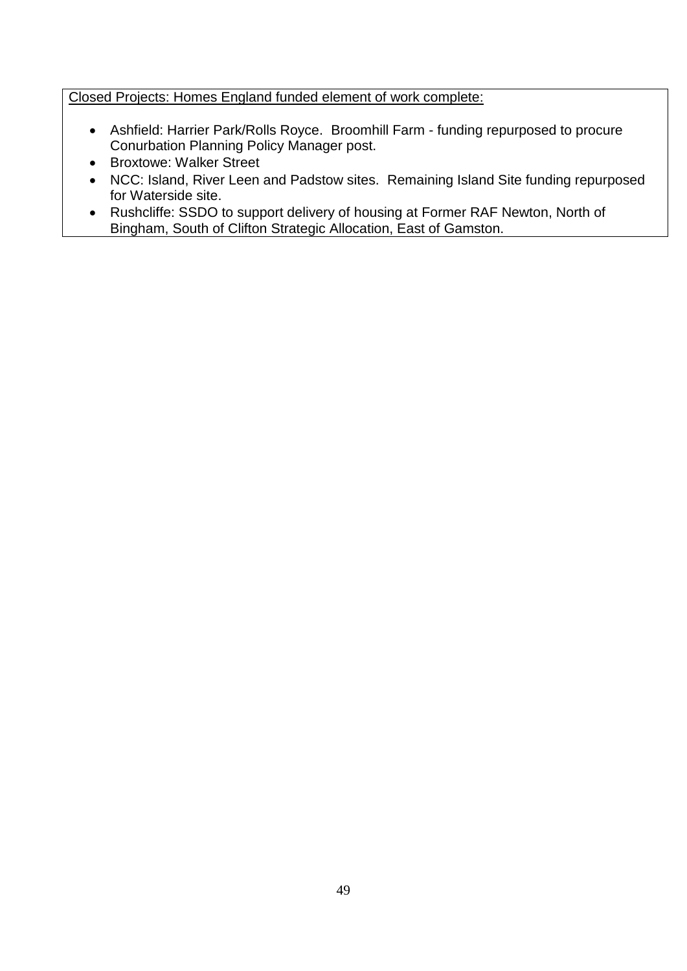Closed Projects: Homes England funded element of work complete:

- Ashfield: Harrier Park/Rolls Royce. Broomhill Farm funding repurposed to procure Conurbation Planning Policy Manager post.
- Broxtowe: Walker Street
- NCC: Island, River Leen and Padstow sites. Remaining Island Site funding repurposed for Waterside site.
- Rushcliffe: SSDO to support delivery of housing at Former RAF Newton, North of Bingham, South of Clifton Strategic Allocation, East of Gamston.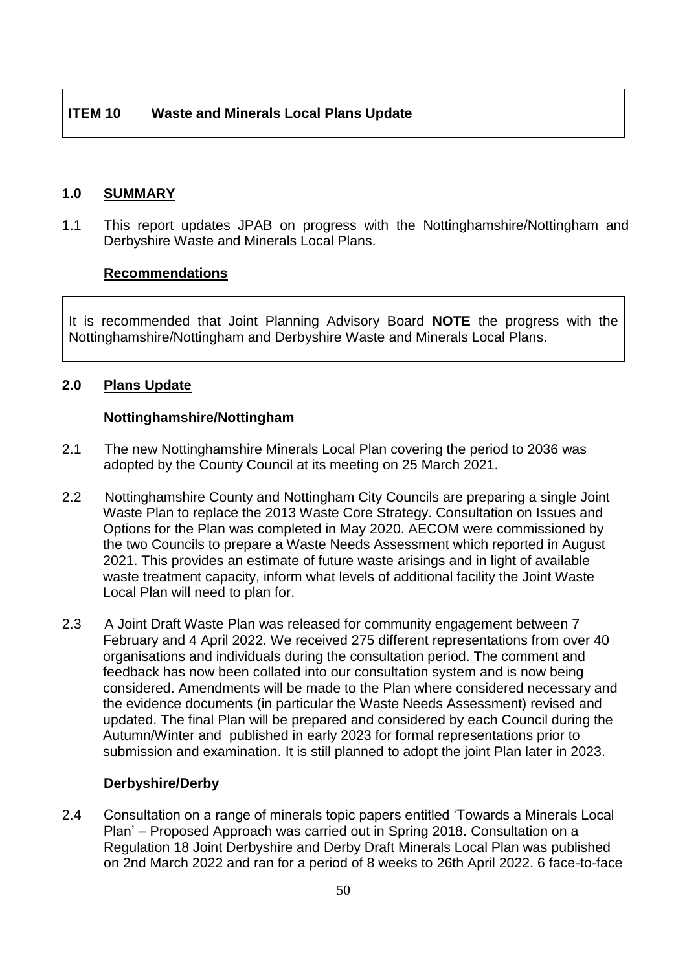#### **1.0 SUMMARY**

1.1 This report updates JPAB on progress with the Nottinghamshire/Nottingham and Derbyshire Waste and Minerals Local Plans.

#### **Recommendations**

It is recommended that Joint Planning Advisory Board **NOTE** the progress with the Nottinghamshire/Nottingham and Derbyshire Waste and Minerals Local Plans.

## **2.0 Plans Update**

#### **Nottinghamshire/Nottingham**

- 2.1 The new Nottinghamshire Minerals Local Plan covering the period to 2036 was adopted by the County Council at its meeting on 25 March 2021.
- 2.2 Nottinghamshire County and Nottingham City Councils are preparing a single Joint Waste Plan to replace the 2013 Waste Core Strategy. Consultation on Issues and Options for the Plan was completed in May 2020. AECOM were commissioned by the two Councils to prepare a Waste Needs Assessment which reported in August 2021. This provides an estimate of future waste arisings and in light of available waste treatment capacity, inform what levels of additional facility the Joint Waste Local Plan will need to plan for.
- 2.3 A Joint Draft Waste Plan was released for community engagement between 7 February and 4 April 2022. We received 275 different representations from over 40 organisations and individuals during the consultation period. The comment and feedback has now been collated into our consultation system and is now being considered. Amendments will be made to the Plan where considered necessary and the evidence documents (in particular the Waste Needs Assessment) revised and updated. The final Plan will be prepared and considered by each Council during the Autumn/Winter and published in early 2023 for formal representations prior to submission and examination. It is still planned to adopt the joint Plan later in 2023.

#### **Derbyshire/Derby**

2.4 Consultation on a range of minerals topic papers entitled 'Towards a Minerals Local Plan' – Proposed Approach was carried out in Spring 2018. Consultation on a Regulation 18 Joint Derbyshire and Derby Draft Minerals Local Plan was published on 2nd March 2022 and ran for a period of 8 weeks to 26th April 2022. 6 face-to-face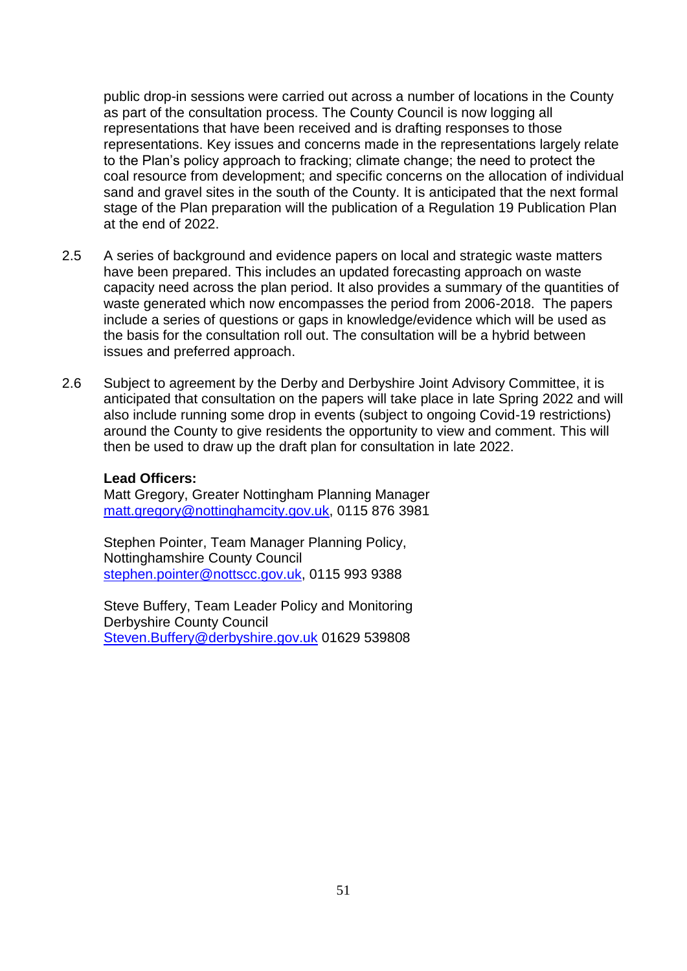public drop-in sessions were carried out across a number of locations in the County as part of the consultation process. The County Council is now logging all representations that have been received and is drafting responses to those representations. Key issues and concerns made in the representations largely relate to the Plan's policy approach to fracking; climate change; the need to protect the coal resource from development; and specific concerns on the allocation of individual sand and gravel sites in the south of the County. It is anticipated that the next formal stage of the Plan preparation will the publication of a Regulation 19 Publication Plan at the end of 2022.

- 2.5 A series of background and evidence papers on local and strategic waste matters have been prepared. This includes an updated forecasting approach on waste capacity need across the plan period. It also provides a summary of the quantities of waste generated which now encompasses the period from 2006-2018. The papers include a series of questions or gaps in knowledge/evidence which will be used as the basis for the consultation roll out. The consultation will be a hybrid between issues and preferred approach.
- 2.6 Subject to agreement by the Derby and Derbyshire Joint Advisory Committee, it is anticipated that consultation on the papers will take place in late Spring 2022 and will also include running some drop in events (subject to ongoing Covid-19 restrictions) around the County to give residents the opportunity to view and comment. This will then be used to draw up the draft plan for consultation in late 2022.

#### **Lead Officers:**

Matt Gregory, Greater Nottingham Planning Manager [matt.gregory@nottinghamcity.gov.uk,](mailto:matt.gregory@nottinghamcity.gov.uk) 0115 876 3981

Stephen Pointer, Team Manager Planning Policy, Nottinghamshire County Council [stephen.pointer@nottscc.gov.uk,](mailto:stephen.pointer@nottscc.gov.uk) 0115 993 9388

Steve Buffery, Team Leader Policy and Monitoring Derbyshire County Council [Steven.Buffery@derbyshire.gov.uk](mailto:Steven.Buffery@derbyshire.gov.uk) 01629 539808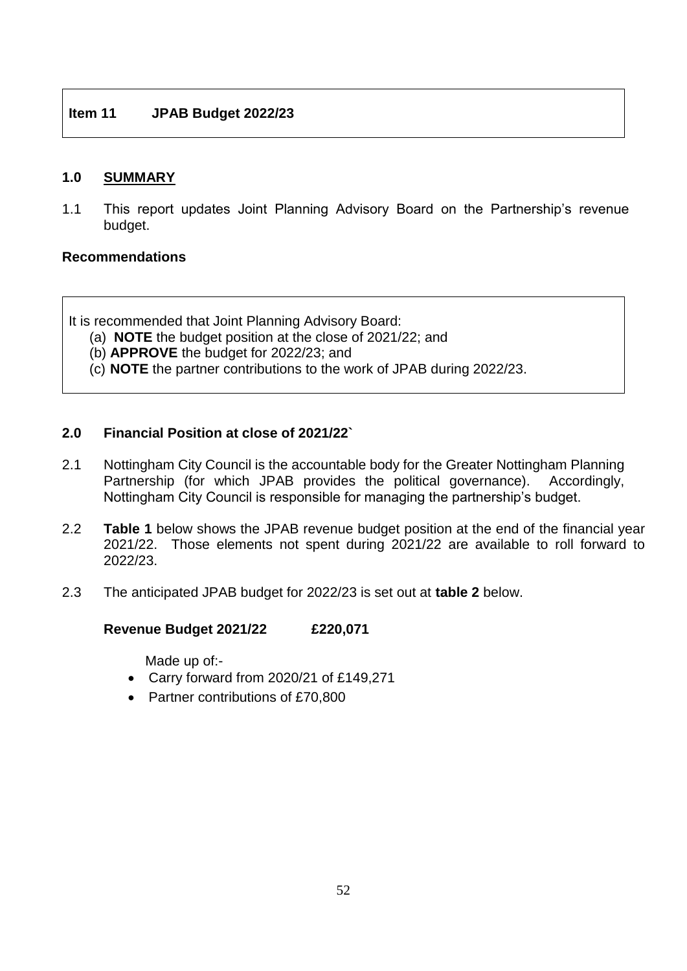#### **1.0 SUMMARY**

1.1 This report updates Joint Planning Advisory Board on the Partnership's revenue budget.

#### **Recommendations**

It is recommended that Joint Planning Advisory Board:

- (a) **NOTE** the budget position at the close of 2021/22; and
- (b) **APPROVE** the budget for 2022/23; and
- (c) **NOTE** the partner contributions to the work of JPAB during 2022/23.

#### **2.0 Financial Position at close of 2021/22`**

- 2.1 Nottingham City Council is the accountable body for the Greater Nottingham Planning Partnership (for which JPAB provides the political governance). Accordingly, Nottingham City Council is responsible for managing the partnership's budget.
- 2.2 **Table 1** below shows the JPAB revenue budget position at the end of the financial year 2021/22. Those elements not spent during 2021/22 are available to roll forward to 2022/23.
- 2.3 The anticipated JPAB budget for 2022/23 is set out at **table 2** below.

## **Revenue Budget 2021/22 £220,071**

Made up of:-

- Carry forward from 2020/21 of £149,271
- Partner contributions of £70,800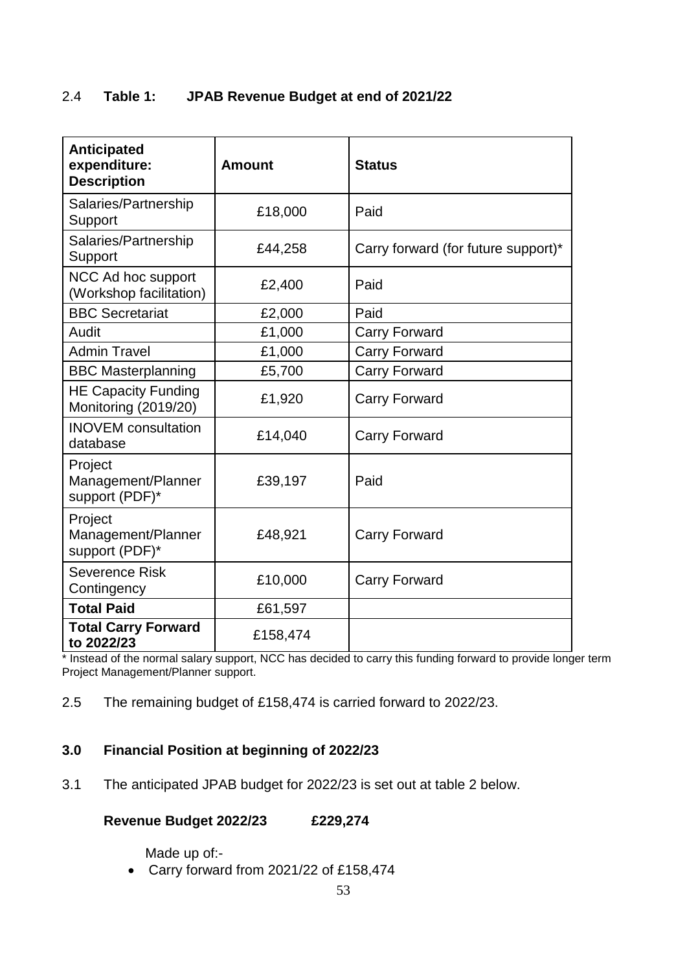## 2.4 **Table 1: JPAB Revenue Budget at end of 2021/22**

| <b>Anticipated</b><br>expenditure:<br><b>Description</b> | <b>Amount</b> | <b>Status</b>                       |
|----------------------------------------------------------|---------------|-------------------------------------|
| Salaries/Partnership<br>Support                          | £18,000       | Paid                                |
| Salaries/Partnership<br>Support                          | £44,258       | Carry forward (for future support)* |
| NCC Ad hoc support<br>(Workshop facilitation)            | £2,400        | Paid                                |
| <b>BBC Secretariat</b>                                   | £2,000        | Paid                                |
| Audit                                                    | £1,000        | <b>Carry Forward</b>                |
| <b>Admin Travel</b>                                      | £1,000        | <b>Carry Forward</b>                |
| <b>BBC Masterplanning</b>                                | £5,700        | <b>Carry Forward</b>                |
| <b>HE Capacity Funding</b><br>Monitoring (2019/20)       | £1,920        | <b>Carry Forward</b>                |
| <b>INOVEM</b> consultation<br>database                   | £14,040       | <b>Carry Forward</b>                |
| Project<br>Management/Planner<br>support (PDF)*          | £39,197       | Paid                                |
| Project<br>Management/Planner<br>support (PDF)*          | £48,921       | <b>Carry Forward</b>                |
| Severence Risk<br>Contingency                            | £10,000       | <b>Carry Forward</b>                |
| <b>Total Paid</b>                                        | £61,597       |                                     |
| <b>Total Carry Forward</b><br>to 2022/23                 | £158,474      |                                     |

\* Instead of the normal salary support, NCC has decided to carry this funding forward to provide longer term Project Management/Planner support.

2.5 The remaining budget of £158,474 is carried forward to 2022/23.

## **3.0 Financial Position at beginning of 2022/23**

3.1 The anticipated JPAB budget for 2022/23 is set out at table 2 below.

## **Revenue Budget 2022/23 £229,274**

Made up of:-

Carry forward from 2021/22 of £158,474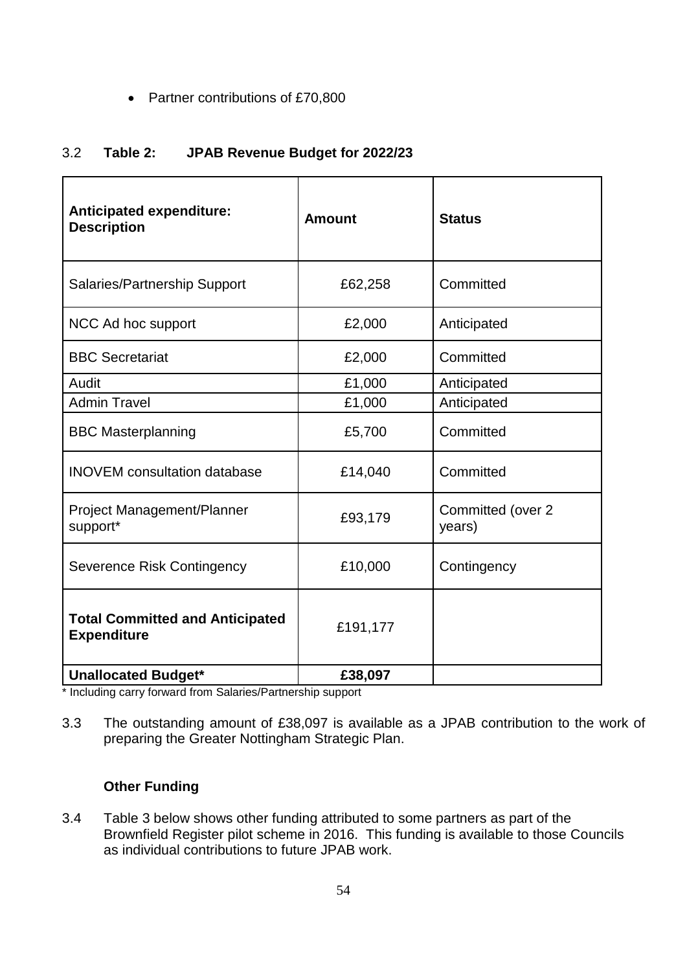• Partner contributions of £70,800

## 3.2 **Table 2: JPAB Revenue Budget for 2022/23**

| <b>Anticipated expenditure:</b><br><b>Description</b>        | <b>Amount</b> | <b>Status</b>               |
|--------------------------------------------------------------|---------------|-----------------------------|
| <b>Salaries/Partnership Support</b>                          | £62,258       | Committed                   |
| NCC Ad hoc support                                           | £2,000        | Anticipated                 |
| <b>BBC Secretariat</b>                                       | £2,000        | Committed                   |
| Audit                                                        | £1,000        | Anticipated                 |
| <b>Admin Travel</b>                                          | £1,000        | Anticipated                 |
| <b>BBC Masterplanning</b>                                    | £5,700        | Committed                   |
| <b>INOVEM</b> consultation database                          | £14,040       | Committed                   |
| Project Management/Planner<br>support*                       | £93,179       | Committed (over 2<br>years) |
| Severence Risk Contingency                                   | £10,000       | Contingency                 |
| <b>Total Committed and Anticipated</b><br><b>Expenditure</b> | £191,177      |                             |
| <b>Unallocated Budget*</b>                                   | £38,097       |                             |

\* Including carry forward from Salaries/Partnership support

3.3 The outstanding amount of £38,097 is available as a JPAB contribution to the work of preparing the Greater Nottingham Strategic Plan.

## **Other Funding**

3.4 Table 3 below shows other funding attributed to some partners as part of the Brownfield Register pilot scheme in 2016. This funding is available to those Councils as individual contributions to future JPAB work.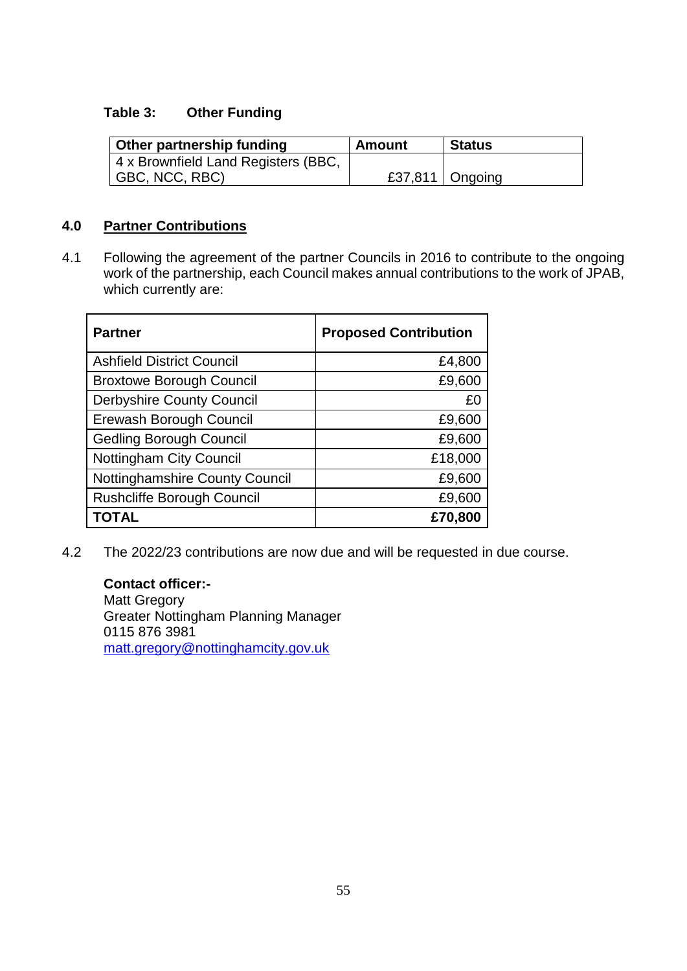## **Table 3: Other Funding**

| Other partnership funding           | Amount | <b>Status</b>     |
|-------------------------------------|--------|-------------------|
| 4 x Brownfield Land Registers (BBC, |        |                   |
| GBC, NCC, RBC)                      |        | £37,811   Ongoing |

## **4.0 Partner Contributions**

4.1 Following the agreement of the partner Councils in 2016 to contribute to the ongoing work of the partnership, each Council makes annual contributions to the work of JPAB, which currently are:

| <b>Partner</b>                    | <b>Proposed Contribution</b> |
|-----------------------------------|------------------------------|
| <b>Ashfield District Council</b>  | £4,800                       |
| <b>Broxtowe Borough Council</b>   | £9,600                       |
| <b>Derbyshire County Council</b>  | £0                           |
| Erewash Borough Council           | £9,600                       |
| <b>Gedling Borough Council</b>    | £9,600                       |
| <b>Nottingham City Council</b>    | £18,000                      |
| Nottinghamshire County Council    | £9,600                       |
| <b>Rushcliffe Borough Council</b> | £9,600                       |
| <b>TOTAL</b>                      | £70,800                      |

4.2 The 2022/23 contributions are now due and will be requested in due course.

**Contact officer:-** Matt Gregory Greater Nottingham Planning Manager 0115 876 3981 [matt.gregory@nottinghamcity.gov.uk](mailto:matt.gregory@nottinghamcity.gov.uk)